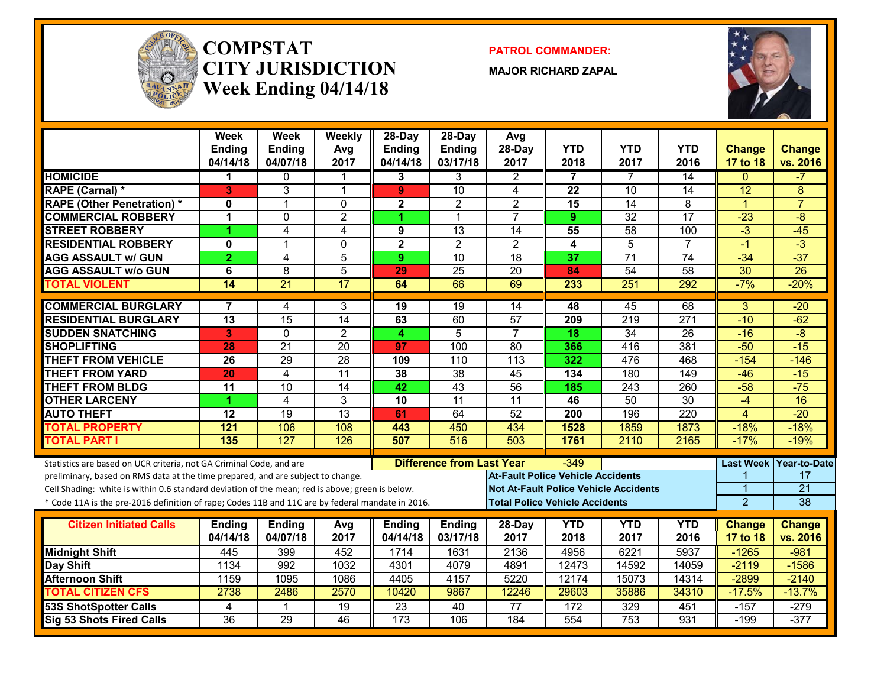

#### **COMPSTATCITY JURISDICTIONWeek Ending 04/14/18**

**PATROL COMMANDER:**

**MAJOR RICHARD ZAPAL**



|                                                                                                  | <b>Week</b><br><b>Ending</b><br>04/14/18 | Week<br><b>Ending</b><br>04/07/18 | Weekly<br>Avg<br>2017 | $28$ -Day<br><b>Ending</b><br>04/14/18 | $28-Dav$<br><b>Ending</b><br>03/17/18 | Avg<br>28-Day<br>2017                        | <b>YTD</b><br>2018 | <b>YTD</b><br>2017 | <b>YTD</b><br>2016 | <b>Change</b><br>17 to 18        | <b>Change</b><br>vs. 2016 |
|--------------------------------------------------------------------------------------------------|------------------------------------------|-----------------------------------|-----------------------|----------------------------------------|---------------------------------------|----------------------------------------------|--------------------|--------------------|--------------------|----------------------------------|---------------------------|
| <b>HOMICIDE</b>                                                                                  | 1                                        | $\mathbf 0$                       | 1                     | 3                                      | 3                                     | $\overline{2}$                               | $\overline{7}$     | $\overline{7}$     | $\overline{14}$    | $\mathbf{0}$                     | $-7$                      |
| <b>RAPE (Carnal) *</b>                                                                           | 3                                        | 3                                 | $\overline{1}$        | 9                                      | $\overline{10}$                       | 4                                            | 22                 | 10                 | $\overline{14}$    | $\overline{12}$                  | 8                         |
| <b>RAPE (Other Penetration)*</b>                                                                 | 0                                        | 1                                 | $\mathbf 0$           | $\overline{\mathbf{2}}$                | $\overline{2}$                        | $\overline{2}$                               | $\overline{15}$    | $\overline{14}$    | 8                  | $\overline{1}$                   | $\overline{7}$            |
| <b>COMMERCIAL ROBBERY</b>                                                                        | 1                                        | $\Omega$                          | $\overline{2}$        |                                        | $\overline{1}$                        | $\overline{7}$                               | 9                  | $\overline{32}$    | 17                 | $-23$                            | $\overline{-8}$           |
| <b>STREET ROBBERY</b>                                                                            | 4                                        | 4                                 | 4                     | 9                                      | 13                                    | 14                                           | 55                 | 58                 | 100                | $-3$                             | $-45$                     |
| <b>RESIDENTIAL ROBBERY</b>                                                                       | 0                                        | 1                                 | $\Omega$              | $\overline{\mathbf{2}}$                | $\overline{2}$                        | $\overline{2}$                               | 4                  | 5                  | $\overline{7}$     | $-1$                             | $\overline{3}$            |
| <b>AGG ASSAULT w/ GUN</b>                                                                        | $\overline{2}$                           | 4                                 | 5                     | 9                                      | 10                                    | $\overline{18}$                              | 37                 | $\overline{71}$    | $\overline{74}$    | $-34$                            | $-37$                     |
| <b>AGG ASSAULT w/o GUN</b>                                                                       | 6                                        | 8                                 | 5                     | 29                                     | 25                                    | $\overline{20}$                              | 84                 | 54                 | $\overline{58}$    | 30                               | $\overline{26}$           |
| <b>TOTAL VIOLENT</b>                                                                             | 14                                       | $\overline{21}$                   | $\overline{17}$       | 64                                     | 66                                    | 69                                           | 233                | $\overline{251}$   | 292                | $-7%$                            | $-20%$                    |
| <b>COMMERCIAL BURGLARY</b>                                                                       | 7                                        | 4                                 | 3                     | 19                                     | 19                                    | 14                                           | 48                 | 45                 | 68                 | $\overline{3}$                   | $-20$                     |
| <b>RESIDENTIAL BURGLARY</b>                                                                      | $\overline{13}$                          | 15                                | 14                    | 63                                     | 60                                    | 57                                           | 209                | $\overline{219}$   | $\overline{271}$   | $-10$                            | $-62$                     |
| <b>SUDDEN SNATCHING</b>                                                                          | 3                                        | $\mathbf{0}$                      | $\overline{2}$        | 4                                      | 5                                     | $\overline{7}$                               | 18                 | 34                 | 26                 | $-16$                            | $-\frac{8}{3}$            |
| <b>SHOPLIFTING</b>                                                                               | 28                                       | $\overline{21}$                   | $\overline{20}$       | 97                                     | 100                                   | $\overline{80}$                              | 366                | 416                | 381                | $-50$                            | $-15$                     |
| <b>THEFT FROM VEHICLE</b>                                                                        | 26                                       | 29                                | $\overline{28}$       | 109                                    | 110                                   | 113                                          | 322                | 476                | 468                | $-154$                           | $-146$                    |
| <b>THEFT FROM YARD</b>                                                                           | $\overline{20}$                          | $\overline{4}$                    | $\overline{11}$       | 38                                     | $\overline{38}$                       | 45                                           | 134                | 180                | 149                | $-46$                            | $-15$                     |
| <b>THEFT FROM BLDG</b>                                                                           | $\overline{11}$                          | $\overline{10}$                   | $\overline{14}$       | 42                                     | 43                                    | 56                                           | 185                | $\overline{243}$   | 260                | $-58$                            | $-75$                     |
| <b>OTHER LARCENY</b>                                                                             | 4                                        | $\overline{4}$                    | 3                     | 10                                     | $\overline{11}$                       | $\overline{11}$                              | 46                 | $\overline{50}$    | $\overline{30}$    | $-4$                             | $\overline{16}$           |
| <b>AUTO THEFT</b>                                                                                | $\overline{12}$                          | 19                                | $\overline{13}$       | 61                                     | 64                                    | 52                                           | 200                | 196                | $\overline{220}$   | 4                                | $-20$                     |
| <b>TOTAL PROPERTY</b>                                                                            | 121                                      | 106                               | 108                   | 443                                    | 450                                   | 434                                          | 1528               | 1859               | 1873               | $-18%$                           | $-18%$                    |
| <b>TOTAL PART I</b>                                                                              | 135                                      | 127                               | 126                   | 507                                    | 516                                   | 503                                          | 1761               | 2110               | 2165               | $-17%$                           | $-19%$                    |
| Statistics are based on UCR criteria, not GA Criminal Code, and are                              |                                          |                                   |                       |                                        | <b>Difference from Last Year</b>      |                                              | $-349$             |                    |                    | <b>Last Week</b>                 | Year-to-Date              |
| preliminary, based on RMS data at the time prepared, and are subject to change.                  |                                          |                                   |                       |                                        |                                       | <b>At-Fault Police Vehicle Accidents</b>     |                    |                    |                    |                                  | 17                        |
| Cell Shading: white is within 0.6 standard deviation of the mean; red is above; green is below.  |                                          |                                   |                       |                                        |                                       | <b>Not At-Fault Police Vehicle Accidents</b> |                    |                    |                    |                                  | $\overline{21}$           |
| * Code 11A is the pre-2016 definition of rape; Codes 11B and 11C are by federal mandate in 2016. |                                          |                                   |                       |                                        |                                       | <b>Total Police Vehicle Accidents</b>        |                    |                    |                    | $\overline{2}$                   | 38                        |
| <b>Citizen Initiated Calls</b>                                                                   |                                          |                                   |                       |                                        |                                       |                                              |                    |                    | <b>YTD</b>         |                                  |                           |
|                                                                                                  | <b>Ending</b><br>04/14/18                | <b>Ending</b><br>04/07/18         | Avg<br>2017           | <b>Ending</b><br>04/14/18              | <b>Ending</b><br>03/17/18             | 28-Day<br>2017                               | <b>YTD</b><br>2018 | <b>YTD</b><br>2017 | 2016               | <b>Change</b><br><b>17 to 18</b> | <b>Change</b><br>vs. 2016 |
| <b>Midnight Shift</b>                                                                            | 445                                      | 399                               | 452                   | 1714                                   | 1631                                  | 2136                                         | 4956               | 6221               | 5937               | $-1265$                          | $-981$                    |
| Day Shift                                                                                        | 1134                                     | 992                               | 1032                  | 4301                                   | 4079                                  | 4891                                         | 12473              | 14592              | 14059              | $-2119$                          | $-1586$                   |
| <b>Afternoon Shift</b>                                                                           | 1159                                     | 1095                              | 1086                  | 4405                                   | 4157                                  | 5220                                         | 12174              | 15073              | 14314              | $-2899$                          | $-2140$                   |
| <b>TOTAL CITIZEN CFS</b>                                                                         | 2738                                     | 2486                              | 2570                  | 10420                                  | 9867                                  | 12246                                        | 29603              | 35886              | 34310              | $-17.5%$                         | $-13.7%$                  |
| <b>53S ShotSpotter Calls</b>                                                                     | 4                                        | $\mathbf 1$                       | 19                    | 23                                     | 40                                    | $\overline{77}$                              | 172                | 329                | 451                | $-157$                           | $-279$                    |
| <b>Sig 53 Shots Fired Calls</b>                                                                  | $\overline{36}$                          | 29                                | 46                    | $\overline{173}$                       | 106                                   | 184                                          | 554                | $\overline{753}$   | 931                | $-199$                           | $-377$                    |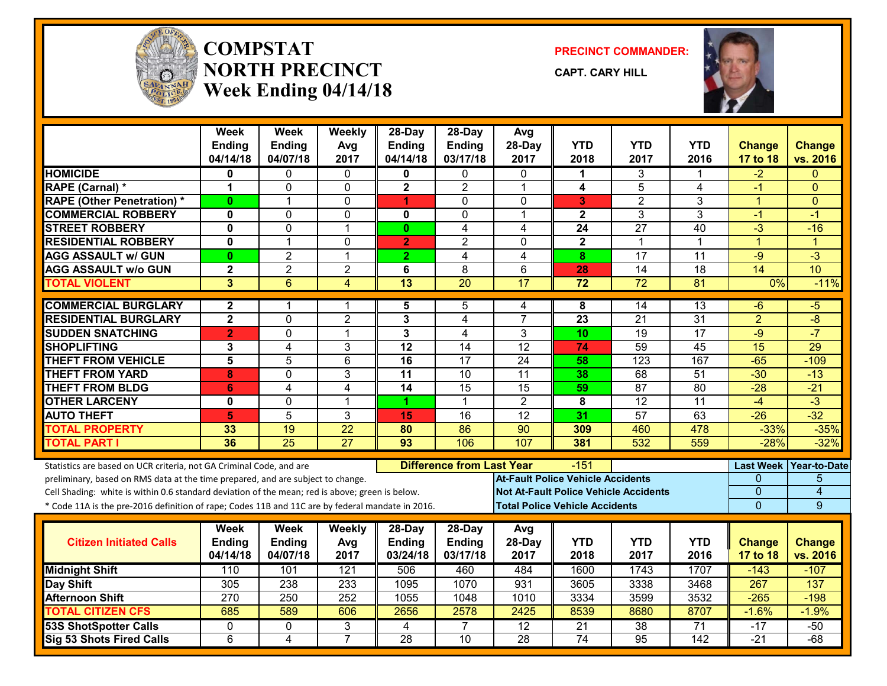

#### **COMPSTATNORTH PRECINCTWeek Ending 04/14/18**

**PRECINCT COMMANDER:**

**CAPT. CARY HILL**



|                                                                                                  | Week<br><b>Ending</b>   | <b>Week</b><br><b>Ending</b> | Weekly<br>Avg   | $28-Dav$<br><b>Ending</b> | $28$ -Day<br><b>Ending</b>       | Avg<br>28-Day                                | <b>YTD</b>                            | <b>YTD</b>      | <b>YTD</b>       | <b>Change</b>    | <b>Change</b>        |
|--------------------------------------------------------------------------------------------------|-------------------------|------------------------------|-----------------|---------------------------|----------------------------------|----------------------------------------------|---------------------------------------|-----------------|------------------|------------------|----------------------|
|                                                                                                  | 04/14/18                | 04/07/18                     | 2017            | 04/14/18                  | 03/17/18                         | 2017                                         | 2018                                  | 2017            | 2016             | 17 to 18         | vs. 2016             |
| <b>HOMICIDE</b>                                                                                  | 0                       | 0                            | 0               | 0                         | 0                                | $\mathbf{0}$                                 | 1                                     | 3               |                  | -2               | $\Omega$             |
| <b>RAPE (Carnal) *</b>                                                                           | 1                       | $\mathbf 0$                  | $\mathbf 0$     | $\overline{\mathbf{2}}$   | $\overline{2}$                   | $\overline{1}$                               | 4                                     | $\overline{5}$  | 4                | -1               | $\Omega$             |
| <b>RAPE (Other Penetration) *</b>                                                                | $\mathbf{0}$            | $\mathbf 1$                  | $\mathbf{0}$    | 1                         | $\Omega$                         | $\mathbf{0}$                                 | 3                                     | $\overline{2}$  | 3                | 1                | $\Omega$             |
| <b>COMMERCIAL ROBBERY</b>                                                                        | $\mathbf 0$             | $\Omega$                     | $\Omega$        | 0                         | $\Omega$                         | $\overline{\mathbf{1}}$                      | $\mathbf{2}$                          | 3               | 3                | -1               | $-1$                 |
| <b>STREET ROBBERY</b>                                                                            | $\mathbf{0}$            | $\Omega$                     | 1               | $\mathbf{0}$              | $\overline{4}$                   | 4                                            | $\overline{24}$                       | $\overline{27}$ | 40               | $-3$             | $-16$                |
| <b>RESIDENTIAL ROBBERY</b>                                                                       | 0                       | $\mathbf{1}$                 | $\mathbf 0$     | $\overline{2}$            | $\overline{2}$                   | $\Omega$                                     | $\mathbf{2}$                          | 1               | 1                | $\overline{1}$   | $\blacktriangleleft$ |
| <b>AGG ASSAULT w/ GUN</b>                                                                        | $\bf{0}$                | $\overline{2}$               | $\mathbf 1$     | $\overline{2}$            | $\overline{4}$                   | $\overline{4}$                               | 8                                     | $\overline{17}$ | $\overline{11}$  | $-9$             | $\overline{\cdot}$   |
| <b>AGG ASSAULT w/o GUN</b>                                                                       | $\overline{\mathbf{c}}$ | $\overline{2}$               | $\overline{2}$  | 6                         | 8                                | $6\phantom{1}$                               | 28                                    | $\overline{14}$ | 18               | $\overline{14}$  | 10                   |
| <b>TOTAL VIOLENT</b>                                                                             | $\overline{3}$          | $\overline{6}$               | $\overline{4}$  | $\overline{13}$           | $\overline{20}$                  | 17                                           | $\overline{72}$                       | $\overline{72}$ | 81               | 0%               | $-11%$               |
| <b>COMMERCIAL BURGLARY</b>                                                                       | $\mathbf{2}$            | 1                            | 1               | 5                         | 5                                | 4                                            | 8                                     | 14              | 13               | -6               | -5                   |
| <b>RESIDENTIAL BURGLARY</b>                                                                      | $\overline{\mathbf{2}}$ | $\Omega$                     | $\overline{2}$  | 3                         | 4                                | $\overline{7}$                               | 23                                    | 21              | 31               | $\overline{2}$   | $-8$                 |
| <b>SUDDEN SNATCHING</b>                                                                          | $\overline{2}$          | $\Omega$                     | $\overline{1}$  | 3                         | $\overline{4}$                   | 3                                            | 10                                    | 19              | 17               | $-9$             | $-7$                 |
| <b>SHOPLIFTING</b>                                                                               | 3                       | $\overline{4}$               | 3               | 12                        | 14                               | 12                                           | 74                                    | 59              | 45               | 15               | 29                   |
| <b>THEFT FROM VEHICLE</b>                                                                        | 5                       | 5                            | 6               | 16                        | 17                               | 24                                           | 58                                    | 123             | 167              | $-65$            | $-109$               |
| <b>THEFT FROM YARD</b>                                                                           | 8                       | $\Omega$                     | $\overline{3}$  | $\overline{11}$           | 10                               | $\overline{11}$                              | 38                                    | 68              | 51               | $-30$            | $-13$                |
| <b>THEFT FROM BLDG</b>                                                                           | 6                       | 4                            | $\overline{4}$  | $\overline{14}$           | $\overline{15}$                  | $\overline{15}$                              | 59                                    | 87              | $\overline{80}$  | $-28$            | $-21$                |
| <b>OTHER LARCENY</b>                                                                             | 0                       | $\mathbf{0}$                 | $\mathbf{1}$    | 1                         | $\mathbf 1$                      | $\overline{2}$                               | 8                                     | 12              | 11               | $-4$             | $-3$                 |
| <b>AUTO THEFT</b>                                                                                | 5                       | 5                            | 3               | 15                        | 16                               | 12                                           | 31                                    | 57              | 63               | $-26$            | $-32$                |
| <b>TOTAL PROPERTY</b>                                                                            | 33                      | $\overline{19}$              | $\overline{22}$ | 80                        | 86                               | $\overline{90}$                              | 309                                   | 460             | 478              | $-33%$           | $-35%$               |
| <b>TOTAL PART I</b>                                                                              | 36                      | $\overline{25}$              | $\overline{27}$ | 93                        | 106                              | 107                                          | 381                                   | 532             | 559              | $-28%$           | $-32%$               |
| Statistics are based on UCR criteria, not GA Criminal Code, and are                              |                         |                              |                 |                           | <b>Difference from Last Year</b> |                                              | $-151$                                |                 |                  | <b>Last Week</b> | <b>Year-to-Date</b>  |
| preliminary, based on RMS data at the time prepared, and are subject to change.                  |                         |                              |                 |                           |                                  | <b>At-Fault Police Vehicle Accidents</b>     |                                       |                 |                  | 0                | 5                    |
| Cell Shading: white is within 0.6 standard deviation of the mean; red is above; green is below.  |                         |                              |                 |                           |                                  | <b>Not At-Fault Police Vehicle Accidents</b> |                                       |                 |                  | $\mathbf 0$      | 4                    |
| * Code 11A is the pre-2016 definition of rape; Codes 11B and 11C are by federal mandate in 2016. |                         |                              |                 |                           |                                  |                                              | <b>Total Police Vehicle Accidents</b> |                 |                  | $\overline{0}$   | 9                    |
|                                                                                                  | Week                    | <b>Week</b>                  | Weekly          | $28-Day$                  | $28$ -Day                        | Avg                                          |                                       |                 |                  |                  |                      |
| <b>Citizen Initiated Calls</b>                                                                   | <b>Ending</b>           | <b>Ending</b>                | Avg             | <b>Ending</b>             | <b>Ending</b>                    | 28-Day                                       | <b>YTD</b>                            | <b>YTD</b>      | <b>YTD</b>       | <b>Change</b>    | <b>Change</b>        |
|                                                                                                  | 04/14/18                | 04/07/18                     | 2017            | 03/24/18                  | 03/17/18                         | 2017                                         | 2018                                  | 2017            | 2016             | 17 to 18         | vs. 2016             |
| <b>Midnight Shift</b>                                                                            | 110                     | 101                          | 121             | 506                       | 460                              | 484                                          | 1600                                  | 1743            | 1707             | $-143$           | $-107$               |
| Day Shift                                                                                        | 305                     | 238                          | 233             | 1095                      | 1070                             | 931                                          | 3605                                  | 3338            | 3468             | 267              | 137                  |
| <b>Afternoon Shift</b>                                                                           | $\overline{270}$        | 250                          | 252             | 1055                      | 1048                             | 1010                                         | 3334                                  | 3599            | 3532             | $-265$           | $-198$               |
| <b>TOTAL CITIZEN CFS</b>                                                                         | 685                     | 589                          | 606             | 2656                      | 2578                             | 2425                                         | 8539                                  | 8680            | 8707             | $-1.6%$          | $-1.9%$              |
| 53S ShotSpotter Calls                                                                            | 0                       | 0                            | 3               | 4                         | $\overline{7}$                   | 12                                           | 21                                    | 38              | 71               | -17              | $-50$                |
| Sig 53 Shots Fired Calls                                                                         | 6                       | 4                            | $\overline{7}$  | 28                        | 10                               | $\overline{28}$                              | 74                                    | $\overline{95}$ | $\overline{142}$ | $-21$            | $-68$                |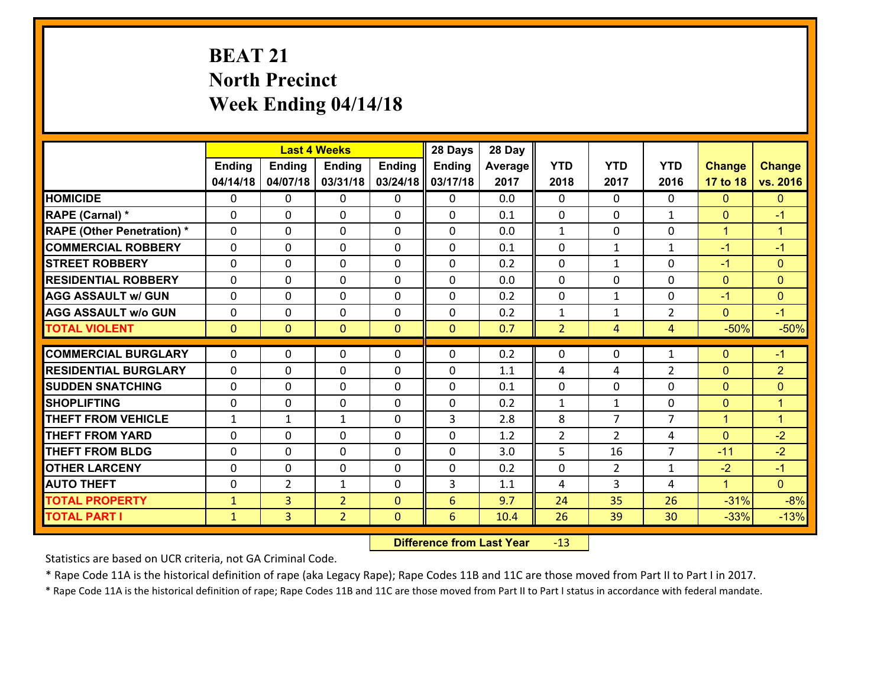# **BEAT 21 North Precinct Week Ending 04/14/18**

|                                   |               |                | <b>Last 4 Weeks</b> |              | 28 Days       | 28 Day  |                |                |                |                |                      |
|-----------------------------------|---------------|----------------|---------------------|--------------|---------------|---------|----------------|----------------|----------------|----------------|----------------------|
|                                   | <b>Ending</b> | <b>Ending</b>  | <b>Ending</b>       | Ending       | <b>Ending</b> | Average | <b>YTD</b>     | <b>YTD</b>     | <b>YTD</b>     | <b>Change</b>  | <b>Change</b>        |
|                                   | 04/14/18      | 04/07/18       | 03/31/18            | 03/24/18     | 03/17/18      | 2017    | 2018           | 2017           | 2016           | 17 to 18       | vs. 2016             |
| <b>HOMICIDE</b>                   | $\Omega$      | 0              | $\Omega$            | 0            | $\Omega$      | 0.0     | $\Omega$       | $\Omega$       | $\Omega$       | $\mathbf{0}$   | $\mathbf{0}$         |
| RAPE (Carnal) *                   | 0             | 0              | $\mathbf{0}$        | 0            | $\Omega$      | 0.1     | $\mathbf{0}$   | 0              | $\mathbf{1}$   | $\mathbf{0}$   | $-1$                 |
| <b>RAPE (Other Penetration) *</b> | $\Omega$      | 0              | $\mathbf{0}$        | $\Omega$     | $\Omega$      | 0.0     | $\mathbf{1}$   | $\Omega$       | $\Omega$       | $\mathbf{1}$   | $\overline{1}$       |
| <b>COMMERCIAL ROBBERY</b>         | 0             | 0              | $\mathbf 0$         | 0            | 0             | 0.1     | $\mathbf{0}$   | $\mathbf{1}$   | $\mathbf{1}$   | $-1$           | $-1$                 |
| <b>STREET ROBBERY</b>             | $\Omega$      | 0              | $\mathbf 0$         | 0            | 0             | 0.2     | $\mathbf 0$    | $\mathbf{1}$   | 0              | $-1$           | $\mathbf{0}$         |
| <b>RESIDENTIAL ROBBERY</b>        | $\Omega$      | $\Omega$       | $\mathbf 0$         | $\Omega$     | 0             | 0.0     | $\Omega$       | $\Omega$       | $\Omega$       | $\overline{0}$ | $\overline{0}$       |
| <b>AGG ASSAULT w/ GUN</b>         | $\Omega$      | 0              | $\mathbf 0$         | 0            | 0             | 0.2     | $\mathbf 0$    | $\mathbf{1}$   | 0              | $-1$           | $\mathbf{0}$         |
| <b>AGG ASSAULT w/o GUN</b>        | 0             | 0              | $\mathbf 0$         | 0            | 0             | 0.2     | $\mathbf 1$    | $\mathbf{1}$   | $\overline{2}$ | $\overline{0}$ | $-1$                 |
| <b>TOTAL VIOLENT</b>              | $\mathbf{0}$  | $\overline{0}$ | $\overline{0}$      | $\mathbf{0}$ | $\mathbf{0}$  | 0.7     | $\overline{2}$ | $\overline{4}$ | 4              | $-50%$         | $-50%$               |
| <b>COMMERCIAL BURGLARY</b>        | $\Omega$      | 0              | $\mathbf{0}$        | $\Omega$     | $\Omega$      | 0.2     | $\Omega$       | $\Omega$       | 1              | $\mathbf{0}$   | $-1$                 |
| <b>RESIDENTIAL BURGLARY</b>       | 0             | 0              | $\mathbf 0$         | 0            | 0             | 1.1     | 4              | 4              | $\overline{2}$ | $\mathbf{0}$   | $\overline{2}$       |
| <b>SUDDEN SNATCHING</b>           | 0             | 0              | $\mathbf 0$         | 0            | 0             | 0.1     | $\mathbf 0$    | 0              | 0              | $\mathbf{0}$   | $\mathbf{0}$         |
| <b>SHOPLIFTING</b>                | 0             | 0              | $\mathbf 0$         | 0            | 0             | 0.2     | $\mathbf{1}$   | $\mathbf{1}$   | 0              | $\mathbf{0}$   | $\mathbf{1}$         |
| <b>THEFT FROM VEHICLE</b>         | $\mathbf{1}$  | $\mathbf{1}$   | 1                   | 0            | 3             | 2.8     | 8              | $\overline{7}$ | 7              | $\mathbf{1}$   | $\blacktriangleleft$ |
| <b>THEFT FROM YARD</b>            | 0             | 0              | $\mathbf 0$         | 0            | 0             | 1.2     | $\overline{2}$ | $\overline{2}$ | 4              | $\mathbf{0}$   | $-2$                 |
| <b>THEFT FROM BLDG</b>            | 0             | 0              | $\mathbf 0$         | 0            | 0             | 3.0     | 5              | 16             | $\overline{7}$ | $-11$          | $-2$                 |
| <b>OTHER LARCENY</b>              | 0             | 0              | $\mathbf 0$         | 0            | 0             | 0.2     | $\mathbf 0$    | $\overline{2}$ | $\mathbf{1}$   | $-2$           | $-1$                 |
| <b>AUTO THEFT</b>                 | 0             | $\overline{2}$ | $\mathbf{1}$        | 0            | 3             | 1.1     | 4              | 3              | 4              | $\mathbf{1}$   | $\overline{0}$       |
| <b>TOTAL PROPERTY</b>             | $\mathbf{1}$  | 3              | $\overline{2}$      | $\mathbf{0}$ | 6             | 9.7     | 24             | 35             | 26             | $-31%$         | $-8%$                |
| <b>TOTAL PART I</b>               | $\mathbf{1}$  | $\overline{3}$ | $\overline{2}$      | $\mathbf{0}$ | 6             | 10.4    | 26             | 39             | 30             | $-33%$         | $-13%$               |
|                                   |               |                |                     |              |               |         |                |                |                |                |                      |

 **Difference from Last Year**r -13

Statistics are based on UCR criteria, not GA Criminal Code.

\* Rape Code 11A is the historical definition of rape (aka Legacy Rape); Rape Codes 11B and 11C are those moved from Part II to Part I in 2017.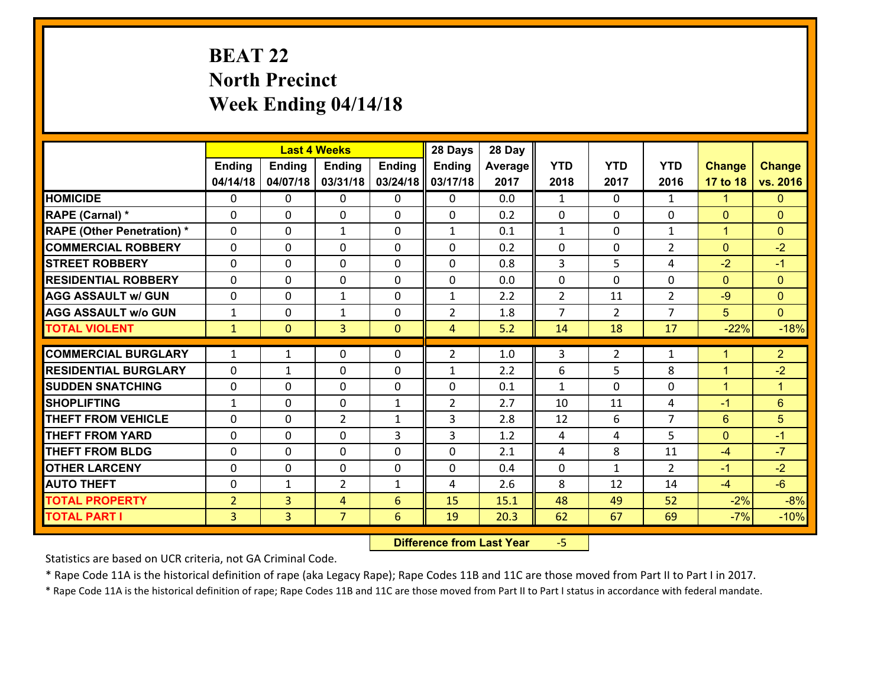# **BEAT 22 North Precinct Week Ending 04/14/18**

|                                              |                     |                                  | <b>Last 4 Weeks</b> |               | 28 Days        | 28 Day       |                |                |                |                |                      |
|----------------------------------------------|---------------------|----------------------------------|---------------------|---------------|----------------|--------------|----------------|----------------|----------------|----------------|----------------------|
|                                              | <b>Ending</b>       | <b>Ending</b>                    | <b>Ending</b>       | <b>Ending</b> | <b>Ending</b>  | Average      | <b>YTD</b>     | <b>YTD</b>     | <b>YTD</b>     | <b>Change</b>  | <b>Change</b>        |
|                                              | 04/14/18            | 04/07/18                         | 03/31/18            | 03/24/18      | 03/17/18       | 2017         | 2018           | 2017           | 2016           | 17 to 18       | vs. 2016             |
| <b>HOMICIDE</b>                              | 0                   | 0                                | 0                   | 0             | 0              | 0.0          | $\mathbf{1}$   | $\Omega$       | $\mathbf{1}$   | $\mathbf{1}$   | $\mathbf{0}$         |
| RAPE (Carnal) *                              | 0                   | 0                                | $\mathbf{0}$        | 0             | 0              | 0.2          | $\mathbf{0}$   | 0              | 0              | $\mathbf{0}$   | $\mathbf{0}$         |
| <b>RAPE (Other Penetration) *</b>            | $\Omega$            | 0                                | 1                   | $\Omega$      | $\mathbf{1}$   | 0.1          | $\mathbf{1}$   | $\Omega$       | $\mathbf{1}$   | $\mathbf{1}$   | $\mathbf{0}$         |
| <b>COMMERCIAL ROBBERY</b>                    | $\Omega$            | 0                                | $\mathbf{0}$        | 0             | 0              | 0.2          | 0              | $\Omega$       | $\overline{2}$ | $\mathbf{0}$   | $-2$                 |
| <b>STREET ROBBERY</b>                        | 0                   | 0                                | $\mathbf 0$         | 0             | 0              | 0.8          | 3              | 5              | 4              | $-2$           | $-1$                 |
| <b>RESIDENTIAL ROBBERY</b>                   | $\Omega$            | 0                                | 0                   | 0             | 0              | 0.0          | 0              | $\Omega$       | $\Omega$       | $\mathbf{0}$   | $\mathbf{0}$         |
| <b>AGG ASSAULT w/ GUN</b>                    | 0                   | 0                                | 1                   | 0             | $\mathbf{1}$   | 2.2          | $\overline{2}$ | 11             | $\overline{2}$ | $-9$           | $\mathbf{0}$         |
| <b>AGG ASSAULT w/o GUN</b>                   | $\mathbf{1}$        | 0                                | $\mathbf{1}$        | 0             | $\overline{2}$ | 1.8          | $\overline{7}$ | $\overline{2}$ | $\overline{7}$ | 5              | $\overline{0}$       |
| <b>TOTAL VIOLENT</b>                         | $\mathbf{1}$        | $\mathbf{0}$                     | 3                   | $\mathbf{0}$  | $\overline{4}$ | 5.2          | 14             | 18             | 17             | $-22%$         | $-18%$               |
| <b>COMMERCIAL BURGLARY</b>                   | $\mathbf{1}$        | $\mathbf{1}$                     | $\mathbf{0}$        | 0             | $\overline{2}$ | 1.0          | 3              | $\overline{2}$ | $\mathbf{1}$   | 1              | 2 <sup>1</sup>       |
| <b>RESIDENTIAL BURGLARY</b>                  | $\Omega$            | 1                                | $\mathbf{0}$        | 0             | 1              | 2.2          | 6              | 5              | 8              | $\mathbf{1}$   | $-2$                 |
|                                              |                     |                                  |                     |               |                |              |                |                |                |                |                      |
|                                              |                     |                                  |                     |               |                |              |                |                |                |                |                      |
| <b>SUDDEN SNATCHING</b>                      | 0                   | 0                                | 0                   | 0             | $\Omega$       | 0.1          | $\mathbf{1}$   | 0              | $\Omega$       | $\mathbf{1}$   | $\blacktriangleleft$ |
| <b>SHOPLIFTING</b>                           | 1                   | 0                                | $\mathbf 0$         | $\mathbf{1}$  | $\overline{2}$ | 2.7          | 10             | 11             | 4              | $-1$           | $6\phantom{1}$       |
| <b>THEFT FROM VEHICLE</b>                    | 0                   | 0                                | $\overline{2}$      | $\mathbf{1}$  | 3              | 2.8          | 12             | 6              | $\overline{7}$ | 6              | $5\phantom{.}$       |
| <b>THEFT FROM YARD</b>                       | 0                   | 0                                | $\mathbf{0}$        | 3             | 3              | 1.2          | 4              | 4              | 5.             | $\mathbf{0}$   | $-1$                 |
| <b>THEFT FROM BLDG</b>                       | 0                   | 0                                | $\mathbf{0}$        | 0             | $\Omega$       | 2.1          | 4              | 8              | 11             | $-4$           | $-7$                 |
| <b>OTHER LARCENY</b>                         | 0                   | 0                                | $\mathbf{0}$        | 0             | $\Omega$       | 0.4          | 0              | $\mathbf{1}$   | $\mathcal{L}$  | $-1$           | $-2$                 |
| <b>AUTO THEFT</b>                            | $\mathbf{0}$        | 1                                | $\overline{2}$      | $\mathbf{1}$  | 4              | 2.6          | 8              | 12             | 14             | $-4$           | $-6$                 |
| <b>TOTAL PROPERTY</b><br><b>TOTAL PART I</b> | $\overline{2}$<br>3 | $\overline{3}$<br>$\overline{3}$ | 4<br>$\overline{7}$ | 6<br>6        | 15<br>19       | 15.1<br>20.3 | 48<br>62       | 49<br>67       | 52<br>69       | $-2%$<br>$-7%$ | $-8%$<br>$-10%$      |

 **Difference from Last Year**‐5

Statistics are based on UCR criteria, not GA Criminal Code.

\* Rape Code 11A is the historical definition of rape (aka Legacy Rape); Rape Codes 11B and 11C are those moved from Part II to Part I in 2017.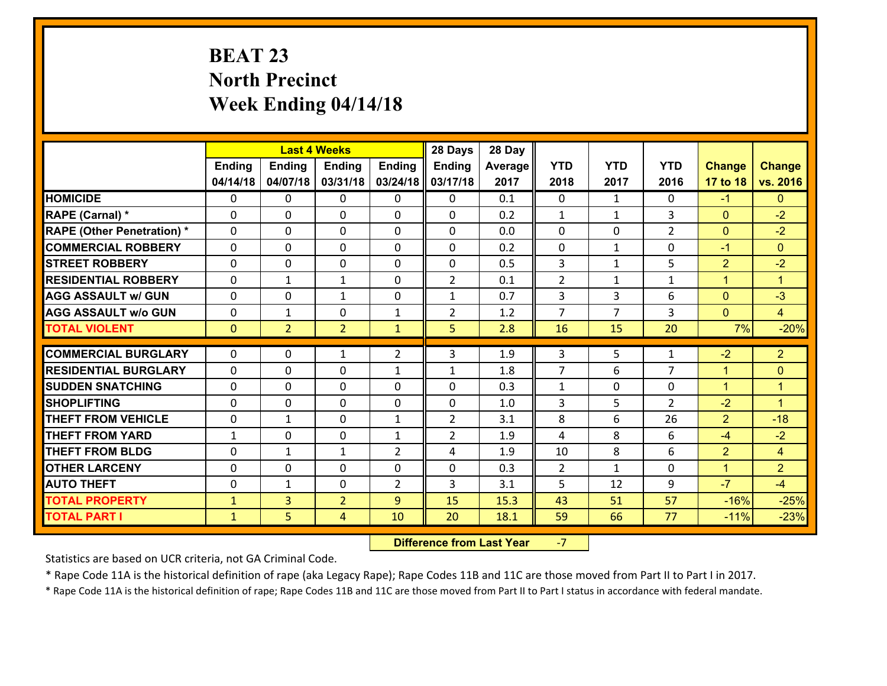# **BEAT 23 North Precinct Week Ending 04/14/18**

|                                                  |                   |                | <b>Last 4 Weeks</b>         |                     | 28 Days             | 28 Day     |                      |                |                |                                |                                        |
|--------------------------------------------------|-------------------|----------------|-----------------------------|---------------------|---------------------|------------|----------------------|----------------|----------------|--------------------------------|----------------------------------------|
|                                                  | <b>Ending</b>     | <b>Ending</b>  | <b>Ending</b>               | <b>Ending</b>       | <b>Ending</b>       | Average    | <b>YTD</b>           | <b>YTD</b>     | <b>YTD</b>     | <b>Change</b>                  | <b>Change</b>                          |
|                                                  | 04/14/18          | 04/07/18       | 03/31/18                    | 03/24/18            | 03/17/18            | 2017       | 2018                 | 2017           | 2016           | 17 to 18                       | vs. 2016                               |
| <b>HOMICIDE</b>                                  | $\mathbf{0}$      | 0              | $\mathbf{0}$                | 0                   | 0                   | 0.1        | $\Omega$             | $\mathbf{1}$   | $\Omega$       | $-1$                           | $\mathbf{0}$                           |
| RAPE (Carnal) *                                  | $\Omega$          | 0              | $\mathbf{0}$                | 0                   | $\Omega$            | 0.2        | 1                    | $\mathbf{1}$   | 3              | $\mathbf{0}$                   | $-2$                                   |
| <b>RAPE (Other Penetration) *</b>                | $\Omega$          | $\Omega$       | $\Omega$                    | $\Omega$            | $\Omega$            | 0.0        | $\Omega$             | $\Omega$       | $\overline{2}$ | $\mathbf{0}$                   | $-2$                                   |
| <b>COMMERCIAL ROBBERY</b>                        | 0                 | 0              | $\mathbf 0$                 | 0                   | 0                   | 0.2        | 0                    | $\mathbf{1}$   | 0              | $-1$                           | $\mathbf{0}$                           |
| <b>STREET ROBBERY</b>                            | $\Omega$          | 0              | $\mathbf 0$                 | $\Omega$            | 0                   | 0.5        | 3                    | $\mathbf{1}$   | 5              | $\overline{2}$                 | $-2$                                   |
| <b>RESIDENTIAL ROBBERY</b>                       | $\Omega$          | 1              | $\mathbf{1}$                | $\Omega$            | $\overline{2}$      | 0.1        | $\overline{2}$       | $\mathbf{1}$   | $\mathbf{1}$   | $\mathbf{1}$                   | $\blacktriangleleft$                   |
| <b>AGG ASSAULT w/ GUN</b>                        | $\Omega$          | 0              | 1                           | $\Omega$            | $\mathbf{1}$        | 0.7        | 3                    | 3              | 6              | $\mathbf{0}$                   | $-3$                                   |
| <b>AGG ASSAULT w/o GUN</b>                       | 0                 | 1              | $\mathbf 0$                 | $\mathbf{1}$        | $\overline{2}$      | 1.2        | $\overline{7}$       | $\overline{7}$ | 3              | $\mathbf{0}$                   | $\overline{4}$                         |
| <b>TOTAL VIOLENT</b>                             | $\mathbf{0}$      | $\overline{2}$ | $\overline{2}$              | $\mathbf{1}$        | 5                   | 2.8        | 16                   | 15             | 20             | 7%                             | $-20%$                                 |
|                                                  |                   |                |                             |                     |                     |            |                      |                |                |                                |                                        |
|                                                  |                   |                |                             |                     |                     |            |                      |                |                |                                |                                        |
| <b>COMMERCIAL BURGLARY</b>                       | $\Omega$          | 0              | 1                           | $\overline{2}$      | 3                   | 1.9        | 3                    | 5              | 1              | $-2$                           | $\overline{2}$                         |
| <b>RESIDENTIAL BURGLARY</b>                      | $\Omega$          | 0              | $\mathbf{0}$                | $\mathbf{1}$        | 1                   | 1.8        | $\overline{7}$       | 6              | $\overline{7}$ | 1                              | $\mathbf{0}$                           |
| <b>SUDDEN SNATCHING</b>                          | $\Omega$          | 0              | $\mathbf{0}$                | $\Omega$            | $\Omega$            | 0.3        | $\mathbf{1}$         | $\Omega$       | $\Omega$       | $\mathbf{1}$                   | $\overline{1}$<br>$\blacktriangleleft$ |
| <b>SHOPLIFTING</b>                               | 0                 | 0              | $\mathbf 0$                 | 0                   | 0                   | 1.0        | 3                    | 5              | $\overline{2}$ | $-2$                           |                                        |
| <b>THEFT FROM VEHICLE</b>                        | 0                 | 1              | $\mathbf{0}$                | $\mathbf{1}$        | $\overline{2}$      | 3.1        | 8<br>4               | 6              | 26<br>6        | $\overline{2}$                 | $-18$                                  |
| <b>THEFT FROM YARD</b><br><b>THEFT FROM BLDG</b> | $\mathbf{1}$<br>0 | 0<br>1         | $\mathbf 0$<br>$\mathbf{1}$ | 1<br>$\overline{2}$ | $\overline{2}$<br>4 | 1.9<br>1.9 |                      | 8<br>8         | 6              | $-4$                           | $-2$<br>$\overline{4}$                 |
| <b>OTHER LARCENY</b>                             | 0                 | 0              | $\mathbf 0$                 | 0                   | 0                   | 0.3        | 10<br>$\overline{2}$ | $\mathbf{1}$   | 0              | $\overline{2}$<br>$\mathbf{1}$ | $\overline{2}$                         |
| <b>AUTO THEFT</b>                                | $\mathbf{0}$      | $\mathbf{1}$   | $\mathbf 0$                 | $\overline{2}$      | 3                   | 3.1        | 5                    | 12             | 9              | $-7$                           | $-4$                                   |
| <b>TOTAL PROPERTY</b>                            | $\mathbf{1}$      | $\overline{3}$ | $\overline{2}$              | 9                   | 15                  | 15.3       | 43                   | 51             | 57             | $-16%$                         | $-25%$                                 |
| <b>TOTAL PART I</b>                              | $\mathbf{1}$      | 5              | $\overline{4}$              | 10                  | 20                  | 18.1       | 59                   | 66             | 77             | $-11%$                         | $-23%$                                 |

 **Difference from Last Year**‐7

Statistics are based on UCR criteria, not GA Criminal Code.

\* Rape Code 11A is the historical definition of rape (aka Legacy Rape); Rape Codes 11B and 11C are those moved from Part II to Part I in 2017.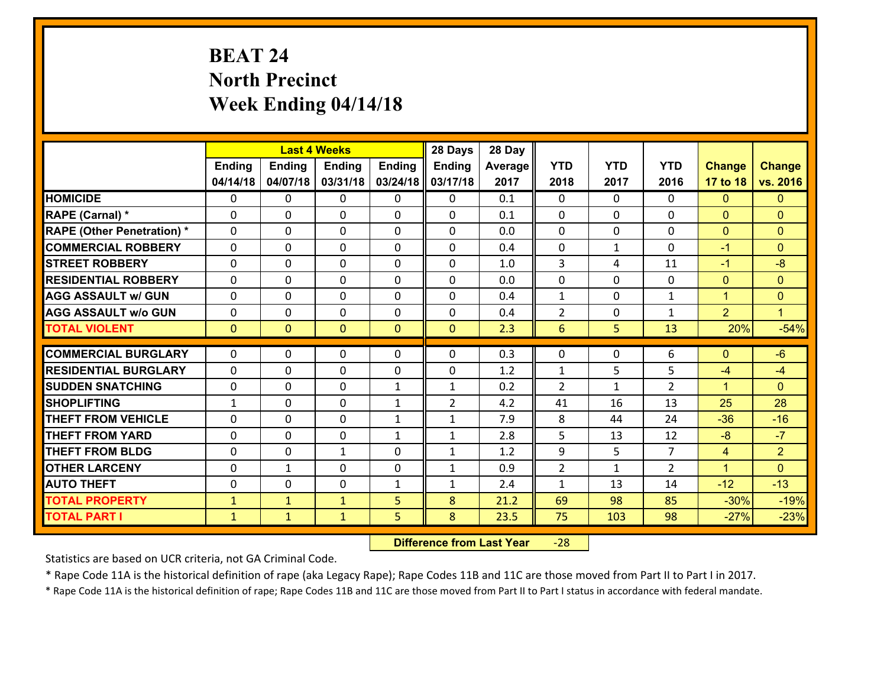# **BEAT 24 North Precinct Week Ending 04/14/18**

|                                   |               |                | <b>Last 4 Weeks</b> |               | 28 Days        | 28 Day  |                |              |                |                |                      |
|-----------------------------------|---------------|----------------|---------------------|---------------|----------------|---------|----------------|--------------|----------------|----------------|----------------------|
|                                   | <b>Ending</b> | <b>Ending</b>  | <b>Ending</b>       | <b>Ending</b> | Ending         | Average | <b>YTD</b>     | <b>YTD</b>   | <b>YTD</b>     | <b>Change</b>  | <b>Change</b>        |
|                                   | 04/14/18      | 04/07/18       | 03/31/18            | 03/24/18      | 03/17/18       | 2017    | 2018           | 2017         | 2016           | 17 to 18       | vs. 2016             |
| <b>HOMICIDE</b>                   | $\Omega$      | 0              | $\mathbf{0}$        | $\Omega$      | 0              | 0.1     | $\Omega$       | $\Omega$     | $\Omega$       | $\Omega$       | $\Omega$             |
| RAPE (Carnal) *                   | $\Omega$      | 0              | $\mathbf{0}$        | $\Omega$      | 0              | 0.1     | 0              | $\Omega$     | 0              | $\mathbf{0}$   | $\mathbf{0}$         |
| <b>RAPE (Other Penetration) *</b> | $\Omega$      | 0              | $\mathbf 0$         | 0             | 0              | 0.0     | 0              | $\Omega$     | $\Omega$       | $\mathbf{0}$   | $\mathbf{0}$         |
| <b>COMMERCIAL ROBBERY</b>         | 0             | 0              | $\mathbf 0$         | 0             | 0              | 0.4     | $\mathbf 0$    | $\mathbf{1}$ | 0              | $-1$           | $\mathbf{0}$         |
| <b>STREET ROBBERY</b>             | $\Omega$      | 0              | $\mathbf 0$         | 0             | 0              | 1.0     | 3              | 4            | 11             | $-1$           | $-8$                 |
| <b>RESIDENTIAL ROBBERY</b>        | 0             | 0              | $\mathbf 0$         | 0             | 0              | 0.0     | $\mathbf 0$    | $\mathbf 0$  | 0              | $\mathbf{0}$   | $\mathbf{0}$         |
| <b>AGG ASSAULT w/ GUN</b>         | 0             | 0              | $\mathbf 0$         | 0             | 0              | 0.4     | $\mathbf{1}$   | 0            | $\mathbf{1}$   | $\mathbf{1}$   | $\mathbf{0}$         |
| <b>AGG ASSAULT w/o GUN</b>        | 0             | 0              | 0                   | 0             | 0              | 0.4     | $\overline{2}$ | 0            | 1              | $\overline{2}$ | $\blacktriangleleft$ |
| <b>TOTAL VIOLENT</b>              | $\mathbf{0}$  | $\overline{0}$ | $\mathbf{O}$        | $\mathbf{0}$  | $\mathbf{0}$   | 2.3     | 6              | 5            | 13             | 20%            | $-54%$               |
|                                   |               |                |                     |               |                |         |                |              |                |                |                      |
| <b>COMMERCIAL BURGLARY</b>        | $\Omega$      | 0              | $\mathbf{0}$        | 0             | 0              | 0.3     | $\mathbf{0}$   | $\mathbf{0}$ | 6              | $\mathbf{0}$   | $-6$                 |
| <b>RESIDENTIAL BURGLARY</b>       | $\Omega$      | 0              | $\mathbf 0$         | 0             | 0              | 1.2     | 1              | 5            | 5              | $-4$           | $-4$                 |
| <b>SUDDEN SNATCHING</b>           | 0             | 0              | $\mathbf 0$         | $\mathbf{1}$  | $\mathbf{1}$   | 0.2     | $\overline{2}$ | $\mathbf{1}$ | $\overline{2}$ | $\mathbf{1}$   | $\Omega$             |
| <b>SHOPLIFTING</b>                | $\mathbf{1}$  | 0              | $\mathbf 0$         | $\mathbf{1}$  | $\overline{2}$ | 4.2     | 41             | 16           | 13             | 25             | 28                   |
| <b>THEFT FROM VEHICLE</b>         | 0             | 0              | $\mathbf 0$         | $\mathbf{1}$  | $\mathbf{1}$   | 7.9     | 8              | 44           | 24             | $-36$          | $-16$                |
| <b>THEFT FROM YARD</b>            | 0             | 0              | $\mathbf 0$         | $\mathbf{1}$  | $\mathbf{1}$   | 2.8     | 5              | 13           | 12             | $-8$           | $-7$                 |
| <b>THEFT FROM BLDG</b>            | $\Omega$      | 0              | 1                   | $\Omega$      | $\mathbf{1}$   | 1.2     | 9              | 5            | $\overline{7}$ | $\overline{4}$ | $\overline{2}$       |
| <b>OTHER LARCENY</b>              | $\mathbf 0$   | 1              | $\mathbf 0$         | $\Omega$      | $\mathbf{1}$   | 0.9     | $\overline{2}$ | $\mathbf{1}$ | $\overline{2}$ | $\mathbf{1}$   | $\overline{0}$       |
| <b>AUTO THEFT</b>                 | 0             | 0              | $\mathbf 0$         | $\mathbf{1}$  | $\mathbf{1}$   | 2.4     | $\mathbf{1}$   | 13           | 14             | $-12$          | $-13$                |
| <b>TOTAL PROPERTY</b>             | $\mathbf{1}$  | $\mathbf{1}$   | $\mathbf{1}$        | 5             | 8              | 21.2    | 69             | 98           | 85             | $-30%$         | $-19%$               |
| <b>TOTAL PART I</b>               | $\mathbf{1}$  | $\mathbf{1}$   | $\mathbf{1}$        | 5             | 8              | 23.5    | 75             | 103          | 98             | $-27%$         | $-23%$               |

 **Difference from Last Year**‐28

Statistics are based on UCR criteria, not GA Criminal Code.

\* Rape Code 11A is the historical definition of rape (aka Legacy Rape); Rape Codes 11B and 11C are those moved from Part II to Part I in 2017.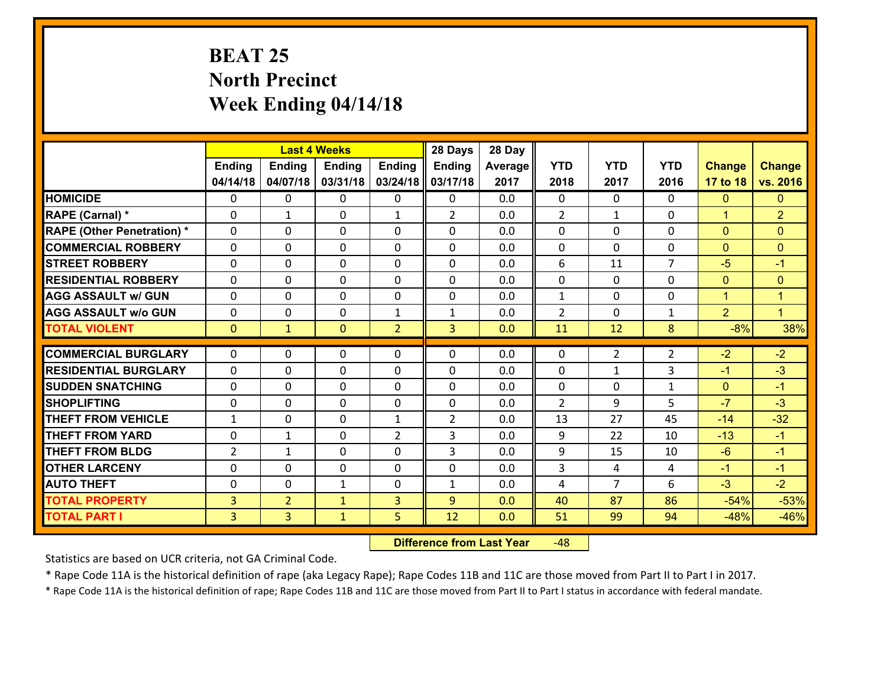# **BEAT 25 North Precinct Week Ending 04/14/18**

|                                              |                                  |                                  | <b>Last 4 Weeks</b>          |                | 28 Days           | 28 Day     |                     |                                  |                |                  |                      |
|----------------------------------------------|----------------------------------|----------------------------------|------------------------------|----------------|-------------------|------------|---------------------|----------------------------------|----------------|------------------|----------------------|
|                                              | <b>Ending</b>                    | <b>Ending</b>                    | <b>Ending</b>                | <b>Ending</b>  | <b>Ending</b>     | Average    | <b>YTD</b>          | <b>YTD</b>                       | <b>YTD</b>     | <b>Change</b>    | <b>Change</b>        |
|                                              | 04/14/18                         | 04/07/18                         | 03/31/18                     | 03/24/18       | 03/17/18          | 2017       | 2018                | 2017                             | 2016           | 17 to 18         | vs. 2016             |
| <b>HOMICIDE</b>                              | 0                                | 0                                | $\mathbf{0}$                 | 0              | 0                 | 0.0        | $\Omega$            | $\Omega$                         | $\Omega$       | $\mathbf{0}$     | $\mathbf{0}$         |
| RAPE (Carnal) *                              | $\Omega$                         | 1                                | $\mathbf{0}$                 | $\mathbf{1}$   | $\overline{2}$    | 0.0        | 2                   | $\mathbf{1}$                     | $\Omega$       | $\mathbf{1}$     | $\overline{2}$       |
| <b>RAPE (Other Penetration) *</b>            | $\Omega$                         | $\Omega$                         | $\Omega$                     | $\Omega$       | $\Omega$          | 0.0        | $\Omega$            | $\Omega$                         | $\Omega$       | $\Omega$         | $\Omega$             |
| <b>COMMERCIAL ROBBERY</b>                    | 0                                | 0                                | $\mathbf 0$                  | 0              | 0                 | 0.0        | 0                   | $\Omega$                         | 0              | $\mathbf{0}$     | $\mathbf{0}$         |
| <b>STREET ROBBERY</b>                        | $\Omega$                         | 0                                | $\mathbf 0$                  | $\Omega$       | 0                 | 0.0        | 6                   | 11                               | $\overline{7}$ | $-5$             | $-1$                 |
| <b>RESIDENTIAL ROBBERY</b>                   | $\Omega$                         | $\Omega$                         | $\mathbf 0$                  | $\Omega$       | $\Omega$          | 0.0        | 0                   | $\Omega$                         | $\Omega$       | $\mathbf{0}$     | $\mathbf{0}$         |
| <b>AGG ASSAULT w/ GUN</b>                    | $\Omega$                         | 0                                | $\mathbf 0$                  | $\Omega$       | 0                 | 0.0        | $\mathbf{1}$        | $\Omega$                         | $\Omega$       | $\mathbf{1}$     | $\blacktriangleleft$ |
| <b>AGG ASSAULT w/o GUN</b>                   | 0                                | 0                                | $\mathbf 0$                  | $\mathbf{1}$   | $\mathbf{1}$      | 0.0        | $\overline{2}$      | $\mathbf 0$                      | $\mathbf{1}$   | 2                | $\mathbf{1}$         |
| <b>TOTAL VIOLENT</b>                         | $\mathbf{0}$                     | $\mathbf{1}$                     | $\mathbf{0}$                 | $\overline{2}$ | $\overline{3}$    | 0.0        | 11                  | 12                               | 8              | $-8%$            | 38%                  |
|                                              |                                  |                                  |                              |                |                   |            |                     |                                  |                |                  |                      |
|                                              |                                  |                                  |                              |                |                   |            |                     |                                  |                |                  |                      |
| <b>COMMERCIAL BURGLARY</b>                   | $\Omega$                         | 0                                | 0                            | 0              | $\Omega$          | 0.0        | $\mathbf{0}$        | $\overline{2}$                   | 2              | $-2$             | $-2$                 |
| <b>RESIDENTIAL BURGLARY</b>                  | $\Omega$                         | 0                                | $\mathbf{0}$                 | 0              | $\Omega$          | 0.0        | 0                   | $\mathbf{1}$                     | 3              | $-1$             | $-3$                 |
| <b>SUDDEN SNATCHING</b>                      | $\Omega$                         | 0                                | $\mathbf{0}$                 | $\Omega$       | $\Omega$          | 0.0        | $\Omega$            | $\Omega$                         | $\mathbf{1}$   | $\mathbf{0}$     | $-1$                 |
| <b>SHOPLIFTING</b>                           | 0                                | 0                                | $\mathbf 0$                  | 0              | 0                 | 0.0        | $\overline{2}$      | 9                                | 5.             | $-7$             | $-3$                 |
| <b>THEFT FROM VEHICLE</b>                    | $\mathbf{1}$                     | 0                                | $\mathbf{0}$                 | $\mathbf{1}$   | $\overline{2}$    | 0.0        | 13                  | 27                               | 45             | $-14$            | $-32$                |
| <b>THEFT FROM YARD</b>                       | 0                                | 1                                | $\mathbf 0$                  | $\overline{2}$ | 3                 | 0.0        | 9                   | 22                               | 10             | $-13$            | $-1$                 |
| <b>THEFT FROM BLDG</b>                       | $\overline{2}$                   | 1                                | $\mathbf 0$                  | 0              | 3                 | 0.0        | 9                   | 15                               | 10             | $-6$             | $-1$                 |
| <b>OTHER LARCENY</b><br><b>AUTO THEFT</b>    | 0<br>0                           | 0<br>0                           | $\mathbf 0$                  | 0<br>0         | 0<br>$\mathbf{1}$ | 0.0<br>0.0 | $\overline{3}$<br>4 | $\overline{4}$<br>$\overline{7}$ | 4<br>6         | $-1$             | $-1$                 |
|                                              |                                  |                                  | 1                            |                | 9                 | 0.0        |                     | 87                               | 86             | $-3$             | $-2$                 |
| <b>TOTAL PROPERTY</b><br><b>TOTAL PART I</b> | $\overline{3}$<br>3 <sup>1</sup> | $\overline{2}$<br>$\overline{3}$ | $\mathbf{1}$<br>$\mathbf{1}$ | 3<br>5         | 12                | 0.0        | 40<br>51            | 99                               | 94             | $-54%$<br>$-48%$ | $-53%$<br>$-46%$     |

 **Difference from Last Year**r -48

Statistics are based on UCR criteria, not GA Criminal Code.

\* Rape Code 11A is the historical definition of rape (aka Legacy Rape); Rape Codes 11B and 11C are those moved from Part II to Part I in 2017.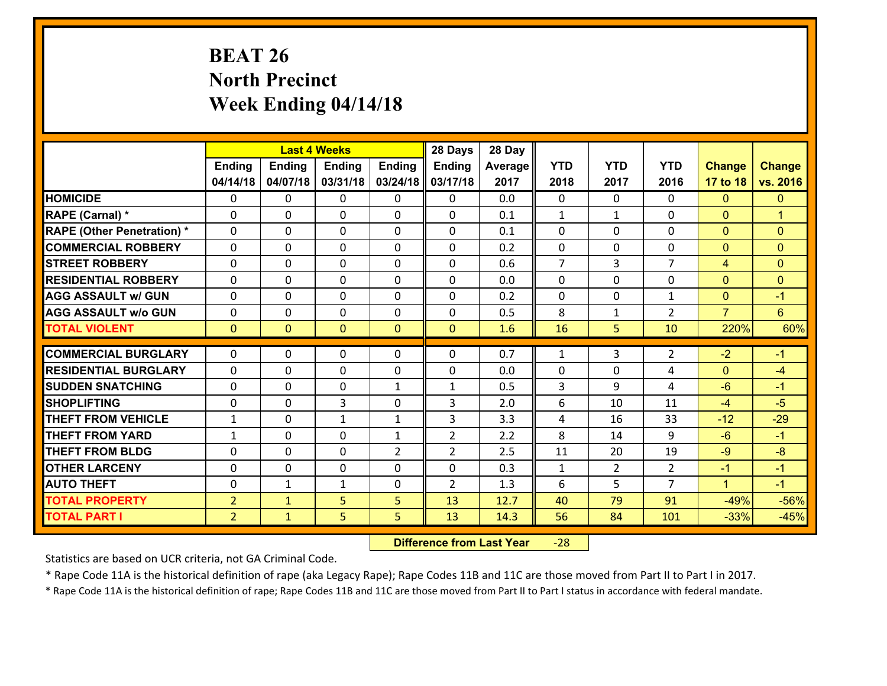# **BEAT 26 North Precinct Week Ending 04/14/18**

|                                   |                |                | <b>Last 4 Weeks</b> |                | 28 Days        | 28 Day  |                |                |                |                |                      |
|-----------------------------------|----------------|----------------|---------------------|----------------|----------------|---------|----------------|----------------|----------------|----------------|----------------------|
|                                   | <b>Ending</b>  | <b>Ending</b>  | <b>Ending</b>       | Ending         | <b>Ending</b>  | Average | <b>YTD</b>     | <b>YTD</b>     | <b>YTD</b>     | <b>Change</b>  | <b>Change</b>        |
|                                   | 04/14/18       | 04/07/18       | 03/31/18            | 03/24/18       | 03/17/18       | 2017    | 2018           | 2017           | 2016           | 17 to 18       | vs. 2016             |
| <b>HOMICIDE</b>                   | $\Omega$       | 0              | $\Omega$            | 0              | $\Omega$       | 0.0     | $\Omega$       | $\Omega$       | 0              | $\Omega$       | $\mathbf{0}$         |
| RAPE (Carnal) *                   | 0              | 0              | $\mathbf{0}$        | 0              | $\Omega$       | 0.1     | $\mathbf{1}$   | $\mathbf{1}$   | $\Omega$       | $\mathbf{0}$   | $\blacktriangleleft$ |
| <b>RAPE (Other Penetration) *</b> | $\Omega$       | 0              | $\mathbf{0}$        | $\Omega$       | $\Omega$       | 0.1     | $\Omega$       | $\Omega$       | $\Omega$       | $\mathbf{0}$   | $\mathbf{0}$         |
| <b>COMMERCIAL ROBBERY</b>         | 0              | 0              | 0                   | 0              | 0              | 0.2     | $\mathbf{0}$   | 0              | $\Omega$       | $\mathbf{0}$   | $\mathbf{0}$         |
| <b>STREET ROBBERY</b>             | $\Omega$       | 0              | $\mathbf 0$         | 0              | 0              | 0.6     | $\overline{7}$ | $\overline{3}$ | $\overline{7}$ | 4              | $\mathbf{0}$         |
| <b>RESIDENTIAL ROBBERY</b>        | $\Omega$       | $\Omega$       | $\mathbf 0$         | $\Omega$       | 0              | 0.0     | $\Omega$       | $\Omega$       | $\Omega$       | $\mathbf{0}$   | $\mathbf{0}$         |
| <b>AGG ASSAULT w/ GUN</b>         | $\Omega$       | 0              | $\mathbf 0$         | $\Omega$       | 0              | 0.2     | $\mathbf 0$    | $\mathbf 0$    | $\mathbf{1}$   | $\mathbf{0}$   | $-1$                 |
| <b>AGG ASSAULT w/o GUN</b>        | 0              | 0              | $\mathbf 0$         | 0              | 0              | 0.5     | 8              | $\mathbf{1}$   | $\overline{2}$ | $\overline{7}$ | $6\overline{6}$      |
| <b>TOTAL VIOLENT</b>              | $\mathbf{0}$   | $\overline{0}$ | $\mathbf{O}$        | $\mathbf{0}$   | $\mathbf{0}$   | 1.6     | 16             | 5              | 10             | 220%           | 60%                  |
| <b>COMMERCIAL BURGLARY</b>        | $\Omega$       | 0              | $\mathbf{0}$        | $\Omega$       | $\Omega$       | 0.7     | $\mathbf{1}$   | 3              | 2              | $-2$           | $-1$                 |
|                                   |                |                |                     |                |                |         |                |                |                |                |                      |
| <b>RESIDENTIAL BURGLARY</b>       | 0              | 0              | $\mathbf 0$         | 0              | 0              | 0.0     | 0              | 0              | 4              | $\mathbf{0}$   | $-4$                 |
| <b>SUDDEN SNATCHING</b>           | 0              | 0              | $\mathbf 0$         | $\mathbf{1}$   | $\mathbf{1}$   | 0.5     | 3<br>6         | 9              | 4<br>11        | $-6$           | $-1$<br>$-5$         |
| <b>SHOPLIFTING</b>                | 0              | 0              | 3                   | 0              | 3              | 2.0     |                | 10             |                | $-4$           |                      |
| <b>THEFT FROM VEHICLE</b>         | $\mathbf{1}$   | 0              | $\mathbf{1}$        | $\mathbf{1}$   | 3              | 3.3     | 4              | 16             | 33             | $-12$          | $-29$                |
| <b>THEFT FROM YARD</b>            | $\mathbf{1}$   | 0              | $\mathbf 0$         | $\mathbf{1}$   | $\overline{2}$ | 2.2     | 8              | 14             | 9              | $-6$           | $-1$                 |
| <b>THEFT FROM BLDG</b>            | 0              | 0              | $\mathbf 0$         | $\overline{2}$ | $\overline{2}$ | 2.5     | 11             | 20             | 19             | $-9$           | $-8$                 |
| <b>OTHER LARCENY</b>              | 0              | 0              | $\mathbf 0$         | 0              | 0              | 0.3     | $\mathbf{1}$   | $\overline{2}$ | $\overline{2}$ | $-1$           | $-1$                 |
| <b>AUTO THEFT</b>                 | $\mathbf{0}$   | 1              | $\mathbf{1}$        | 0              | $\overline{2}$ | 1.3     | 6              | 5              | $\overline{7}$ | $\mathbf{1}$   | $-1$                 |
| <b>TOTAL PROPERTY</b>             | $\overline{2}$ | $\mathbf{1}$   | 5                   | 5              | 13             | 12.7    | 40             | 79             | 91             | $-49%$         | $-56%$               |
| <b>TOTAL PART I</b>               | $\overline{2}$ | $\mathbf{1}$   | 5                   | 5              | 13             | 14.3    | 56             | 84             | 101            | $-33%$         | $-45%$               |

 **Difference from Last Year**‐28

Statistics are based on UCR criteria, not GA Criminal Code.

\* Rape Code 11A is the historical definition of rape (aka Legacy Rape); Rape Codes 11B and 11C are those moved from Part II to Part I in 2017.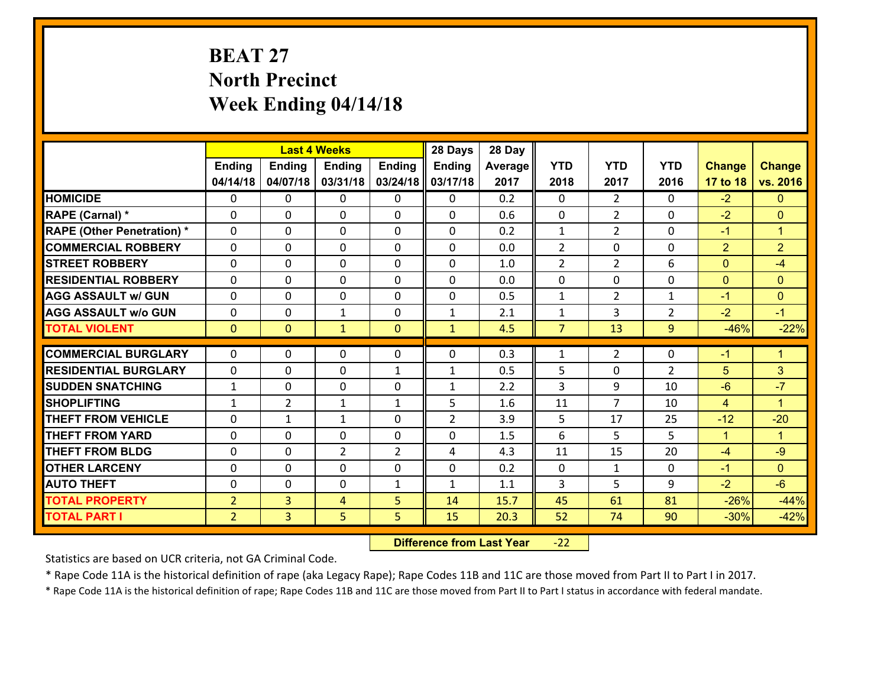# **BEAT 27 North Precinct Week Ending 04/14/18**

|                                   |                |                | <b>Last 4 Weeks</b> |                | 28 Days        | 28 Day  |                |                |                |                |                      |
|-----------------------------------|----------------|----------------|---------------------|----------------|----------------|---------|----------------|----------------|----------------|----------------|----------------------|
|                                   | <b>Ending</b>  | <b>Ending</b>  | <b>Ending</b>       | Ending         | <b>Ending</b>  | Average | <b>YTD</b>     | <b>YTD</b>     | <b>YTD</b>     | <b>Change</b>  | <b>Change</b>        |
|                                   | 04/14/18       | 04/07/18       | 03/31/18            | 03/24/18       | 03/17/18       | 2017    | 2018           | 2017           | 2016           | 17 to 18       | vs. 2016             |
| <b>HOMICIDE</b>                   | $\Omega$       | 0              | $\Omega$            | 0              | $\Omega$       | 0.2     | $\Omega$       | $\overline{2}$ | 0              | $-2$           | $\mathbf{0}$         |
| RAPE (Carnal) *                   | 0              | 0              | $\mathbf{0}$        | 0              | 0              | 0.6     | $\mathbf{0}$   | $\overline{2}$ | 0              | $-2$           | $\mathbf{0}$         |
| <b>RAPE (Other Penetration) *</b> | $\Omega$       | 0              | $\mathbf{0}$        | $\Omega$       | 0              | 0.2     | $\mathbf{1}$   | $\overline{2}$ | $\Omega$       | $-1$           | $\blacktriangleleft$ |
| <b>COMMERCIAL ROBBERY</b>         | 0              | 0              | 0                   | 0              | 0              | 0.0     | $\overline{2}$ | 0              | 0              | $\overline{2}$ | $\overline{2}$       |
| <b>STREET ROBBERY</b>             | $\Omega$       | 0              | $\mathbf 0$         | 0              | 0              | 1.0     | $\overline{2}$ | $\overline{2}$ | 6              | $\mathbf{0}$   | $-4$                 |
| <b>RESIDENTIAL ROBBERY</b>        | $\Omega$       | $\Omega$       | $\mathbf 0$         | $\Omega$       | 0              | 0.0     | $\mathbf 0$    | $\Omega$       | $\Omega$       | $\mathbf{0}$   | $\overline{0}$       |
| <b>AGG ASSAULT w/ GUN</b>         | $\Omega$       | 0              | $\mathbf 0$         | $\Omega$       | 0              | 0.5     | $\mathbf 1$    | $\overline{2}$ | $\mathbf{1}$   | $-1$           | $\mathbf{0}$         |
| <b>AGG ASSAULT w/o GUN</b>        | 0              | 0              | $\mathbf{1}$        | 0              | $\mathbf{1}$   | 2.1     | $\mathbf 1$    | 3              | $\overline{2}$ | $-2$           | $-1$                 |
| <b>TOTAL VIOLENT</b>              | $\mathbf{0}$   | $\overline{0}$ | $\mathbf{1}$        | $\mathbf{0}$   | $\mathbf{1}$   | 4.5     | $\overline{7}$ | 13             | 9              | $-46%$         | $-22%$               |
| <b>COMMERCIAL BURGLARY</b>        | $\Omega$       | 0              | $\mathbf{0}$        | $\Omega$       | $\Omega$       | 0.3     | $\mathbf{1}$   | $\overline{2}$ | $\Omega$       | $-1$           | $\blacktriangleleft$ |
|                                   |                |                |                     |                |                |         |                |                |                |                |                      |
| <b>RESIDENTIAL BURGLARY</b>       | 0              | 0              | $\mathbf 0$         | $\mathbf{1}$   | $\mathbf{1}$   | 0.5     | 5              | 0              | $\overline{2}$ | 5              | 3                    |
| <b>SUDDEN SNATCHING</b>           | $\mathbf{1}$   | 0              | $\mathbf 0$         | 0              | $\mathbf{1}$   | 2.2     | 3              | 9              | 10             | $-6$           | $-7$                 |
| <b>SHOPLIFTING</b>                | $\mathbf{1}$   | $\overline{2}$ | 1                   | $\mathbf{1}$   | 5              | 1.6     | 11             | $\overline{7}$ | 10             | $\overline{4}$ | $\blacktriangleleft$ |
| <b>THEFT FROM VEHICLE</b>         | $\Omega$       | $\mathbf{1}$   | 1                   | 0              | $\overline{2}$ | 3.9     | 5              | 17             | 25             | $-12$          | $-20$                |
| <b>THEFT FROM YARD</b>            | 0              | 0              | $\mathbf 0$         | 0              | 0              | 1.5     | 6              | 5              | 5              | $\mathbf{1}$   | $\blacktriangleleft$ |
| <b>THEFT FROM BLDG</b>            | 0              | 0              | $\overline{2}$      | $\overline{2}$ | 4              | 4.3     | 11             | 15             | 20             | $-4$           | $-9$                 |
| <b>OTHER LARCENY</b>              | 0              | 0              | $\mathbf 0$         | 0              | 0              | 0.2     | $\mathbf 0$    | $\mathbf{1}$   | 0              | $-1$           | $\overline{0}$       |
| <b>AUTO THEFT</b>                 | 0              | 0              | $\mathbf{0}$        | $\mathbf{1}$   | $\mathbf{1}$   | 1.1     | 3              | 5              | 9              | $-2$           | $-6$                 |
| <b>TOTAL PROPERTY</b>             | $\overline{2}$ | 3              | 4                   | 5              | 14             | 15.7    | 45             | 61             | 81             | $-26%$         | $-44%$               |
| <b>TOTAL PART I</b>               | $\overline{2}$ | $\overline{3}$ | 5                   | 5              | 15             | 20.3    | 52             | 74             | 90             | $-30%$         | $-42%$               |

 **Difference from Last Year**r -22

Statistics are based on UCR criteria, not GA Criminal Code.

\* Rape Code 11A is the historical definition of rape (aka Legacy Rape); Rape Codes 11B and 11C are those moved from Part II to Part I in 2017.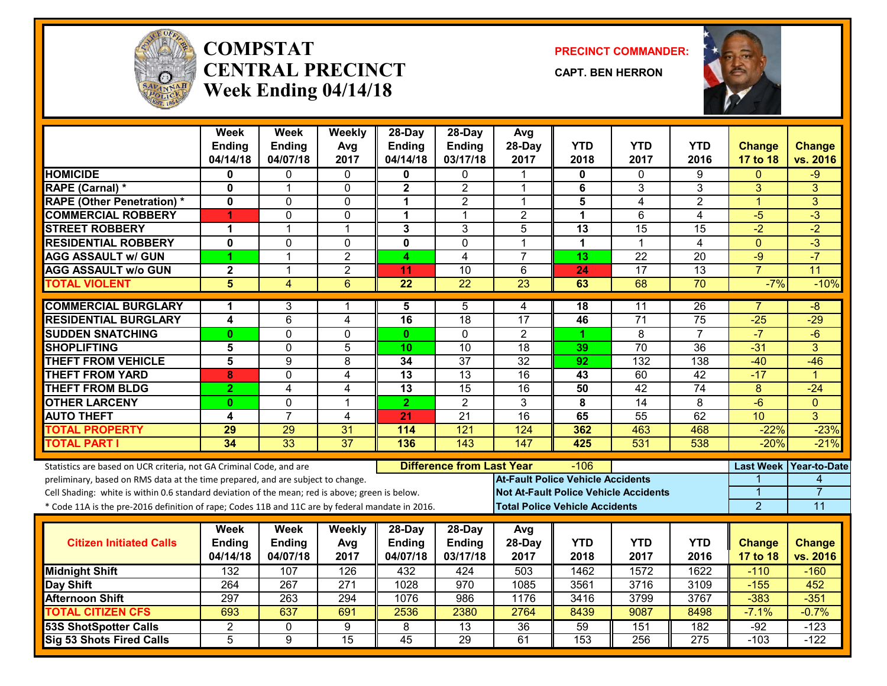

#### **COMPSTATCENTRAL PRECINCTWeek Ending 04/14/18**

**PRECINCT COMMANDER:**

**CAPT. BEN HERRON**



|                                                                                                  | Week<br><b>Ending</b>   | <b>Week</b><br><b>Ending</b> | Weekly<br>Avg    | 28-Day<br><b>Ending</b> | 28-Day<br><b>Ending</b>          | Avg<br>28-Day                            | <b>YTD</b>       | <b>YTD</b>                                   | <b>YTD</b>       | <b>Change</b>    | <b>Change</b>        |
|--------------------------------------------------------------------------------------------------|-------------------------|------------------------------|------------------|-------------------------|----------------------------------|------------------------------------------|------------------|----------------------------------------------|------------------|------------------|----------------------|
|                                                                                                  | 04/14/18                | 04/07/18                     | 2017             | 04/14/18                | 03/17/18                         | 2017                                     | 2018             | 2017                                         | 2016             | 17 to 18         | vs. 2016             |
| <b>HOMICIDE</b>                                                                                  | $\bf{0}$                | 0                            | $\Omega$         | 0                       | 0                                |                                          | 0                | $\Omega$                                     | 9                | $\Omega$         | $-9$                 |
| RAPE (Carnal) *                                                                                  | $\mathbf 0$             | 1                            | $\Omega$         | $\mathbf 2$             | $\overline{2}$                   | 1                                        | 6                | 3                                            | 3                | 3                | 3                    |
| <b>RAPE (Other Penetration) *</b>                                                                | $\mathbf{0}$            | 0                            | $\mathbf 0$      | $\mathbf 1$             | $\overline{2}$                   | 1                                        | 5                | 4                                            | $\overline{2}$   | $\mathbf{1}$     | $\overline{3}$       |
| <b>COMMERCIAL ROBBERY</b>                                                                        | 4                       | 0                            | $\mathbf 0$      | 1                       | $\mathbf 1$                      | $\overline{2}$                           | $\mathbf{1}$     | 6                                            | $\overline{4}$   | $-5$             | $-3$                 |
| <b>STREET ROBBERY</b>                                                                            | 1                       | $\mathbf{1}$                 | $\mathbf 1$      | 3                       | 3                                | 5                                        | 13               | 15                                           | 15               | $-2$             | $-2$                 |
| <b>RESIDENTIAL ROBBERY</b>                                                                       | $\mathbf 0$             | 0                            | $\mathbf 0$      | $\overline{\mathbf{0}}$ | $\overline{0}$                   | 1                                        | $\mathbf{1}$     | 1                                            | $\overline{4}$   | $\mathbf{0}$     | $-3$                 |
| <b>AGG ASSAULT w/ GUN</b>                                                                        | 1                       | 1                            | $\overline{2}$   | 4                       | 4                                | $\overline{7}$                           | 13               | $\overline{22}$                              | 20               | $-9$             | $-7$                 |
| <b>AGG ASSAULT W/o GUN</b>                                                                       | $\overline{\mathbf{2}}$ | $\mathbf{1}$                 | $\overline{2}$   | 11                      | $\overline{10}$                  | 6                                        | 24               | 17                                           | $\overline{13}$  | $\overline{7}$   | $\overline{11}$      |
| <b>TOTAL VIOLENT</b>                                                                             | 5                       | $\overline{4}$               | 6                | $\overline{22}$         | $\overline{22}$                  | 23                                       | 63               | 68                                           | 70               | $-7%$            | $-10%$               |
| <b>COMMERCIAL BURGLARY</b>                                                                       | 1                       | 3                            | 1                | 5                       | 5                                | 4                                        | 18               | 11                                           | 26               | $\overline{7}$   | -8                   |
| <b>RESIDENTIAL BURGLARY</b>                                                                      | 4                       | 6                            | 4                | 16                      | 18                               | 17                                       | 46               | $\overline{71}$                              | 75               | $-25$            | $-29$                |
| <b>SUDDEN SNATCHING</b>                                                                          | $\mathbf{0}$            | 0                            | $\Omega$         | $\mathbf{0}$            | $\mathbf{0}$                     | $\overline{2}$                           | 1.               | 8                                            | $\overline{7}$   | $-7$             | $-6$                 |
| <b>SHOPLIFTING</b>                                                                               | 5                       | $\overline{0}$               | 5                | 10                      | $\overline{10}$                  | $\overline{18}$                          | 39               | $\overline{70}$                              | $\overline{36}$  | $-31$            | 3                    |
| <b>THEFT FROM VEHICLE</b>                                                                        | $\overline{5}$          | $\overline{9}$               | 8                | 34                      | $\overline{37}$                  | $\overline{32}$                          | $\overline{92}$  | 132                                          | 138              | $-40$            | $-46$                |
| <b>THEFT FROM YARD</b>                                                                           | 8                       | 0                            | 4                | $\overline{13}$         | $\overline{13}$                  | $\overline{16}$                          | 43               | 60                                           | $\overline{42}$  | $-17$            | $\blacktriangleleft$ |
| <b>THEFT FROM BLDG</b>                                                                           | $\overline{2}$          | 4                            | 4                | 13                      | 15                               | 16                                       | 50               | 42                                           | 74               | 8                | $-24$                |
| <b>OTHER LARCENY</b>                                                                             | $\mathbf{0}$            | $\overline{0}$               | 1                | $\overline{2}$          | $\overline{2}$                   | $\overline{3}$                           | 8                | $\overline{14}$                              | $\overline{8}$   | $-6$             | $\Omega$             |
| <b>AUTO THEFT</b>                                                                                | 4                       | $\overline{7}$               | 4                | 21                      | $\overline{21}$                  | $\overline{16}$                          | 65               | $\overline{55}$                              | 62               | 10               | 3                    |
| <b>TOTAL PROPERTY</b>                                                                            | 29                      | 29                           | 31               | 114                     | 121                              | 124                                      | 362              | 463                                          | 468              | $-22%$           | $-23%$               |
| <b>TOTAL PART I</b>                                                                              | 34                      | 33                           | $\overline{37}$  | 136                     | 143                              | 147                                      | 425              | 531                                          | 538              | $-20%$           | $-21%$               |
| Statistics are based on UCR criteria, not GA Criminal Code, and are                              |                         |                              |                  |                         | <b>Difference from Last Year</b> |                                          | -106             |                                              |                  | <b>Last Week</b> | <b>Year-to-Date</b>  |
| preliminary, based on RMS data at the time prepared, and are subject to change.                  |                         |                              |                  |                         |                                  | <b>At-Fault Police Vehicle Accidents</b> |                  |                                              |                  |                  | 4                    |
| Cell Shading: white is within 0.6 standard deviation of the mean; red is above; green is below.  |                         |                              |                  |                         |                                  |                                          |                  | <b>Not At-Fault Police Vehicle Accidents</b> |                  | 1                | $\overline{7}$       |
| * Code 11A is the pre-2016 definition of rape; Codes 11B and 11C are by federal mandate in 2016. |                         |                              |                  |                         |                                  | <b>Total Police Vehicle Accidents</b>    |                  |                                              |                  | $\overline{2}$   | 11                   |
|                                                                                                  | Week                    | <b>Week</b>                  | Weekly           | $28-Day$                | 28-Day                           | Avg                                      |                  |                                              |                  |                  |                      |
| <b>Citizen Initiated Calls</b>                                                                   | <b>Ending</b>           | <b>Ending</b>                | Avg              | <b>Ending</b>           | <b>Ending</b>                    | 28-Day                                   | <b>YTD</b>       | <b>YTD</b>                                   | <b>YTD</b>       | <b>Change</b>    | <b>Change</b>        |
|                                                                                                  | 04/14/18                | 04/07/18                     | 2017             | 04/07/18                | 03/17/18                         | 2017                                     | 2018             | 2017                                         | 2016             | 17 to 18         | vs. 2016             |
| <b>Midnight Shift</b>                                                                            | 132                     | 107                          | 126              | 432                     | 424                              | 503                                      | 1462             | 1572                                         | 1622             | $-110$           | $-160$               |
| Day Shift                                                                                        | 264                     | 267                          | $\overline{271}$ | 1028                    | 970                              | 1085                                     | 3561             | 3716                                         | 3109             | $-155$           | 452                  |
| <b>Afternoon Shift</b>                                                                           | 297                     | 263                          | 294              | 1076                    | 986                              | 1176                                     | 3416             | 3799                                         | 3767             | $-383$           | $-351$               |
| <b>TOTAL CITIZEN CFS</b>                                                                         | 693                     | 637                          | 691              | 2536                    | 2380                             | 2764                                     | 8439             | 9087                                         | 8498             | $-7.1%$          | $-0.7%$              |
| <b>53S ShotSpotter Calls</b>                                                                     | 2                       | 0                            | $\overline{9}$   | 8                       | $\overline{13}$                  | $\overline{36}$                          | 59               | 151                                          | 182              | $-92$            | $-123$               |
| Sig 53 Shots Fired Calls                                                                         | 5                       | $\overline{9}$               | $\overline{15}$  | $\overline{45}$         | 29                               | 61                                       | $\overline{153}$ | 256                                          | $\overline{275}$ | $-103$           | $-122$               |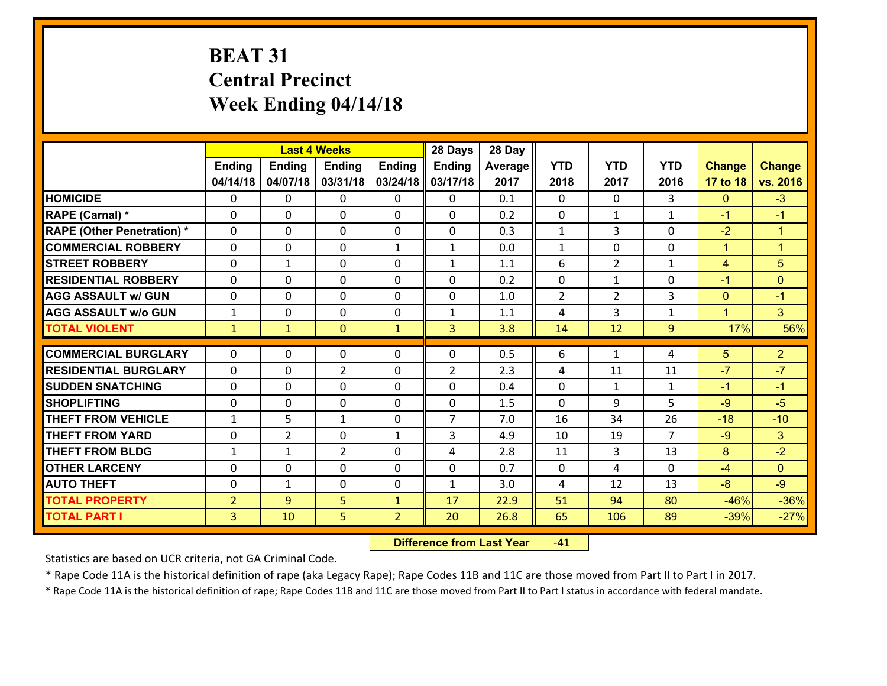# **BEAT 31 Central Precinct Week Ending 04/14/18**

|                                   |                |                | <b>Last 4 Weeks</b> |                | 28 Days        | 28 Day  |                |                |                |                |                      |
|-----------------------------------|----------------|----------------|---------------------|----------------|----------------|---------|----------------|----------------|----------------|----------------|----------------------|
|                                   | <b>Ending</b>  | <b>Ending</b>  | <b>Ending</b>       | <b>Ending</b>  | <b>Ending</b>  | Average | <b>YTD</b>     | <b>YTD</b>     | <b>YTD</b>     | <b>Change</b>  | <b>Change</b>        |
|                                   | 04/14/18       | 04/07/18       | 03/31/18            | 03/24/18       | 03/17/18       | 2017    | 2018           | 2017           | 2016           | 17 to 18       | vs. 2016             |
| <b>HOMICIDE</b>                   | $\mathbf{0}$   | 0              | 0                   | 0              | 0              | 0.1     | $\mathbf 0$    | $\Omega$       | 3              | $\mathbf{0}$   | $-3$                 |
| <b>RAPE (Carnal) *</b>            | $\Omega$       | 0              | $\mathbf{0}$        | 0              | 0              | 0.2     | $\mathbf{0}$   | $\mathbf{1}$   | $\mathbf{1}$   | $-1$           | $-1$                 |
| <b>RAPE (Other Penetration) *</b> | $\Omega$       | 0              | $\Omega$            | $\Omega$       | $\Omega$       | 0.3     | $\mathbf{1}$   | 3              | $\Omega$       | $-2$           | $\blacktriangleleft$ |
| <b>COMMERCIAL ROBBERY</b>         | $\Omega$       | $\Omega$       | $\mathbf 0$         | $\mathbf{1}$   | $\mathbf{1}$   | 0.0     | $\mathbf{1}$   | $\Omega$       | $\Omega$       | $\mathbf{1}$   | $\overline{1}$       |
| <b>STREET ROBBERY</b>             | 0              | $\mathbf 1$    | $\mathbf 0$         | 0              | $\mathbf{1}$   | 1.1     | 6              | $\overline{2}$ | $\mathbf{1}$   | $\overline{4}$ | 5                    |
| <b>RESIDENTIAL ROBBERY</b>        | $\Omega$       | 0              | $\mathbf 0$         | 0              | 0              | 0.2     | $\mathbf 0$    | $\mathbf{1}$   | 0              | $-1$           | $\mathbf{0}$         |
| <b>AGG ASSAULT w/ GUN</b>         | 0              | 0              | $\mathbf 0$         | 0              | 0              | 1.0     | $\overline{2}$ | $\overline{2}$ | 3              | $\mathbf{0}$   | $-1$                 |
| <b>AGG ASSAULT w/o GUN</b>        | $\mathbf{1}$   | 0              | $\mathbf 0$         | 0              | $\mathbf{1}$   | 1.1     | 4              | $\overline{3}$ | $\mathbf{1}$   | $\mathbf{1}$   | 3 <sup>1</sup>       |
| <b>TOTAL VIOLENT</b>              | $\mathbf{1}$   | $\mathbf{1}$   | $\mathbf{0}$        | $\mathbf{1}$   | 3              | 3.8     | 14             | 12             | 9              | 17%            | 56%                  |
| <b>COMMERCIAL BURGLARY</b>        | $\Omega$       |                |                     |                |                |         |                |                |                |                |                      |
|                                   |                | 0              | 0                   | 0              | $\Omega$       | 0.5     | 6              | $\mathbf{1}$   | 4              | 5              | $\overline{2}$       |
| <b>RESIDENTIAL BURGLARY</b>       | $\Omega$       | 0              | $\overline{2}$      | 0              | $\overline{2}$ | 2.3     | 4              | 11             | 11             | $-7$           | $-7$                 |
| <b>SUDDEN SNATCHING</b>           | $\Omega$       | 0              | $\mathbf 0$         | $\Omega$       | $\Omega$       | 0.4     | $\Omega$       | $\mathbf{1}$   | $\mathbf{1}$   | $-1$           | $-1$                 |
| <b>SHOPLIFTING</b>                | $\mathbf{0}$   | 0              | $\mathbf 0$         | $\Omega$       | 0              | 1.5     | $\Omega$       | 9              | 5              | $-9$           | $-5$                 |
| <b>THEFT FROM VEHICLE</b>         | $\mathbf{1}$   | 5              | 1                   | 0              | $\overline{7}$ | 7.0     | 16             | 34             | 26             | $-18$          | $-10$                |
| <b>THEFT FROM YARD</b>            | 0              | $\overline{2}$ | $\mathbf 0$         | $\mathbf{1}$   | 3              | 4.9     | 10             | 19             | $\overline{7}$ | $-9$           | 3 <sup>1</sup>       |
| <b>THEFT FROM BLDG</b>            | $\mathbf{1}$   | 1              | $\overline{2}$      | 0              | 4              | 2.8     | 11             | 3              | 13             | 8              | $-2$                 |
| <b>OTHER LARCENY</b>              | 0              | 0              | $\mathbf 0$         | 0              | 0              | 0.7     | $\mathbf 0$    | 4              | $\Omega$       | $-4$           | $\overline{0}$       |
| <b>AUTO THEFT</b>                 | 0              | 1              | 0                   | 0              | $\mathbf{1}$   | 3.0     | 4              | 12             | 13             | $-8$           | $-9$                 |
| <b>TOTAL PROPERTY</b>             | $\overline{2}$ | 9              | 5                   | $\mathbf{1}$   | 17             | 22.9    | 51             | 94             | 80             | $-46%$         | $-36%$               |
| <b>TOTAL PART I</b>               | $\overline{3}$ | 10             | 5                   | $\overline{2}$ | 20             | 26.8    | 65             | 106            | 89             | $-39%$         | $-27%$               |

 **Difference from Last Year**r -41

Statistics are based on UCR criteria, not GA Criminal Code.

\* Rape Code 11A is the historical definition of rape (aka Legacy Rape); Rape Codes 11B and 11C are those moved from Part II to Part I in 2017.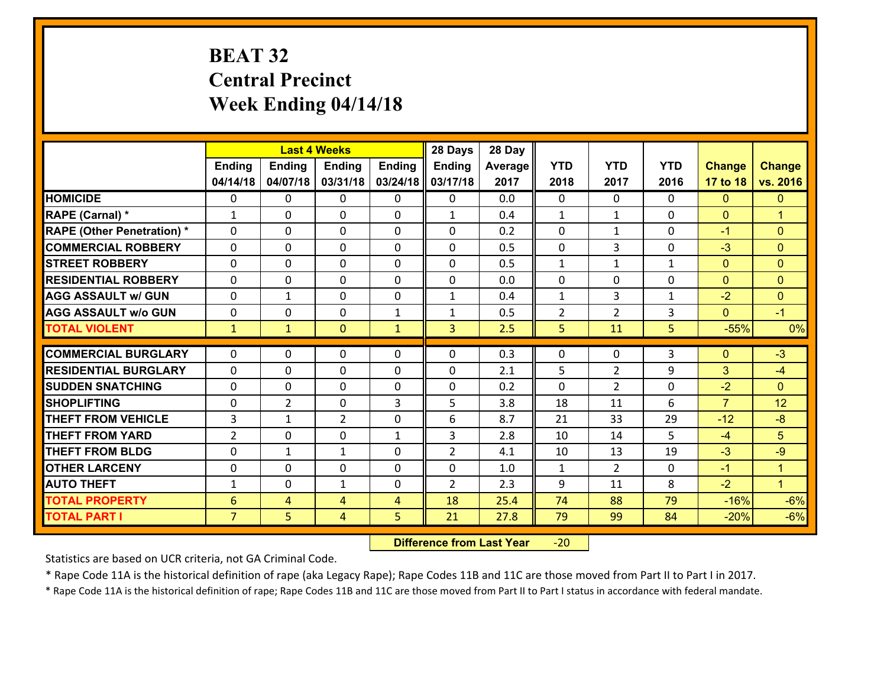# **BEAT 32 Central Precinct Week Ending 04/14/18**

|                                   |                 |                | <b>Last 4 Weeks</b> |                | 28 Days        | 28 Day  |                |                |              |                |                      |
|-----------------------------------|-----------------|----------------|---------------------|----------------|----------------|---------|----------------|----------------|--------------|----------------|----------------------|
|                                   | <b>Ending</b>   | <b>Ending</b>  | <b>Ending</b>       | <b>Ending</b>  | Ending         | Average | <b>YTD</b>     | <b>YTD</b>     | <b>YTD</b>   | <b>Change</b>  | <b>Change</b>        |
|                                   | 04/14/18        | 04/07/18       | 03/31/18            | 03/24/18       | 03/17/18       | 2017    | 2018           | 2017           | 2016         | 17 to 18       | vs. 2016             |
| <b>HOMICIDE</b>                   | $\Omega$        | 0              | 0                   | 0              | 0              | 0.0     | 0              | $\Omega$       | 0            | $\Omega$       | $\Omega$             |
| RAPE (Carnal) *                   | $\mathbf{1}$    | 0              | $\mathbf{0}$        | $\Omega$       | $\mathbf{1}$   | 0.4     | $\mathbf{1}$   | $\mathbf{1}$   | 0            | $\mathbf{0}$   | $\blacktriangleleft$ |
| <b>RAPE (Other Penetration) *</b> | 0               | 0              | $\mathbf 0$         | 0              | 0              | 0.2     | $\mathbf{0}$   | $\mathbf{1}$   | 0            | $-1$           | $\Omega$             |
| <b>COMMERCIAL ROBBERY</b>         | 0               | 0              | $\mathbf 0$         | 0              | 0              | 0.5     | 0              | 3              | 0            | $-3$           | $\Omega$             |
| <b>STREET ROBBERY</b>             | 0               | 0              | $\mathbf 0$         | 0              | 0              | 0.5     | $\mathbf 1$    | $\mathbf{1}$   | $\mathbf{1}$ | $\mathbf{0}$   | $\Omega$             |
| <b>RESIDENTIAL ROBBERY</b>        | 0               | 0              | $\mathbf 0$         | $\mathbf 0$    | 0              | 0.0     | $\mathbf 0$    | 0              | 0            | $\mathbf{0}$   | $\overline{0}$       |
| <b>AGG ASSAULT w/ GUN</b>         | 0               | $\mathbf{1}$   | $\mathbf 0$         | 0              | $\mathbf{1}$   | 0.4     | $\mathbf{1}$   | 3              | $\mathbf{1}$ | $-2$           | $\overline{0}$       |
| <b>AGG ASSAULT w/o GUN</b>        | 0               | 0              | $\mathbf 0$         | $\mathbf{1}$   | $\mathbf{1}$   | 0.5     | $\overline{2}$ | $\overline{2}$ | 3            | $\mathbf{0}$   | $-1$                 |
| <b>TOTAL VIOLENT</b>              | $\mathbf{1}$    | $\mathbf{1}$   | $\mathbf{0}$        | $\mathbf{1}$   | 3              | 2.5     | 5              | 11             | 5            | $-55%$         | 0%                   |
| <b>COMMERCIAL BURGLARY</b>        | $\Omega$        | 0              |                     | 0              | $\Omega$       | 0.3     | $\mathbf{0}$   | $\mathbf{0}$   |              | $\mathbf{0}$   | $-3$                 |
|                                   |                 |                | 0                   |                |                |         |                |                | 3            |                |                      |
| <b>RESIDENTIAL BURGLARY</b>       | $\mathbf{0}$    | 0              | 0                   | 0              | 0              | 2.1     | 5              | 2              | 9            | 3              | $-4$                 |
| <b>SUDDEN SNATCHING</b>           | 0               | 0              | $\mathbf 0$         | 0              | 0              | 0.2     | $\Omega$       | $\overline{2}$ | 0            | $-2$           | $\Omega$             |
| <b>SHOPLIFTING</b>                | 0               | $\overline{2}$ | $\mathbf 0$         | 3              | 5              | 3.8     | 18             | 11             | 6            | $\overline{7}$ | 12                   |
| <b>THEFT FROM VEHICLE</b>         | $\overline{3}$  | $\mathbf{1}$   | $\overline{2}$      | 0              | 6              | 8.7     | 21             | 33             | 29           | $-12$          | $-8$                 |
| <b>THEFT FROM YARD</b>            | $\overline{2}$  | 0              | $\mathbf 0$         | $\mathbf{1}$   | 3              | 2.8     | 10             | 14             | 5            | $-4$           | 5                    |
| <b>THEFT FROM BLDG</b>            | 0               | $\mathbf{1}$   | 1                   | $\Omega$       | $\overline{2}$ | 4.1     | 10             | 13             | 19           | $-3$           | $-9$                 |
| <b>OTHER LARCENY</b>              | $\mathbf 0$     | 0              | $\mathbf 0$         | $\Omega$       | 0              | 1.0     | $\mathbf{1}$   | $\overline{2}$ | 0            | $-1$           | $\overline{1}$       |
| <b>AUTO THEFT</b>                 | $\mathbf{1}$    | 0              | $\mathbf{1}$        | $\mathbf 0$    | $\overline{2}$ | 2.3     | 9              | 11             | 8            | $-2$           | $\overline{1}$       |
| <b>TOTAL PROPERTY</b>             | $6\phantom{1}6$ | 4              | 4                   | $\overline{4}$ | 18             | 25.4    | 74             | 88             | 79           | $-16%$         | $-6%$                |
| <b>TOTAL PART I</b>               | $\overline{7}$  | 5              | 4                   | 5              | 21             | 27.8    | 79             | 99             | 84           | $-20%$         | $-6%$                |

 **Difference from Last Year**‐20

Statistics are based on UCR criteria, not GA Criminal Code.

\* Rape Code 11A is the historical definition of rape (aka Legacy Rape); Rape Codes 11B and 11C are those moved from Part II to Part I in 2017.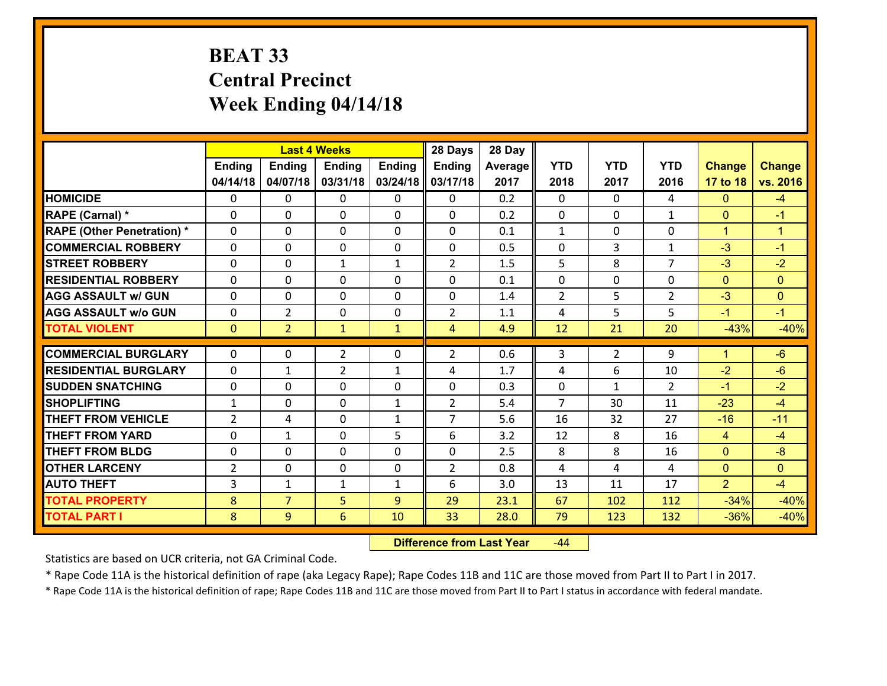# **BEAT 33 Central PrecinctWeek Ending 04/14/18**

|                                   |                |                | <b>Last 4 Weeks</b> |              | 28 Days        | 28 Day  |                |                |                |                      |                      |
|-----------------------------------|----------------|----------------|---------------------|--------------|----------------|---------|----------------|----------------|----------------|----------------------|----------------------|
|                                   | Ending         | <b>Ending</b>  | <b>Ending</b>       | Ending       | <b>Ending</b>  | Average | <b>YTD</b>     | <b>YTD</b>     | <b>YTD</b>     | <b>Change</b>        | <b>Change</b>        |
|                                   | 04/14/18       | 04/07/18       | 03/31/18            | 03/24/18     | 03/17/18       | 2017    | 2018           | 2017           | 2016           | 17 to 18             | vs. 2016             |
| <b>HOMICIDE</b>                   | $\Omega$       | 0              | 0                   | $\Omega$     | $\Omega$       | 0.2     | 0              | $\Omega$       | 4              | $\Omega$             | $-4$                 |
| RAPE (Carnal) *                   | $\mathbf{0}$   | 0              | $\mathbf{0}$        | 0            | $\Omega$       | 0.2     | $\mathbf{0}$   | $\mathbf{0}$   | $\mathbf{1}$   | $\mathbf{0}$         | $-1$                 |
| <b>RAPE (Other Penetration) *</b> | $\Omega$       | 0              | $\mathbf{0}$        | $\Omega$     | $\Omega$       | 0.1     | $\mathbf{1}$   | 0              | 0              | $\mathbf{1}$         | $\blacktriangleleft$ |
| <b>COMMERCIAL ROBBERY</b>         | $\mathbf{0}$   | 0              | 0                   | 0            | $\Omega$       | 0.5     | $\mathbf{0}$   | 3              | $\mathbf{1}$   | $-3$                 | $-1$                 |
| <b>STREET ROBBERY</b>             | 0              | 0              | 1                   | $\mathbf{1}$ | $\overline{2}$ | 1.5     | 5              | 8              | $\overline{7}$ | $-3$                 | $-2$                 |
| <b>RESIDENTIAL ROBBERY</b>        | $\Omega$       | $\Omega$       | $\mathbf 0$         | $\Omega$     | 0              | 0.1     | 0              | $\Omega$       | 0              | $\mathbf{0}$         | $\Omega$             |
| <b>AGG ASSAULT w/ GUN</b>         | $\Omega$       | 0              | $\mathbf 0$         | 0            | 0              | 1.4     | $\overline{2}$ | 5              | $\overline{2}$ | $-3$                 | $\overline{0}$       |
| <b>AGG ASSAULT w/o GUN</b>        | 0              | $\overline{2}$ | $\mathbf 0$         | $\mathbf 0$  | $\overline{2}$ | 1.1     | 4              | 5              | 5              | $-1$                 | $-1$                 |
| <b>TOTAL VIOLENT</b>              | $\mathbf{0}$   | $\overline{2}$ | $\mathbf{1}$        | $\mathbf{1}$ | $\overline{4}$ | 4.9     | 12             | 21             | 20             | $-43%$               | $-40%$               |
| <b>COMMERCIAL BURGLARY</b>        | $\Omega$       | 0              | $\overline{2}$      | $\Omega$     | $\overline{2}$ | 0.6     | 3              | $\overline{2}$ | 9              | $\blacktriangleleft$ | $-6$                 |
| <b>RESIDENTIAL BURGLARY</b>       | 0              | 1              | $\overline{2}$      | $\mathbf{1}$ | 4              | 1.7     | 4              | 6              | 10             | $-2$                 | $-6$                 |
| <b>SUDDEN SNATCHING</b>           | 0              | 0              | 0                   | 0            | 0              | 0.3     | 0              | $\mathbf{1}$   | $\overline{2}$ | $-1$                 | $-2$                 |
| <b>SHOPLIFTING</b>                | $\mathbf{1}$   | 0              | $\mathbf 0$         | $\mathbf{1}$ | $\overline{2}$ | 5.4     | $\overline{7}$ | 30             | 11             | $-23$                | $-4$                 |
| <b>THEFT FROM VEHICLE</b>         | $\overline{2}$ | 4              | $\mathbf 0$         | $\mathbf{1}$ | $\overline{7}$ | 5.6     | 16             | 32             | 27             | $-16$                | $-11$                |
| <b>THEFT FROM YARD</b>            | 0              | $\mathbf{1}$   | $\mathbf 0$         | 5            | 6              | 3.2     | 12             | 8              | 16             | $\overline{4}$       | $-4$                 |
| <b>THEFT FROM BLDG</b>            | 0              | 0              | $\mathbf 0$         | 0            | 0              | 2.5     | 8              | 8              | 16             | $\mathbf{0}$         | $-8$                 |
| <b>OTHER LARCENY</b>              | $\overline{2}$ | 0              | $\mathbf 0$         | 0            | $\overline{2}$ | 0.8     | 4              | 4              | 4              | $\mathbf{0}$         | $\overline{0}$       |
| <b>AUTO THEFT</b>                 | 3              | $\mathbf{1}$   | $\mathbf{1}$        | $\mathbf{1}$ | 6              | 3.0     | 13             | 11             | 17             | $\overline{2}$       | $-4$                 |
| <b>TOTAL PROPERTY</b>             | 8              | $\overline{7}$ | 5                   | 9            | 29             | 23.1    | 67             | 102            | 112            | $-34%$               | $-40%$               |
| <b>TOTAL PART I</b>               | 8              | 9              | 6                   | 10           | 33             | 28.0    | 79             | 123            | 132            | $-36%$               | $-40%$               |
|                                   |                |                |                     |              |                |         |                |                |                |                      |                      |

 **Difference from Last Year**r -44

Statistics are based on UCR criteria, not GA Criminal Code.

\* Rape Code 11A is the historical definition of rape (aka Legacy Rape); Rape Codes 11B and 11C are those moved from Part II to Part I in 2017.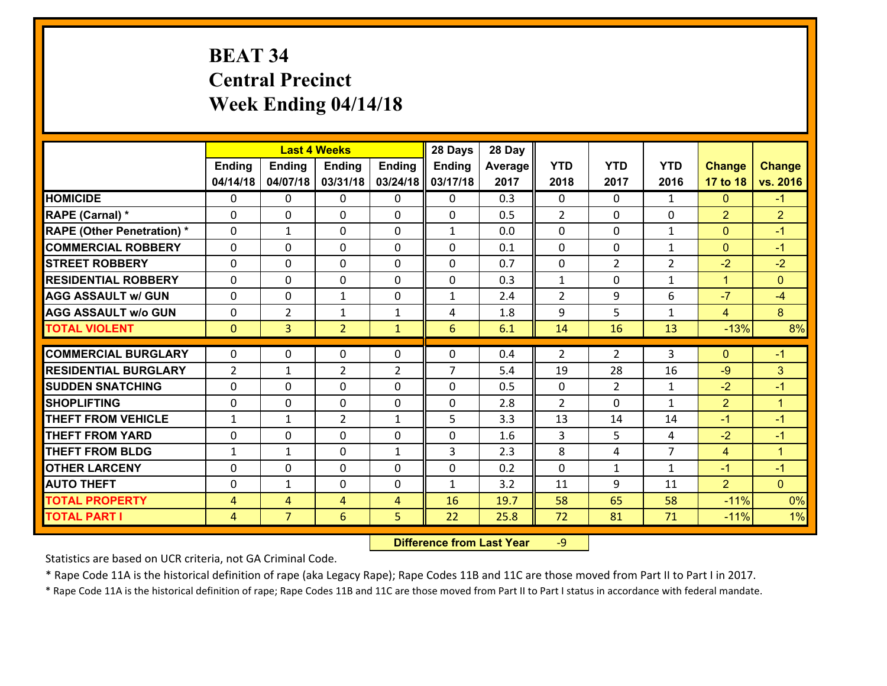# **BEAT 34 Central Precinct Week Ending 04/14/18**

|                                   |                |                | <b>Last 4 Weeks</b> |                | 28 Days        | 28 Day  |                |                |                |                |                      |
|-----------------------------------|----------------|----------------|---------------------|----------------|----------------|---------|----------------|----------------|----------------|----------------|----------------------|
|                                   | <b>Ending</b>  | <b>Ending</b>  | <b>Ending</b>       | <b>Ending</b>  | Ending         | Average | <b>YTD</b>     | <b>YTD</b>     | <b>YTD</b>     | <b>Change</b>  | <b>Change</b>        |
|                                   | 04/14/18       | 04/07/18       | 03/31/18            | 03/24/18       | 03/17/18       | 2017    | 2018           | 2017           | 2016           | 17 to 18       | vs. 2016             |
| <b>HOMICIDE</b>                   | $\Omega$       | 0              | $\mathbf{0}$        | $\Omega$       | 0              | 0.3     | $\Omega$       | $\Omega$       | $\mathbf{1}$   | $\mathbf{0}$   | $-1$                 |
| RAPE (Carnal) *                   | $\Omega$       | 0              | $\mathbf{0}$        | 0              | $\Omega$       | 0.5     | 2              | $\Omega$       | 0              | $\overline{2}$ | $\overline{2}$       |
| <b>RAPE (Other Penetration) *</b> | 0              | $\mathbf{1}$   | $\mathbf 0$         | 0              | $\mathbf{1}$   | 0.0     | 0              | 0              | $\mathbf{1}$   | $\mathbf{0}$   | $-1$                 |
| <b>COMMERCIAL ROBBERY</b>         | $\mathbf{0}$   | 0              | 0                   | 0              | $\Omega$       | 0.1     | $\mathbf{0}$   | 0              | $\mathbf{1}$   | $\mathbf{0}$   | $-1$                 |
| <b>STREET ROBBERY</b>             | 0              | 0              | $\mathbf 0$         | 0              | 0              | 0.7     | 0              | $\overline{2}$ | $\overline{2}$ | $-2$           | $-2$                 |
| <b>RESIDENTIAL ROBBERY</b>        | 0              | 0              | $\mathbf 0$         | 0              | 0              | 0.3     | $\mathbf{1}$   | 0              | $\mathbf{1}$   | $\mathbf{1}$   | $\overline{0}$       |
| <b>AGG ASSAULT w/ GUN</b>         | 0              | 0              | 1                   | 0              | $\mathbf{1}$   | 2.4     | $\overline{2}$ | 9              | 6              | $-7$           | $-4$                 |
| <b>AGG ASSAULT w/o GUN</b>        | 0              | $\overline{2}$ | $\mathbf{1}$        | $\mathbf{1}$   | 4              | 1.8     | 9              | 5              | $\mathbf{1}$   | $\overline{4}$ | 8 <sup>°</sup>       |
| <b>TOTAL VIOLENT</b>              | $\mathbf{0}$   | $\overline{3}$ | $\overline{2}$      | $\mathbf{1}$   | 6              | 6.1     | 14             | 16             | 13             | $-13%$         | 8%                   |
| <b>COMMERCIAL BURGLARY</b>        | $\Omega$       | 0              | $\mathbf{0}$        | 0              | $\Omega$       | 0.4     | 2              | $\overline{2}$ | 3              | $\mathbf{0}$   | $-1$                 |
| <b>RESIDENTIAL BURGLARY</b>       | 2              | 1              | $\overline{2}$      | $\overline{2}$ | $\overline{7}$ | 5.4     | 19             | 28             | 16             | $-9$           | 3                    |
| <b>ISUDDEN SNATCHING</b>          | $\mathbf{0}$   | 0              | $\mathbf{0}$        | $\Omega$       | $\Omega$       | 0.5     | $\mathbf{0}$   | $\overline{2}$ | $\mathbf{1}$   | $-2$           | $-1$                 |
| <b>SHOPLIFTING</b>                | $\Omega$       | $\Omega$       | $\mathbf 0$         | $\Omega$       | 0              | 2.8     | $\overline{2}$ | 0              | $\mathbf{1}$   | $\overline{2}$ | $\blacktriangleleft$ |
| <b>THEFT FROM VEHICLE</b>         | $\mathbf{1}$   | $\mathbf{1}$   | $\overline{2}$      | $\mathbf{1}$   | 5              | 3.3     | 13             | 14             | 14             | $-1$           | $-1$                 |
| <b>THEFT FROM YARD</b>            | 0              | 0              | 0                   | 0              | 0              | 1.6     | 3              | 5              | 4              | $-2$           | $-1$                 |
| <b>THEFT FROM BLDG</b>            | $\mathbf{1}$   | $\mathbf{1}$   | $\mathbf 0$         | $\mathbf{1}$   | 3              | 2.3     | 8              | 4              | $\overline{7}$ | $\overline{4}$ | $\blacktriangleleft$ |
| <b>OTHER LARCENY</b>              | 0              | 0              | $\mathbf 0$         | 0              | 0              | 0.2     | 0              | $\mathbf{1}$   | $\mathbf{1}$   | $-1$           | $-1$                 |
|                                   |                |                |                     |                |                |         |                |                |                |                |                      |
| <b>AUTO THEFT</b>                 | $\mathbf{0}$   | $\mathbf{1}$   | 0                   | 0              | $\mathbf{1}$   | 3.2     | 11             | 9              | 11             | $\overline{2}$ | $\overline{0}$       |
| <b>TOTAL PROPERTY</b>             | $\overline{4}$ | 4              | 4                   | 4              | 16             | 19.7    | 58             | 65             | 58             | $-11%$         | 0%                   |
| <b>TOTAL PART I</b>               | $\overline{4}$ | $\overline{7}$ | 6                   | 5              | 22             | 25.8    | 72             | 81             | 71             | $-11%$         | 1%                   |

 **Difference from Last Year**r -9

Statistics are based on UCR criteria, not GA Criminal Code.

\* Rape Code 11A is the historical definition of rape (aka Legacy Rape); Rape Codes 11B and 11C are those moved from Part II to Part I in 2017.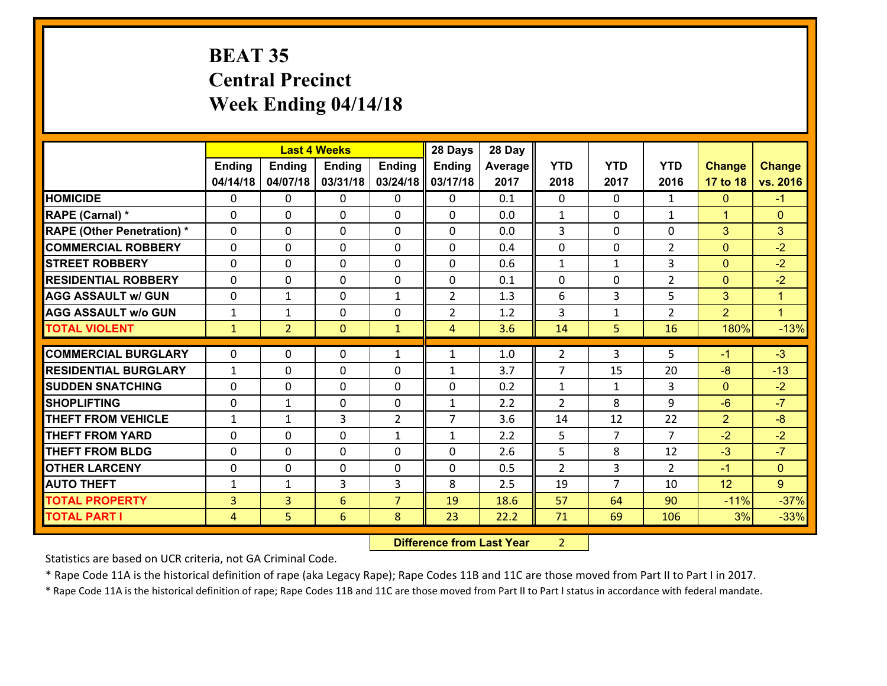# **BEAT 35 Central PrecinctWeek Ending 04/14/18**

|                                   |              |                | <b>Last 4 Weeks</b> |                | 28 Days        | 28 Day  |                |                |                |                |               |
|-----------------------------------|--------------|----------------|---------------------|----------------|----------------|---------|----------------|----------------|----------------|----------------|---------------|
|                                   | Ending       | Ending         | <b>Ending</b>       | <b>Ending</b>  | <b>Ending</b>  | Average | <b>YTD</b>     | <b>YTD</b>     | <b>YTD</b>     | <b>Change</b>  | <b>Change</b> |
|                                   | 04/14/18     | 04/07/18       | 03/31/18            | 03/24/18       | 03/17/18       | 2017    | 2018           | 2017           | 2016           | 17 to 18       | vs. 2016      |
| <b>HOMICIDE</b>                   | 0            | $\Omega$       | 0                   | 0              | 0              | 0.1     | $\Omega$       | $\Omega$       | $\mathbf{1}$   | $\mathbf{0}$   | $-1$          |
| RAPE (Carnal) *                   | $\Omega$     | 0              | $\mathbf 0$         | $\Omega$       | 0              | 0.0     | $\mathbf{1}$   | $\Omega$       | $\mathbf{1}$   | $\mathbf{1}$   | $\mathbf{0}$  |
| <b>RAPE (Other Penetration) *</b> | $\Omega$     | $\Omega$       | $\mathbf{0}$        | 0              | 0              | 0.0     | 3              | $\Omega$       | $\Omega$       | 3              | 3             |
| <b>COMMERCIAL ROBBERY</b>         | $\Omega$     | $\Omega$       | $\mathbf{0}$        | 0              | 0              | 0.4     | $\Omega$       | $\Omega$       | $\overline{2}$ | $\mathbf{0}$   | $-2$          |
| <b>STREET ROBBERY</b>             | $\Omega$     | $\Omega$       | $\Omega$            | $\Omega$       | 0              | 0.6     | $\mathbf{1}$   | $\mathbf{1}$   | 3              | $\mathbf{0}$   | $-2$          |
| <b>RESIDENTIAL ROBBERY</b>        | $\Omega$     | $\Omega$       | $\mathbf{0}$        | 0              | $\Omega$       | 0.1     | $\Omega$       | $\Omega$       | $\overline{2}$ | $\mathbf{0}$   | $-2$          |
| <b>AGG ASSAULT w/ GUN</b>         | 0            | $\mathbf{1}$   | $\mathbf 0$         | $\mathbf{1}$   | $\overline{2}$ | 1.3     | 6              | 3              | 5              | 3              | $\mathbf{1}$  |
| <b>AGG ASSAULT W/o GUN</b>        | $\mathbf{1}$ | $\mathbf{1}$   | 0                   | $\Omega$       | $\overline{2}$ | 1.2     | 3              | $\mathbf{1}$   | $\overline{2}$ | $\overline{2}$ | $\mathbf{1}$  |
| <b>TOTAL VIOLENT</b>              | $\mathbf{1}$ | $\overline{2}$ | $\mathbf{0}$        | $\mathbf{1}$   | 4              | 3.6     | 14             | 5              | 16             | 180%           | $-13%$        |
|                                   |              |                |                     |                |                |         |                |                |                |                |               |
|                                   |              |                |                     |                |                |         |                |                |                |                |               |
| <b>COMMERCIAL BURGLARY</b>        | 0            | 0              | 0                   | $\mathbf{1}$   | 1              | 1.0     | $\overline{2}$ | 3              | 5              | $-1$           | $-3$          |
| <b>RESIDENTIAL BURGLARY</b>       | $\mathbf{1}$ | 0              | $\mathbf 0$         | $\Omega$       | $\mathbf{1}$   | 3.7     | $\overline{7}$ | 15             | 20             | $-8$           | $-13$         |
| <b>ISUDDEN SNATCHING</b>          | $\Omega$     | 0              | $\mathbf{0}$        | $\Omega$       | 0              | 0.2     | $\mathbf{1}$   | $\mathbf{1}$   | 3              | $\mathbf{0}$   | $-2$          |
| <b>SHOPLIFTING</b>                | $\Omega$     | $\mathbf{1}$   | $\mathbf{0}$        | 0              | $\mathbf{1}$   | 2.2     | $\overline{2}$ | 8              | 9              | $-6$           | $-7$          |
| <b>THEFT FROM VEHICLE</b>         | $\mathbf{1}$ | 1              | 3                   | $\overline{2}$ | $\overline{7}$ | 3.6     | 14             | 12             | 22             | $\overline{2}$ | $-8$          |
| <b>THEFT FROM YARD</b>            | $\Omega$     | 0              | $\mathbf{0}$        | $\mathbf{1}$   | $\mathbf{1}$   | 2.2     | 5              | $\overline{7}$ | $\overline{7}$ | $-2$           | $-2$          |
| <b>THEFT FROM BLDG</b>            | $\Omega$     | $\Omega$       | $\Omega$            | $\Omega$       | 0              | 2.6     | 5              | 8              | 12             | $-3$           | $-7$          |
| <b>OTHER LARCENY</b>              | $\Omega$     | 0              | $\mathbf{0}$        | 0              | 0              | 0.5     | 2              | 3              | $\mathcal{P}$  | $-1$           | $\mathbf{0}$  |
| <b>AUTO THEFT</b>                 | 1            | 1              | 3                   | 3              | 8              | 2.5     | 19             | $\overline{7}$ | 10             | 12             | 9             |
| <b>TOTAL PROPERTY</b>             | 3            | $\overline{3}$ | 6                   | $\overline{7}$ | 19             | 18.6    | 57             | 64             | 90             | $-11%$         | $-37%$        |
| <b>TOTAL PART I</b>               | 4            | 5.             | 6                   | 8              | 23             | 22.2    | 71             | 69             | 106            | 3%             | $-33%$        |

 **Difference from Last Year** 2 $2 \mid$ 

Statistics are based on UCR criteria, not GA Criminal Code.

\* Rape Code 11A is the historical definition of rape (aka Legacy Rape); Rape Codes 11B and 11C are those moved from Part II to Part I in 2017.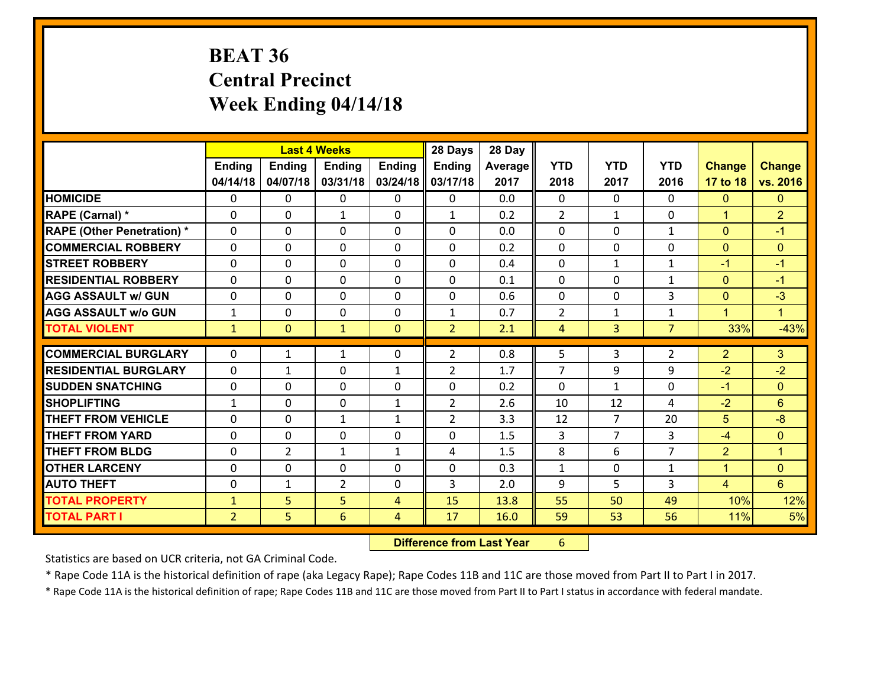# **BEAT 36 Central Precinct Week Ending 04/14/18**

|                                              |                                |                | <b>Last 4 Weeks</b> |                | 28 Days        | 28 Day       |                |                                  |                     |                |                                      |
|----------------------------------------------|--------------------------------|----------------|---------------------|----------------|----------------|--------------|----------------|----------------------------------|---------------------|----------------|--------------------------------------|
|                                              | <b>Ending</b>                  | <b>Ending</b>  | <b>Ending</b>       | <b>Ending</b>  | Ending         | Average      | <b>YTD</b>     | <b>YTD</b>                       | <b>YTD</b>          | <b>Change</b>  | <b>Change</b>                        |
|                                              | 04/14/18                       | 04/07/18       | 03/31/18            | 03/24/18       | 03/17/18       | 2017         | 2018           | 2017                             | 2016                | 17 to 18       | vs. 2016                             |
| <b>HOMICIDE</b>                              | $\Omega$                       | 0              | $\mathbf{0}$        | $\Omega$       | 0              | 0.0          | $\Omega$       | $\Omega$                         | 0                   | $\mathbf{0}$   | $\mathbf{0}$                         |
| RAPE (Carnal) *                              | 0                              | 0              | $\mathbf{1}$        | 0              | $\mathbf{1}$   | 0.2          | 2              | $\mathbf{1}$                     | 0                   | $\mathbf{1}$   | $\overline{2}$                       |
| <b>RAPE (Other Penetration) *</b>            | $\Omega$                       | 0              | $\mathbf{0}$        | $\Omega$       | 0              | 0.0          | $\Omega$       | $\Omega$                         | $\mathbf{1}$        | $\mathbf{0}$   | $-1$                                 |
| <b>COMMERCIAL ROBBERY</b>                    | 0                              | 0              | 0                   | $\Omega$       | 0              | 0.2          | $\mathbf{0}$   | $\Omega$                         | 0                   | $\mathbf{0}$   | $\mathbf{0}$                         |
| <b>STREET ROBBERY</b>                        | 0                              | 0              | $\mathbf 0$         | 0              | 0              | 0.4          | $\mathbf 0$    | $\mathbf{1}$                     | $\mathbf{1}$        | $-1$           | $-1$                                 |
| <b>RESIDENTIAL ROBBERY</b>                   | $\Omega$                       | 0              | $\mathbf 0$         | 0              | 0              | 0.1          | $\mathbf 0$    | $\mathbf 0$                      | $\mathbf{1}$        | $\overline{0}$ | $-1$                                 |
| <b>AGG ASSAULT w/ GUN</b>                    | $\Omega$                       | 0              | $\mathbf 0$         | $\Omega$       | 0              | 0.6          | $\mathbf 0$    | $\mathbf 0$                      | 3                   | $\mathbf{0}$   | $-3$                                 |
| <b>AGG ASSAULT w/o GUN</b>                   | $\mathbf{1}$                   | 0              | $\mathbf 0$         | 0              | $\mathbf{1}$   | 0.7          | 2              | $\mathbf{1}$                     | $\mathbf{1}$        | $\mathbf{1}$   | $\blacklozenge$                      |
| <b>TOTAL VIOLENT</b>                         | $\mathbf{1}$                   | $\overline{0}$ | $\mathbf{1}$        | $\mathbf{0}$   | $\overline{2}$ | 2.1          | $\overline{4}$ | 3 <sup>1</sup>                   | $\overline{7}$      | 33%            | $-43%$                               |
| <b>COMMERCIAL BURGLARY</b>                   | $\Omega$                       | 1              | 1                   | 0              | $\overline{2}$ | 0.8          | 5              | 3                                | 2                   | $\overline{2}$ | 3                                    |
|                                              |                                |                |                     |                |                |              |                |                                  |                     |                |                                      |
|                                              |                                |                |                     |                |                |              |                |                                  |                     |                |                                      |
| <b>RESIDENTIAL BURGLARY</b>                  | $\Omega$                       | 1              | $\mathbf{0}$        | $\mathbf{1}$   | $\overline{2}$ | 1.7          | $\overline{7}$ | 9                                | 9                   | $-2$           | $-2$                                 |
| <b>SUDDEN SNATCHING</b>                      | 0                              | 0              | $\mathbf{0}$        | 0              | 0              | 0.2          | $\mathbf{0}$   | $\mathbf{1}$                     | 0                   | $-1$           | $\mathbf{0}$                         |
| <b>SHOPLIFTING</b>                           | $\mathbf{1}$                   | 0              | $\mathbf{0}$        | $\mathbf{1}$   | $\overline{2}$ | 2.6          | 10             | 12                               | 4                   | $-2$           | 6                                    |
| <b>THEFT FROM VEHICLE</b>                    | $\Omega$                       | 0              | 1                   | $\mathbf{1}$   | $\overline{2}$ | 3.3          | 12             | $\overline{7}$<br>$\overline{7}$ | 20                  | 5              | $-8$                                 |
| <b>THEFT FROM YARD</b>                       | 0                              | 0              | $\mathbf 0$         | 0              | 0<br>4         | 1.5          | 3              |                                  | 3<br>$\overline{7}$ | $-4$           | $\mathbf{0}$<br>$\blacktriangleleft$ |
| <b>THEFT FROM BLDG</b>                       | 0                              | $\overline{2}$ | 1                   | $\mathbf{1}$   |                | 1.5          | 8              | 6                                |                     | $\overline{2}$ |                                      |
| <b>OTHER LARCENY</b>                         | 0<br>$\mathbf{0}$              | 0              | $\mathbf 0$         | 0<br>0         | 0<br>3         | 0.3          | $\mathbf{1}$   | 0<br>5                           | $\mathbf{1}$<br>3   | $\mathbf{1}$   | $\mathbf{0}$<br>$6\overline{6}$      |
| <b>AUTO THEFT</b>                            |                                | 1              | $\overline{2}$      | $\overline{4}$ |                | 2.0          | 9              | 50                               | 49                  | 4              |                                      |
| <b>TOTAL PROPERTY</b><br><b>TOTAL PART I</b> | $\mathbf{1}$<br>$\overline{2}$ | 5<br>5         | 5<br>6              | 4              | 15<br>17       | 13.8<br>16.0 | 55<br>59       | 53                               | 56                  | 10%<br>11%     | 12%<br>5%                            |

 **Difference from Last Year**r 6

Statistics are based on UCR criteria, not GA Criminal Code.

\* Rape Code 11A is the historical definition of rape (aka Legacy Rape); Rape Codes 11B and 11C are those moved from Part II to Part I in 2017.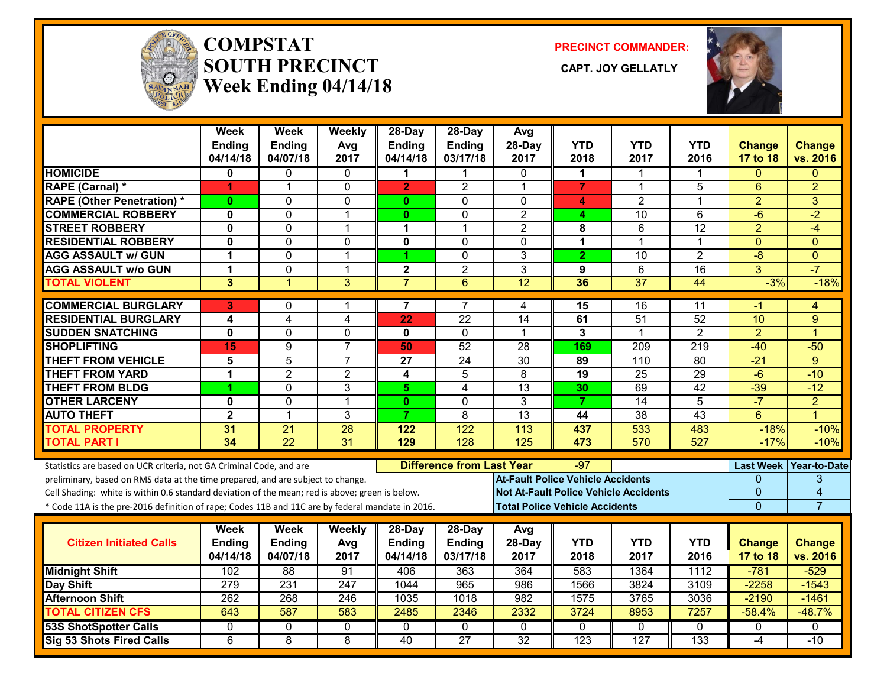

#### **COMPSTATSOUTH PRECINCT** CAPT. JOY GELLATLY **Week Ending 04/14/18**

**PRECINCT COMMANDER:**



|                                                                                                  | Week<br><b>Ending</b><br>04/14/18 | Week<br><b>Ending</b><br>04/07/18 | Weekly<br>Avg<br>2017 | 28-Day<br><b>Ending</b><br>04/14/18 | 28-Day<br><b>Ending</b><br>03/17/18 | Avg<br>28-Day<br>2017                        | <b>YTD</b><br>2018      | <b>YTD</b><br>2017 | <b>YTD</b><br>2016 | <b>Change</b><br>17 to 18 | <b>Change</b><br>vs. 2016 |
|--------------------------------------------------------------------------------------------------|-----------------------------------|-----------------------------------|-----------------------|-------------------------------------|-------------------------------------|----------------------------------------------|-------------------------|--------------------|--------------------|---------------------------|---------------------------|
| <b>HOMICIDE</b>                                                                                  | 0                                 | 0                                 | 0                     | 1                                   | 1                                   | $\mathbf{0}$                                 | 1                       | 1                  | 1                  | $\Omega$                  | $\Omega$                  |
| RAPE (Carnal) *                                                                                  | 1                                 | 1                                 | 0                     | $\overline{2}$                      | $\overline{2}$                      | $\overline{1}$                               | $\overline{7}$          | $\mathbf 1$        | 5                  | $6\phantom{1}6$           | $\overline{2}$            |
| <b>RAPE (Other Penetration) *</b>                                                                | $\mathbf{0}$                      | $\Omega$                          | $\Omega$              | $\mathbf{0}$                        | $\Omega$                            | $\Omega$                                     | 4                       | $\overline{2}$     | 1                  | $\overline{2}$            | 3                         |
| <b>COMMERCIAL ROBBERY</b>                                                                        | $\mathbf 0$                       | $\mathbf{0}$                      | $\mathbf{1}$          | 0                                   | $\mathbf{0}$                        | $\overline{2}$                               | 4                       | 10                 | 6                  | $-6$                      | $-2$                      |
| <b>STREET ROBBERY</b>                                                                            | $\mathbf 0$                       | $\mathbf 0$                       | 1                     | 1                                   | 1                                   | $\overline{c}$                               | 8                       | 6                  | 12                 | $\overline{2}$            | $-4$                      |
| <b>RESIDENTIAL ROBBERY</b>                                                                       | $\mathbf{0}$                      | $\mathbf 0$                       | 0                     | $\mathbf 0$                         | $\Omega$                            | $\Omega$                                     | 1                       | 1                  | 1                  | $\mathbf{0}$              | $\Omega$                  |
| <b>AGG ASSAULT w/ GUN</b>                                                                        | 1                                 | $\mathbf 0$                       | $\mathbf 1$           | 1                                   | $\mathbf 0$                         | 3                                            | $\overline{2}$          | 10                 | $\overline{2}$     | $-8$                      | $\Omega$                  |
| <b>AGG ASSAULT w/o GUN</b>                                                                       | $\mathbf 1$                       | $\mathbf 0$                       | $\mathbf{1}$          | $\mathbf 2$                         | $\overline{2}$                      | 3                                            | 9                       | 6                  | 16                 | 3                         | $-7$                      |
| <b>TOTAL VIOLENT</b>                                                                             | 3                                 | $\overline{1}$                    | $\overline{3}$        | $\overline{7}$                      | $6\phantom{1}6$                     | 12                                           | 36                      | $\overline{37}$    | 44                 | $-3%$                     | $-18%$                    |
| <b>COMMERCIAL BURGLARY</b>                                                                       | 3                                 | $\mathbf{0}$                      | 1                     | 7                                   | 7                                   | 4                                            | 15                      | 16                 | 11                 | -1                        | 4                         |
| <b>RESIDENTIAL BURGLARY</b>                                                                      | 4                                 | 4                                 | 4                     | 22                                  | 22                                  | 14                                           | 61                      | 51                 | 52                 | 10                        | 9                         |
| <b>SUDDEN SNATCHING</b>                                                                          | $\mathbf 0$                       | $\mathbf 0$                       | 0                     | $\mathbf{0}$                        | $\mathbf 0$                         | 1                                            | $\overline{\mathbf{3}}$ | 1                  | $\overline{2}$     | $\overline{2}$            | 1                         |
| <b>SHOPLIFTING</b>                                                                               | 15                                | 9                                 | $\overline{7}$        | 50                                  | $\overline{52}$                     | 28                                           | 169                     | 209                | 219                | $-40$                     | $-50$                     |
| <b>THEFT FROM VEHICLE</b>                                                                        | 5                                 | 5                                 | $\overline{7}$        | 27                                  | 24                                  | 30                                           | 89                      | 110                | 80                 | $-21$                     | 9                         |
| <b>THEFT FROM YARD</b>                                                                           | 1                                 | $\overline{2}$                    | $\overline{2}$        | $\overline{\mathbf{4}}$             | 5                                   | 8                                            | 19                      | 25                 | 29                 | $-6$                      | $-10$                     |
| <b>THEFT FROM BLDG</b>                                                                           | 1                                 | $\Omega$                          | 3                     | 5                                   | 4                                   | $\overline{13}$                              | 30                      | 69                 | $\overline{42}$    | $-39$                     | $-12$                     |
| <b>OTHER LARCENY</b>                                                                             | $\mathbf{0}$                      | $\mathbf 0$                       | $\mathbf{1}$          | $\mathbf{0}$                        | $\mathbf{0}$                        | 3                                            | $\overline{7}$          | $\overline{14}$    | $\overline{5}$     | $-7$                      | $\overline{2}$            |
| <b>AUTO THEFT</b>                                                                                | $\overline{2}$                    | 1                                 | 3                     | $\overline{7}$                      | 8                                   | $\overline{13}$                              | 44                      | $\overline{38}$    | $\overline{43}$    | $6\phantom{1}$            | $\overline{1}$            |
| <b>TOTAL PROPERTY</b>                                                                            | 31                                | $\overline{21}$                   | $\overline{28}$       | 122                                 | $\overline{122}$                    | 113                                          | 437                     | 533                | 483                | $-18%$                    | $-10%$                    |
| <b>TOTAL PART I</b>                                                                              | $\overline{34}$                   | $\overline{22}$                   | $\overline{31}$       | 129                                 | 128                                 | 125                                          | 473                     | 570                | 527                | $-17%$                    | $-10%$                    |
| Statistics are based on UCR criteria, not GA Criminal Code, and are                              |                                   |                                   |                       |                                     | <b>Difference from Last Year</b>    |                                              | -97                     |                    |                    |                           | Last Week Year-to-Date    |
| preliminary, based on RMS data at the time prepared, and are subject to change.                  |                                   |                                   |                       |                                     |                                     | <b>At-Fault Police Vehicle Accidents</b>     |                         |                    |                    | $\Omega$                  | 3                         |
| Cell Shading: white is within 0.6 standard deviation of the mean; red is above; green is below.  |                                   |                                   |                       |                                     |                                     | <b>Not At-Fault Police Vehicle Accidents</b> |                         |                    |                    | $\overline{0}$            | $\overline{4}$            |
| * Code 11A is the pre-2016 definition of rape; Codes 11B and 11C are by federal mandate in 2016. |                                   |                                   |                       |                                     |                                     | <b>Total Police Vehicle Accidents</b>        |                         |                    |                    | $\Omega$                  | $\overline{7}$            |
|                                                                                                  | Week                              | <b>Week</b>                       | Weekly                | 28-Day                              | 28-Day                              | Avg                                          |                         |                    |                    |                           |                           |
| <b>Citizen Initiated Calls</b>                                                                   | <b>Ending</b>                     | <b>Ending</b>                     | Avg                   | <b>Ending</b>                       | <b>Ending</b>                       | 28-Day                                       | <b>YTD</b>              | <b>YTD</b>         | <b>YTD</b>         | <b>Change</b>             | <b>Change</b>             |
|                                                                                                  | 04/14/18                          | 04/07/18                          | 2017                  | 04/14/18                            | 03/17/18                            | 2017                                         | 2018                    | 2017               | 2016               | 17 to 18                  | vs. 2016                  |
| <b>Midnight Shift</b>                                                                            | 102                               | $\overline{88}$                   | 91                    | 406                                 | 363                                 | 364                                          | 583                     | 1364               | 1112               | $-781$                    | $-529$                    |
| <b>Day Shift</b>                                                                                 | 279                               | 231                               | 247                   | 1044                                | 965                                 | 986                                          | 1566                    | 3824               | 3109               | $-2258$                   | $-1543$                   |
| <b>Afternoon Shift</b>                                                                           | 262                               | 268                               | 246                   | 1035                                | 1018                                | 982                                          | 1575                    | 3765               | 3036               | $-2190$                   | $-1461$                   |
| <b>TOTAL CITIZEN CFS</b>                                                                         | 643                               | 587                               | 583                   | 2485                                | 2346                                | 2332                                         | 3724                    | 8953               | 7257               | $-58.4%$                  | $-48.7%$                  |
| <b>53S ShotSpotter Calls</b>                                                                     | 0                                 | 0                                 | 0                     | $\mathbf{0}$                        | 0                                   | $\mathbf{0}$                                 | 0                       | $\Omega$           | 0                  | 0                         | $\mathbf{0}$              |
| Sig 53 Shots Fired Calls                                                                         | 6                                 | 8                                 | 8                     | $\overline{40}$                     | $\overline{27}$                     | $\overline{32}$                              | $\overline{123}$        | 127                | 133                | $-4$                      | $-10$                     |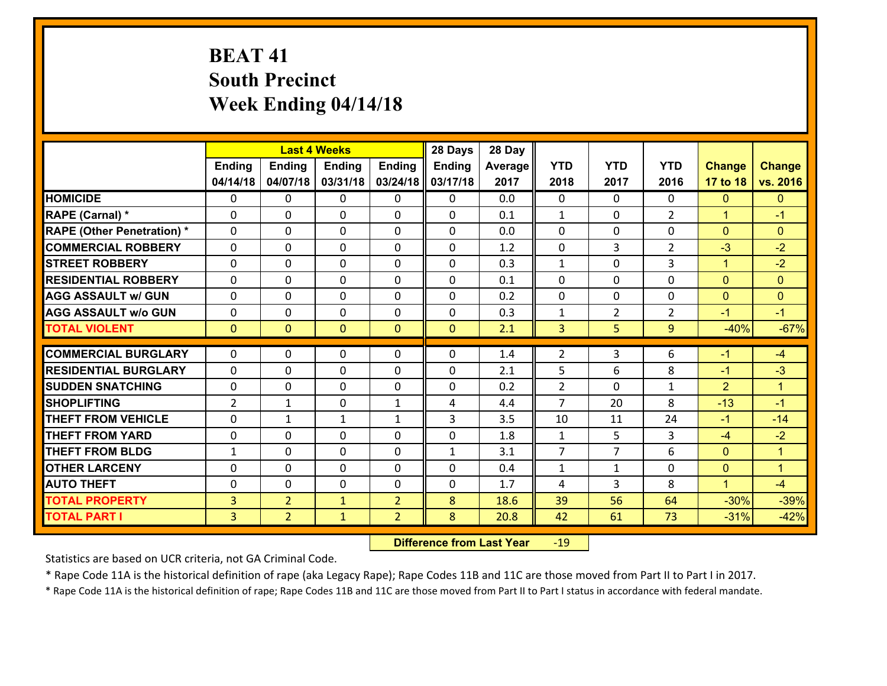# **BEAT 41 South Precinct Week Ending 04/14/18**

|                                   |                |                | <b>Last 4 Weeks</b> |                | 28 Days      | 28 Day  |                |                |                |                      |               |
|-----------------------------------|----------------|----------------|---------------------|----------------|--------------|---------|----------------|----------------|----------------|----------------------|---------------|
|                                   | Ending         | <b>Ending</b>  | <b>Ending</b>       | <b>Ending</b>  | Ending       | Average | <b>YTD</b>     | <b>YTD</b>     | <b>YTD</b>     | <b>Change</b>        | <b>Change</b> |
|                                   | 04/14/18       | 04/07/18       | 03/31/18            | 03/24/18       | 03/17/18     | 2017    | 2018           | 2017           | 2016           | 17 to 18             | vs. 2016      |
| <b>HOMICIDE</b>                   | 0              | $\Omega$       | $\Omega$            | 0              | $\Omega$     | 0.0     | $\Omega$       | $\Omega$       | 0              | $\mathbf{0}$         | $\mathbf{0}$  |
| RAPE (Carnal) *                   | 0              | 0              | $\mathbf{0}$        | 0              | 0            | 0.1     | $\mathbf{1}$   | 0              | $\overline{2}$ | $\mathbf{1}$         | $-1$          |
| <b>RAPE (Other Penetration) *</b> | $\Omega$       | 0              | $\mathbf{0}$        | $\Omega$       | 0            | 0.0     | $\Omega$       | $\Omega$       | $\Omega$       | $\mathbf{0}$         | $\mathbf{0}$  |
| <b>COMMERCIAL ROBBERY</b>         | 0              | 0              | 0                   | $\Omega$       | $\mathbf{0}$ | 1.2     | $\mathbf{0}$   | 3              | $\overline{2}$ | $-3$                 | $-2$          |
| <b>STREET ROBBERY</b>             | 0              | 0              | $\mathbf 0$         | 0              | 0            | 0.3     | $\mathbf{1}$   | $\mathbf 0$    | 3              | $\mathbf{1}$         | $-2$          |
| <b>RESIDENTIAL ROBBERY</b>        | $\Omega$       | $\Omega$       | $\mathbf 0$         | $\Omega$       | $\Omega$     | 0.1     | $\Omega$       | $\Omega$       | $\Omega$       | $\Omega$             | $\mathbf{0}$  |
| <b>AGG ASSAULT w/ GUN</b>         | 0              | $\Omega$       | $\mathbf 0$         | $\Omega$       | $\Omega$     | 0.2     | $\mathbf 0$    | $\Omega$       | 0              | $\overline{0}$       | $\mathbf{0}$  |
| <b>AGG ASSAULT w/o GUN</b>        | 0              | 0              | $\mathbf 0$         | 0              | 0            | 0.3     | $\mathbf{1}$   | $\overline{2}$ | $\overline{2}$ | $-1$                 | $-1$          |
| <b>TOTAL VIOLENT</b>              | $\mathbf{0}$   | $\overline{0}$ | $\mathbf{0}$        | $\mathbf{0}$   | $\mathbf{0}$ | 2.1     | 3              | 5              | 9              | $-40%$               | $-67%$        |
| <b>COMMERCIAL BURGLARY</b>        | $\Omega$       | $\Omega$       | $\mathbf{0}$        | $\Omega$       | 0            | 1.4     | $\overline{2}$ | 3              | 6              | $-1$                 | $-4$          |
| <b>RESIDENTIAL BURGLARY</b>       | 0              | 0              | $\mathbf 0$         | 0              | 0            | 2.1     | 5              | 6              | 8              | $-1$                 | $-3$          |
| <b>SUDDEN SNATCHING</b>           | 0              | 0              | 0                   | $\Omega$       | 0            | 0.2     | $\overline{2}$ | $\mathbf 0$    | $\mathbf{1}$   | $\overline{2}$       | $\mathbf{1}$  |
| <b>SHOPLIFTING</b>                | $\overline{2}$ | $\mathbf{1}$   | $\mathbf 0$         | $\mathbf{1}$   | 4            | 4.4     | $\overline{7}$ | 20             | 8              | $-13$                | $-1$          |
| <b>THEFT FROM VEHICLE</b>         | 0              | $\mathbf{1}$   | $\mathbf{1}$        | $\mathbf{1}$   | 3            | 3.5     | 10             | 11             | 24             | $-1$                 | $-14$         |
| <b>THEFT FROM YARD</b>            | 0              | $\mathbf 0$    | $\mathbf 0$         | $\Omega$       | 0            | 1.8     | $\mathbf{1}$   | 5              | 3              | $-4$                 | $-2$          |
| <b>THEFT FROM BLDG</b>            | $\mathbf{1}$   | 0              | $\mathbf 0$         | $\Omega$       | $\mathbf{1}$ | 3.1     | $\overline{7}$ | $\overline{7}$ | 6              | $\mathbf{0}$         | $\mathbf{1}$  |
| <b>OTHER LARCENY</b>              | 0              | 0              | $\mathbf 0$         | 0              | 0            | 0.4     | $\mathbf{1}$   | $\mathbf{1}$   | 0              | $\overline{0}$       | $\mathbf{1}$  |
| <b>AUTO THEFT</b>                 | $\Omega$       | 0              | $\mathbf{0}$        | $\Omega$       | 0            | 1.7     | 4              | 3              | 8              | $\blacktriangleleft$ | $-4$          |
| <b>TOTAL PROPERTY</b>             | 3              | $\overline{2}$ | $\mathbf{1}$        | $\overline{2}$ | 8            | 18.6    | 39             | 56             | 64             | $-30%$               | $-39%$        |
| <b>TOTAL PART I</b>               | $\overline{3}$ | $\overline{2}$ | $\mathbf{1}$        | $\overline{2}$ | 8            | 20.8    | 42             | 61             | 73             | $-31%$               | $-42%$        |
|                                   |                |                |                     |                |              |         |                |                |                |                      |               |

 **Difference from Last Year**r -19

Statistics are based on UCR criteria, not GA Criminal Code.

\* Rape Code 11A is the historical definition of rape (aka Legacy Rape); Rape Codes 11B and 11C are those moved from Part II to Part I in 2017.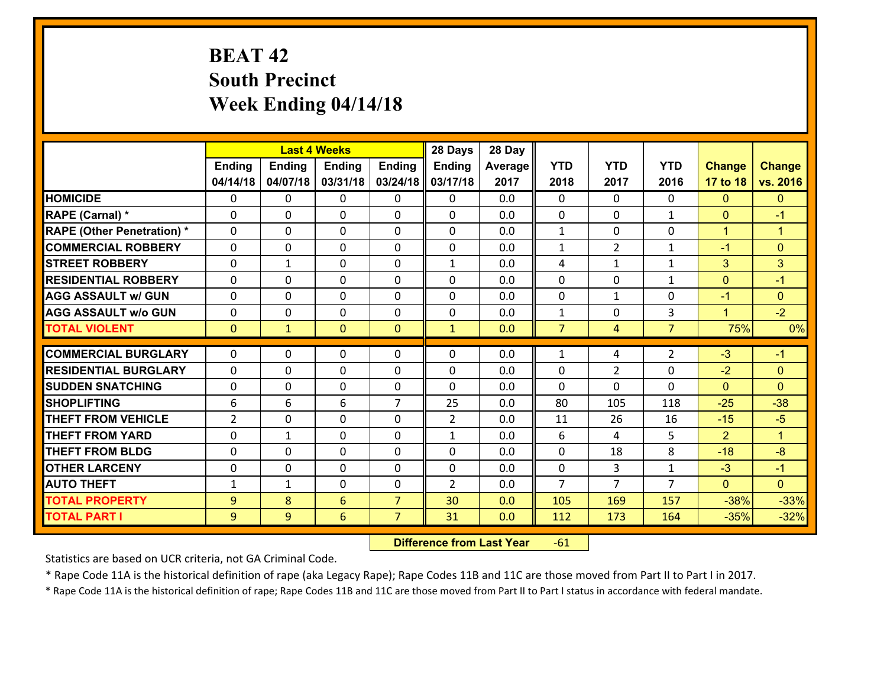# **BEAT 42 South Precinct Week Ending 04/14/18**

|                                   |                |               | <b>Last 4 Weeks</b> |                | 28 Days        | 28 Day  |                |                |                |                |                      |
|-----------------------------------|----------------|---------------|---------------------|----------------|----------------|---------|----------------|----------------|----------------|----------------|----------------------|
|                                   | <b>Ending</b>  | <b>Ending</b> | <b>Ending</b>       | <b>Ending</b>  | Ending         | Average | <b>YTD</b>     | <b>YTD</b>     | <b>YTD</b>     | <b>Change</b>  | <b>Change</b>        |
|                                   | 04/14/18       | 04/07/18      | 03/31/18            | 03/24/18       | 03/17/18       | 2017    | 2018           | 2017           | 2016           | 17 to 18       | vs. 2016             |
| <b>HOMICIDE</b>                   | $\Omega$       | 0             | $\mathbf{0}$        | $\Omega$       | 0              | 0.0     | $\Omega$       | $\Omega$       | $\Omega$       | $\mathbf{0}$   | $\mathbf{0}$         |
| RAPE (Carnal) *                   | $\Omega$       | 0             | $\mathbf{0}$        | 0              | $\Omega$       | 0.0     | $\Omega$       | $\Omega$       | $\mathbf{1}$   | $\mathbf{0}$   | $-1$                 |
| <b>RAPE (Other Penetration) *</b> | $\Omega$       | 0             | $\mathbf 0$         | 0              | 0              | 0.0     | $\mathbf{1}$   | 0              | 0              | $\mathbf{1}$   | $\blacktriangleleft$ |
| <b>COMMERCIAL ROBBERY</b>         | 0              | 0             | 0                   | 0              | $\Omega$       | 0.0     | $\mathbf{1}$   | $\overline{2}$ | 1              | $-1$           | $\mathbf{0}$         |
| <b>STREET ROBBERY</b>             | $\Omega$       | $\mathbf 1$   | $\mathbf 0$         | 0              | $\mathbf{1}$   | 0.0     | 4              | $\mathbf{1}$   | $\mathbf{1}$   | 3              | 3                    |
| <b>RESIDENTIAL ROBBERY</b>        | 0              | 0             | $\mathbf 0$         | 0              | 0              | 0.0     | $\mathbf 0$    | $\mathbf 0$    | $\mathbf{1}$   | $\mathbf{0}$   | $-1$                 |
| <b>AGG ASSAULT w/ GUN</b>         | 0              | 0             | $\mathbf 0$         | 0              | 0              | 0.0     | $\mathbf 0$    | $\mathbf{1}$   | 0              | $-1$           | $\mathbf{0}$         |
| <b>AGG ASSAULT w/o GUN</b>        | 0              | 0             | $\mathbf 0$         | 0              | 0              | 0.0     | $\mathbf 1$    | $\mathbf 0$    | 3              | $\mathbf{1}$   | $-2$                 |
| <b>TOTAL VIOLENT</b>              | $\mathbf{0}$   | $\mathbf{1}$  | $\mathbf{O}$        | $\mathbf{0}$   | $\mathbf{1}$   | 0.0     | $\overline{7}$ | $\overline{4}$ | $\overline{7}$ | 75%            | 0%                   |
| <b>COMMERCIAL BURGLARY</b>        | $\Omega$       | 0             | $\mathbf{0}$        | 0              | $\Omega$       | 0.0     | 1              | 4              | $\overline{2}$ | $-3$           | $-1$                 |
|                                   | $\Omega$       |               |                     |                |                |         |                |                |                |                |                      |
| <b>RESIDENTIAL BURGLARY</b>       |                | 0             | $\mathbf 0$         | 0              | $\Omega$       | 0.0     | 0              | $\overline{2}$ | 0              | $-2$           | $\mathbf{0}$         |
| <b>SUDDEN SNATCHING</b>           | $\mathbf{0}$   | 0             | $\mathbf{0}$        | 0              | 0              | 0.0     | $\Omega$       | $\Omega$       | $\Omega$       | $\mathbf{0}$   | $\Omega$             |
| <b>SHOPLIFTING</b>                | 6              | 6             | 6                   | $\overline{7}$ | 25             | 0.0     | 80             | 105            | 118            | $-25$          | $-38$                |
| <b>THEFT FROM VEHICLE</b>         | $\overline{2}$ | 0             | $\mathbf 0$         | 0              | $\overline{2}$ | 0.0     | 11             | 26             | 16             | $-15$          | $-5$                 |
| <b>THEFT FROM YARD</b>            | $\mathbf{0}$   | 1             | 0                   | 0              | $\mathbf{1}$   | 0.0     | 6              | 4              | 5              | $\overline{2}$ | $\blacktriangleleft$ |
| <b>THEFT FROM BLDG</b>            | 0              | $\Omega$      | $\mathbf 0$         | 0              | 0              | 0.0     | $\mathbf 0$    | 18             | 8              | $-18$          | $-8$                 |
| <b>OTHER LARCENY</b>              | 0              | 0             | $\mathbf 0$         | 0              | 0              | 0.0     | $\mathbf 0$    | 3              | $\mathbf{1}$   | $-3$           | $-1$                 |
| <b>AUTO THEFT</b>                 | $\mathbf{1}$   | 1             | 0                   | 0              | $\overline{2}$ | 0.0     | $\overline{7}$ | $\overline{7}$ | $\overline{7}$ | $\mathbf{0}$   | $\overline{0}$       |
| <b>TOTAL PROPERTY</b>             | $\overline{9}$ | 8             | $6\overline{6}$     | $\overline{7}$ | 30             | 0.0     | 105            | 169            | 157            | $-38%$         | $-33%$               |
| <b>TOTAL PART I</b>               | 9              | 9             | 6                   | $\overline{7}$ | 31             | 0.0     | 112            | 173            | 164            | $-35%$         | $-32%$               |

 **Difference from Last Year**r -61

Statistics are based on UCR criteria, not GA Criminal Code.

\* Rape Code 11A is the historical definition of rape (aka Legacy Rape); Rape Codes 11B and 11C are those moved from Part II to Part I in 2017.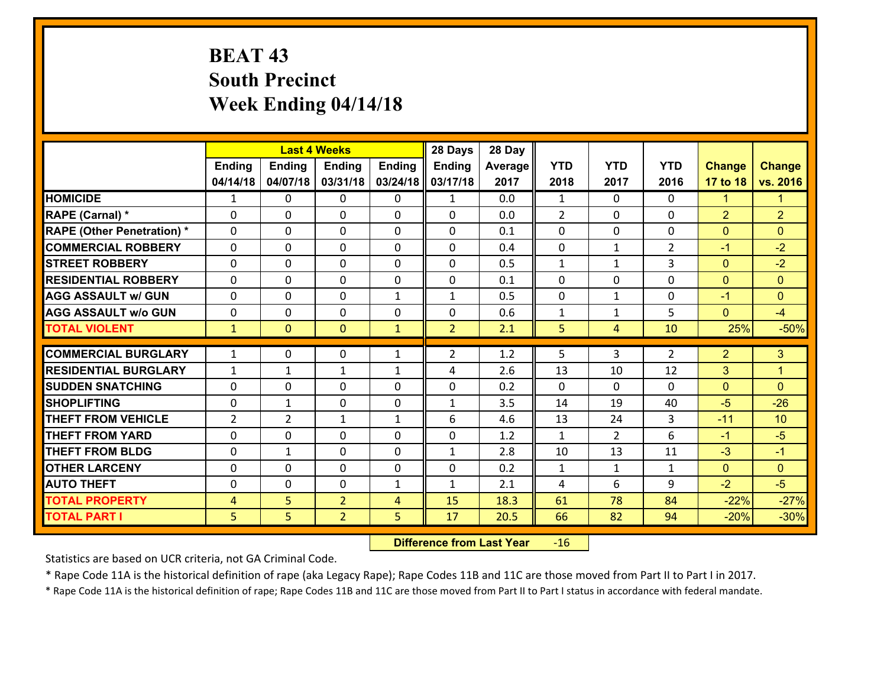# **BEAT 43 South Precinct Week Ending 04/14/18**

|                                   |                | <b>Last 4 Weeks</b> |                |               | 28 Days        | 28 Day  |                |                |                |                |                |
|-----------------------------------|----------------|---------------------|----------------|---------------|----------------|---------|----------------|----------------|----------------|----------------|----------------|
|                                   | <b>Ending</b>  | <b>Ending</b>       | <b>Ending</b>  | <b>Ending</b> | <b>Ending</b>  | Average | <b>YTD</b>     | <b>YTD</b>     | <b>YTD</b>     | <b>Change</b>  | <b>Change</b>  |
|                                   | 04/14/18       | 04/07/18            | 03/31/18       | 03/24/18      | 03/17/18       | 2017    | 2018           | 2017           | 2016           | 17 to 18       | vs. 2016       |
| <b>HOMICIDE</b>                   | 1              | $\Omega$            | 0              | 0             | $\mathbf{1}$   | 0.0     | 1              | $\Omega$       | $\Omega$       | 1              | 1.             |
| RAPE (Carnal) *                   | $\Omega$       | $\Omega$            | $\mathbf{0}$   | $\Omega$      | $\Omega$       | 0.0     | 2              | $\Omega$       | 0              | $\overline{2}$ | $\overline{2}$ |
| <b>RAPE (Other Penetration) *</b> | 0              | 0                   | $\mathbf 0$    | 0             | 0              | 0.1     | $\mathbf{0}$   | $\mathbf{0}$   | 0              | $\mathbf{0}$   | $\mathbf{0}$   |
| <b>COMMERCIAL ROBBERY</b>         | 0              | 0                   | 0              | $\Omega$      | 0              | 0.4     | $\mathbf 0$    | $\mathbf{1}$   | $\overline{2}$ | $-1$           | $-2$           |
| <b>STREET ROBBERY</b>             | 0              | $\mathbf 0$         | $\mathbf 0$    | 0             | $\Omega$       | 0.5     | $\mathbf{1}$   | $\mathbf{1}$   | 3              | $\mathbf{0}$   | $-2$           |
| <b>RESIDENTIAL ROBBERY</b>        | 0              | 0                   | $\mathbf 0$    | 0             | 0              | 0.1     | $\mathbf 0$    | $\mathbf 0$    | 0              | $\mathbf{0}$   | $\overline{0}$ |
| <b>AGG ASSAULT w/ GUN</b>         | 0              | 0                   | $\mathbf 0$    | $\mathbf{1}$  | $\mathbf{1}$   | 0.5     | $\mathbf 0$    | $\mathbf{1}$   | 0              | $-1$           | $\overline{0}$ |
| <b>AGG ASSAULT w/o GUN</b>        | 0              | 0                   | $\mathbf{0}$   | $\Omega$      | 0              | 0.6     | $\mathbf{1}$   | $\mathbf{1}$   | 5              | $\mathbf{0}$   | $-4$           |
| <b>TOTAL VIOLENT</b>              | $\mathbf{1}$   | $\overline{0}$      | $\mathbf{0}$   | $\mathbf{1}$  | $\overline{2}$ | 2.1     | 5              | $\overline{4}$ | 10             | 25%            | $-50%$         |
| <b>COMMERCIAL BURGLARY</b>        |                |                     |                |               |                |         |                |                |                |                |                |
|                                   | $\mathbf{1}$   | 0                   | $\mathbf{0}$   | $\mathbf{1}$  | $\overline{2}$ | 1.2     | 5              | 3              | $\overline{2}$ | $\overline{2}$ | 3              |
| <b>RESIDENTIAL BURGLARY</b>       | $\mathbf{1}$   | 1                   | 1              | $\mathbf{1}$  | 4              | 2.6     | 13             | 10             | 12             | 3              | $\mathbf{1}$   |
| <b>SUDDEN SNATCHING</b>           | 0              | 0                   | $\mathbf 0$    | $\Omega$      | 0              | 0.2     | $\Omega$       | $\Omega$       | $\Omega$       | $\overline{0}$ | $\Omega$       |
| <b>SHOPLIFTING</b>                | 0              | $\mathbf{1}$        | $\mathbf 0$    | 0             | $\mathbf{1}$   | 3.5     | 14             | 19             | 40             | $-5$           | $-26$          |
| <b>THEFT FROM VEHICLE</b>         | $\overline{2}$ | $\overline{2}$      | $\mathbf{1}$   | $\mathbf{1}$  | 6              | 4.6     | 13             | 24             | 3              | $-11$          | 10             |
| <b>THEFT FROM YARD</b>            | 0              | 0                   | $\mathbf 0$    | $\Omega$      | 0              | 1.2     | $\mathbf{1}$   | $\overline{2}$ | 6              | $-1$           | $-5$           |
| <b>THEFT FROM BLDG</b>            | 0              | $\mathbf{1}$        | $\mathbf 0$    | $\Omega$      | 1              | 2.8     | 10             | 13             | 11             | $-3$           | $-1$           |
| <b>OTHER LARCENY</b>              | 0              | $\Omega$            | $\mathbf 0$    | $\Omega$      | 0              | 0.2     | $\mathbf{1}$   | $\mathbf{1}$   | $\mathbf{1}$   | $\overline{0}$ | $\overline{0}$ |
| <b>AUTO THEFT</b>                 | 0              | 0                   | $\mathbf 0$    | $\mathbf{1}$  | $\mathbf{1}$   | 2.1     | $\overline{4}$ | 6              | 9              | $-2$           | $-5$           |
| <b>TOTAL PROPERTY</b>             | $\overline{4}$ | 5                   | $\overline{2}$ | 4             | 15             | 18.3    | 61             | 78             | 84             | $-22%$         | $-27%$         |
| <b>TOTAL PART I</b>               | 5              | 5                   | $\overline{2}$ | 5             | 17             | 20.5    | 66             | 82             | 94             | $-20%$         | $-30%$         |

 **Difference from Last Year**r -16

Statistics are based on UCR criteria, not GA Criminal Code.

\* Rape Code 11A is the historical definition of rape (aka Legacy Rape); Rape Codes 11B and 11C are those moved from Part II to Part I in 2017.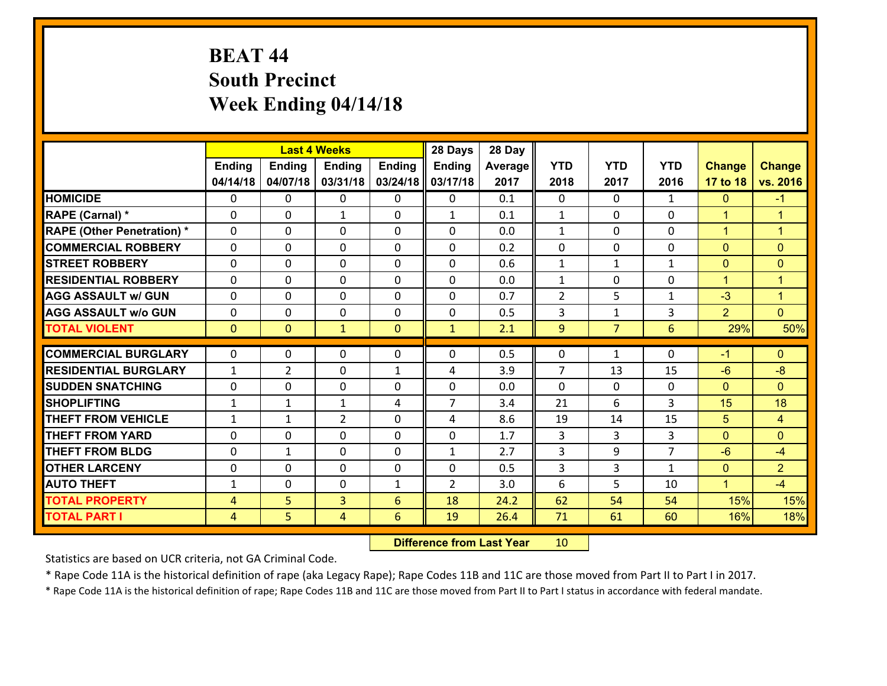# **BEAT 44 South Precinct Week Ending 04/14/18**

|                                   |                |                | <b>Last 4 Weeks</b> |               | 28 Days                    | 28 Day  |                |                |                |                |                |
|-----------------------------------|----------------|----------------|---------------------|---------------|----------------------------|---------|----------------|----------------|----------------|----------------|----------------|
|                                   | <b>Ending</b>  | <b>Ending</b>  | <b>Ending</b>       | <b>Ending</b> | Ending                     | Average | <b>YTD</b>     | <b>YTD</b>     | <b>YTD</b>     | <b>Change</b>  | <b>Change</b>  |
|                                   | 04/14/18       | 04/07/18       | 03/31/18            | 03/24/18      | 03/17/18                   | 2017    | 2018           | 2017           | 2016           | 17 to 18       | vs. 2016       |
| <b>HOMICIDE</b>                   | $\Omega$       | 0              | $\mathbf{0}$        | $\Omega$      | 0                          | 0.1     | $\Omega$       | $\Omega$       | $\mathbf{1}$   | $\mathbf{0}$   | $-1$           |
| RAPE (Carnal) *                   | $\Omega$       | 0              | $\mathbf{1}$        | 0             | $\mathbf{1}$               | 0.1     | $\mathbf{1}$   | $\Omega$       | $\Omega$       | $\mathbf{1}$   | $\overline{1}$ |
| <b>RAPE (Other Penetration) *</b> | $\Omega$       | 0              | $\mathbf 0$         | 0             | 0                          | 0.0     | $\mathbf{1}$   | 0              | 0              | $\mathbf{1}$   | $\mathbf{1}$   |
| <b>COMMERCIAL ROBBERY</b>         | 0              | 0              | 0                   | 0             | 0                          | 0.2     | $\mathbf 0$    | $\mathbf{0}$   | $\Omega$       | $\mathbf{0}$   | $\mathbf{0}$   |
| <b>STREET ROBBERY</b>             | $\Omega$       | 0              | $\mathbf 0$         | 0             | 0                          | 0.6     | $\mathbf 1$    | $\mathbf{1}$   | $\mathbf{1}$   | $\mathbf{0}$   | $\mathbf{0}$   |
| <b>RESIDENTIAL ROBBERY</b>        | 0              | 0              | $\mathbf 0$         | 0             | 0                          | 0.0     | $\mathbf{1}$   | $\mathbf 0$    | 0              | $\mathbf{1}$   | $\mathbf{1}$   |
| <b>AGG ASSAULT w/ GUN</b>         | 0              | 0              | $\mathbf 0$         | 0             | 0                          | 0.7     | $\overline{2}$ | 5              | $\mathbf{1}$   | $-3$           | $\mathbf{1}$   |
| <b>AGG ASSAULT w/o GUN</b>        | 0              | 0              | $\mathbf 0$         | 0             | $\mathbf 0$                | 0.5     | 3              | $\mathbf{1}$   | 3              | $\overline{2}$ | $\overline{0}$ |
| <b>TOTAL VIOLENT</b>              | $\mathbf{0}$   | $\overline{0}$ | $\mathbf{1}$        | $\mathbf{0}$  | $\mathbf{1}$               | 2.1     | 9              | $\overline{7}$ | 6              | 29%            | 50%            |
| <b>COMMERCIAL BURGLARY</b>        | $\Omega$       | 0              | $\mathbf{0}$        | 0             | $\Omega$                   | 0.5     | 0              | $\mathbf{1}$   | 0              | $-1$           | $\mathbf{0}$   |
| <b>RESIDENTIAL BURGLARY</b>       |                |                |                     |               |                            |         | 7              |                |                |                |                |
|                                   | $\mathbf{1}$   | $\overline{2}$ | $\mathbf 0$         | $\mathbf{1}$  | 4                          | 3.9     |                | 13             | 15             | $-6$           | $-8$           |
| <b>SUDDEN SNATCHING</b>           | $\mathbf{0}$   | 0              | $\mathbf{0}$        | $\Omega$      | $\Omega$<br>$\overline{7}$ | 0.0     | $\Omega$       | $\Omega$<br>6  | $\Omega$<br>3  | $\mathbf{0}$   | $\Omega$<br>18 |
| <b>SHOPLIFTING</b>                | $\mathbf{1}$   | 1              | $\mathbf{1}$        | 4             |                            | 3.4     | 21             |                |                | 15             |                |
| <b>THEFT FROM VEHICLE</b>         | $\mathbf{1}$   | 1              | $\overline{2}$      | 0             | 4                          | 8.6     | 19             | 14             | 15             | 5              | $\overline{4}$ |
| <b>THEFT FROM YARD</b>            | $\mathbf{0}$   | 0              | $\mathbf 0$         | 0             | $\mathbf 0$                | 1.7     | 3              | 3              | 3              | $\mathbf 0$    | $\mathbf{0}$   |
| <b>THEFT FROM BLDG</b>            | 0              | 1              | $\mathbf 0$         | 0             | $\mathbf{1}$               | 2.7     | 3              | 9              | $\overline{7}$ | $-6$           | $-4$           |
| <b>OTHER LARCENY</b>              | 0              | 0              | $\mathbf 0$         | 0             | 0                          | 0.5     | 3              | 3              | $\mathbf{1}$   | $\mathbf{0}$   | $\overline{2}$ |
| <b>AUTO THEFT</b>                 | $\mathbf{1}$   | 0              | 0                   | $\mathbf{1}$  | $\overline{2}$             | 3.0     | 6              | 5              | 10             | $\mathbf{1}$   | $-4$           |
| <b>TOTAL PROPERTY</b>             | $\overline{4}$ | 5              | 3                   | 6             | 18                         | 24.2    | 62             | 54             | 54             | 15%            | 15%            |
| <b>TOTAL PART I</b>               | $\overline{4}$ | 5              | 4                   | 6             | 19                         | 26.4    | 71             | 61             | 60             | 16%            | 18%            |

 **Difference from Last Year**r 10

Statistics are based on UCR criteria, not GA Criminal Code.

\* Rape Code 11A is the historical definition of rape (aka Legacy Rape); Rape Codes 11B and 11C are those moved from Part II to Part I in 2017.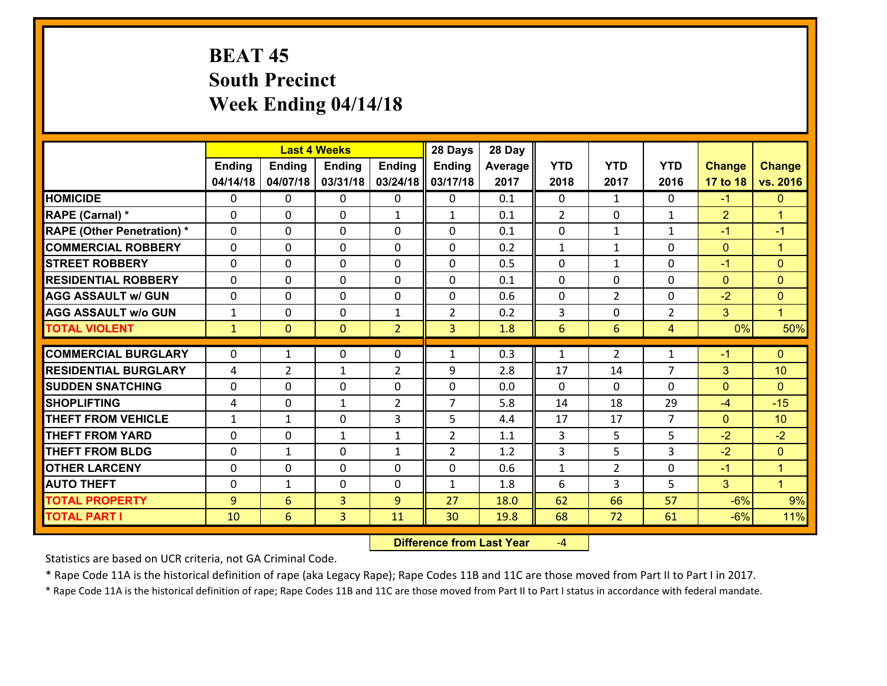# **BEAT 45 South Precinct Week Ending 04/14/18**

|                                                  |                              |                 | <b>Last 4 Weeks</b> |                              | 28 Days                          | 28 Day     |                |                |                      |                |                      |
|--------------------------------------------------|------------------------------|-----------------|---------------------|------------------------------|----------------------------------|------------|----------------|----------------|----------------------|----------------|----------------------|
|                                                  | <b>Ending</b>                | <b>Ending</b>   | <b>Ending</b>       | <b>Ending</b>                | Ending                           | Average    | <b>YTD</b>     | <b>YTD</b>     | <b>YTD</b>           | <b>Change</b>  | <b>Change</b>        |
|                                                  | 04/14/18                     | 04/07/18        | 03/31/18            | 03/24/18                     | 03/17/18                         | 2017       | 2018           | 2017           | 2016                 | 17 to 18       | vs. 2016             |
| <b>HOMICIDE</b>                                  | $\Omega$                     | 0               | $\mathbf{0}$        | 0                            | 0                                | 0.1        | 0              | $\mathbf{1}$   | $\Omega$             | $-1$           | $\mathbf{0}$         |
| RAPE (Carnal) *                                  | $\Omega$                     | 0               | $\mathbf{0}$        | $\mathbf{1}$                 | $\mathbf{1}$                     | 0.1        | 2              | $\Omega$       | $\mathbf{1}$         | $\overline{2}$ | $\blacktriangleleft$ |
| <b>RAPE (Other Penetration) *</b>                | $\Omega$                     | 0               | $\mathbf 0$         | 0                            | 0                                | 0.1        | 0              | $\mathbf{1}$   | $\mathbf{1}$         | $-1$           | $-1$                 |
| <b>COMMERCIAL ROBBERY</b>                        | 0                            | 0               | 0                   | 0                            | 0                                | 0.2        | $\mathbf{1}$   | $\mathbf{1}$   | 0                    | $\mathbf{0}$   | $\mathbf{1}$         |
| <b>STREET ROBBERY</b>                            | $\Omega$                     | 0               | $\mathbf 0$         | 0                            | 0                                | 0.5        | $\mathbf 0$    | $\mathbf{1}$   | 0                    | $-1$           | $\mathbf{0}$         |
| <b>RESIDENTIAL ROBBERY</b>                       | 0                            | 0               | $\mathbf 0$         | 0                            | 0                                | 0.1        | $\mathbf 0$    | $\mathbf 0$    | 0                    | $\mathbf{0}$   | $\mathbf{0}$         |
| <b>AGG ASSAULT w/ GUN</b>                        | 0                            | 0               | $\mathbf 0$         | 0                            | 0                                | 0.6        | $\mathbf 0$    | $\overline{2}$ | 0                    | $-2$           | $\mathbf{0}$         |
| <b>AGG ASSAULT w/o GUN</b>                       | $\mathbf{1}$                 | 0               | $\mathbf 0$         | $\mathbf{1}$                 | $\overline{2}$                   | 0.2        | 3              | $\mathbf 0$    | $\overline{2}$       | 3              | $\mathbf{1}$         |
| <b>TOTAL VIOLENT</b>                             | $\mathbf{1}$                 | $\overline{0}$  | $\mathbf{0}$        | $\overline{2}$               | $\overline{3}$                   | 1.8        | $6\phantom{1}$ | 6              | 4                    | 0%             | 50%                  |
| <b>COMMERCIAL BURGLARY</b>                       |                              |                 |                     |                              |                                  |            |                |                |                      |                |                      |
|                                                  |                              |                 |                     |                              |                                  |            |                |                |                      |                |                      |
|                                                  | $\Omega$                     | 1               | $\mathbf{0}$        | 0                            | $\mathbf{1}$                     | 0.3        | 1              | $\overline{2}$ | $\mathbf{1}$         | $-1$           | $\mathbf{0}$         |
| <b>RESIDENTIAL BURGLARY</b>                      | 4                            | $\overline{2}$  | $\mathbf{1}$        | $\overline{2}$               | 9                                | 2.8        | 17             | 14             | $\overline{7}$       | 3              | 10                   |
| <b>SUDDEN SNATCHING</b>                          | $\mathbf{0}$                 | 0               | $\mathbf{0}$        | $\Omega$                     | $\Omega$<br>$\overline{7}$       | 0.0        | $\Omega$       | $\Omega$       | $\Omega$             | $\mathbf{0}$   | $\Omega$             |
| <b>SHOPLIFTING</b>                               | 4                            | 0               | $\mathbf{1}$        | $\overline{2}$               |                                  | 5.8        | 14             | 18             | 29<br>$\overline{7}$ | $-4$           | $-15$                |
| <b>THEFT FROM VEHICLE</b>                        | $\mathbf{1}$<br>$\mathbf{0}$ | 1               | $\mathbf 0$         | 3                            | 5                                | 4.4        | 17             | 17             |                      | $\mathbf{0}$   | 10                   |
| <b>THEFT FROM YARD</b><br><b>THEFT FROM BLDG</b> | 0                            | 0<br>1          | 1<br>$\mathbf 0$    | $\mathbf{1}$<br>$\mathbf{1}$ | $\overline{2}$<br>$\overline{2}$ | 1.1<br>1.2 | 3<br>3         | 5<br>5         | 5<br>3               | $-2$<br>$-2$   | $-2$<br>$\mathbf{0}$ |
| <b>OTHER LARCENY</b>                             | 0                            | 0               | $\mathbf 0$         | 0                            | 0                                | 0.6        | $\mathbf 1$    | $\overline{2}$ | 0                    | $-1$           | $\mathbf{1}$         |
| <b>AUTO THEFT</b>                                | 0                            | $\mathbf{1}$    | 0                   | 0                            | $\mathbf{1}$                     | 1.8        | 6              | 3              | 5                    | 3              | $\mathbf{1}$         |
| <b>TOTAL PROPERTY</b>                            | 9                            | $6\overline{6}$ | 3                   | 9                            | 27                               | 18.0       | 62             | 66             | 57                   | $-6%$          | 9%                   |
| <b>TOTAL PART I</b>                              | 10                           | 6               | 3                   | 11                           | 30                               | 19.8       | 68             | 72             | 61                   | $-6%$          | 11%                  |

 **Difference from Last Year**‐4

Statistics are based on UCR criteria, not GA Criminal Code.

\* Rape Code 11A is the historical definition of rape (aka Legacy Rape); Rape Codes 11B and 11C are those moved from Part II to Part I in 2017.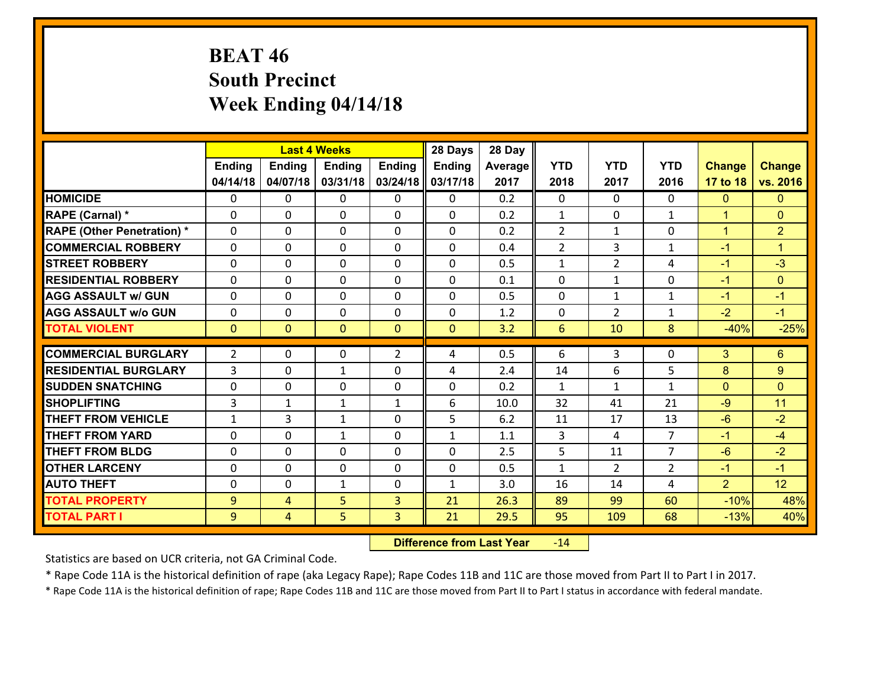# **BEAT 46 South Precinct Week Ending 04/14/18**

|                                   |                |                | <b>Last 4 Weeks</b> |                | 28 Days       | 28 Day  |                |                |                |                |                      |
|-----------------------------------|----------------|----------------|---------------------|----------------|---------------|---------|----------------|----------------|----------------|----------------|----------------------|
|                                   | Ending         | <b>Ending</b>  | <b>Ending</b>       | <b>Ending</b>  | <b>Ending</b> | Average | <b>YTD</b>     | <b>YTD</b>     | <b>YTD</b>     | <b>Change</b>  | <b>Change</b>        |
|                                   | 04/14/18       | 04/07/18       | 03/31/18            | 03/24/18       | 03/17/18      | 2017    | 2018           | 2017           | 2016           | 17 to 18       | vs. 2016             |
| <b>HOMICIDE</b>                   | 0              | 0              | 0                   | 0              | 0             | 0.2     | $\mathbf{0}$   | $\Omega$       | 0              | $\mathbf{0}$   | $\mathbf{0}$         |
| RAPE (Carnal) *                   | 0              | $\Omega$       | $\mathbf{0}$        | 0              | 0             | 0.2     | 1              | 0              | $\mathbf{1}$   | $\mathbf{1}$   | $\mathbf{0}$         |
| <b>RAPE (Other Penetration) *</b> | $\Omega$       | 0              | $\Omega$            | $\Omega$       | $\Omega$      | 0.2     | $\overline{2}$ | $\mathbf{1}$   | $\Omega$       | $\mathbf{1}$   | $\overline{2}$       |
| <b>COMMERCIAL ROBBERY</b>         | 0              | $\Omega$       | $\mathbf 0$         | $\Omega$       | $\Omega$      | 0.4     | $\overline{2}$ | 3              | $\mathbf{1}$   | $-1$           | $\blacktriangleleft$ |
| <b>ISTREET ROBBERY</b>            | 0              | 0              | $\mathbf 0$         | 0              | 0             | 0.5     | $\mathbf{1}$   | $\overline{2}$ | 4              | $-1$           | $-3$                 |
| <b>RESIDENTIAL ROBBERY</b>        | 0              | 0              | 0                   | $\Omega$       | 0             | 0.1     | $\mathbf 0$    | $\mathbf{1}$   | 0              | $-1$           | $\mathbf{0}$         |
| <b>AGG ASSAULT w/ GUN</b>         | 0              | 0              | $\mathbf 0$         | $\Omega$       | 0             | 0.5     | $\mathbf 0$    | $\mathbf{1}$   | $\mathbf{1}$   | $-1$           | $-1$                 |
| <b>AGG ASSAULT w/o GUN</b>        | 0              | 0              | $\mathbf 0$         | $\Omega$       | 0             | 1.2     | $\mathbf{0}$   | $\overline{2}$ | $\mathbf{1}$   | $-2$           | $-1$                 |
| <b>TOTAL VIOLENT</b>              | $\mathbf{0}$   | $\overline{0}$ | $\mathbf{0}$        | $\overline{0}$ | $\mathbf{0}$  | 3.2     | 6              | 10             | 8              | $-40%$         | $-25%$               |
| <b>COMMERCIAL BURGLARY</b>        | $\overline{2}$ | 0              | $\mathbf{0}$        | $\overline{2}$ | 4             | 0.5     | 6              | 3              | 0              | 3              | 6                    |
| <b>RESIDENTIAL BURGLARY</b>       | 3              | 0              | $\mathbf{1}$        | 0              | 4             | 2.4     | 14             | 6              | 5              | 8              | 9                    |
| <b>SUDDEN SNATCHING</b>           | $\Omega$       | $\Omega$       | $\mathbf 0$         | $\Omega$       | 0             | 0.2     | $\mathbf{1}$   | $\mathbf{1}$   | $\mathbf{1}$   | $\Omega$       | $\Omega$             |
| <b>SHOPLIFTING</b>                | 3              | $\mathbf{1}$   | $\mathbf{1}$        | $\mathbf{1}$   | 6             | 10.0    | 32             | 41             | 21             | $-9$           | 11                   |
| <b>THEFT FROM VEHICLE</b>         | 1              | 3              | 1                   | 0              | 5             | 6.2     | 11             | 17             | 13             | $-6$           | $-2$                 |
| <b>THEFT FROM YARD</b>            | 0              | $\mathbf 0$    | $\mathbf{1}$        | $\Omega$       | $\mathbf{1}$  | 1.1     | 3              | 4              | $\overline{7}$ | $-1$           | $-4$                 |
| <b>THEFT FROM BLDG</b>            | 0              | 0              | $\mathbf 0$         | 0              | 0             | 2.5     | 5              | 11             | $\overline{7}$ | $-6$           | $-2$                 |
| <b>OTHER LARCENY</b>              | 0              | 0              | $\mathbf 0$         | 0              | 0             | 0.5     | $\mathbf{1}$   | $\overline{2}$ | $\overline{2}$ | $-1$           | $-1$                 |
| <b>AUTO THEFT</b>                 |                |                |                     |                |               |         |                |                |                |                | 12                   |
|                                   | $\Omega$       | 0              | 1                   | $\Omega$       | 1             | 3.0     | 16             | 14             | 4              | $\overline{2}$ |                      |
| <b>TOTAL PROPERTY</b>             | 9              | 4              | 5                   | 3              | 21            | 26.3    | 89             | 99             | 60             | $-10%$         | 48%                  |
| <b>TOTAL PART I</b>               | 9              | $\overline{4}$ | 5                   | 3              | 21            | 29.5    | 95             | 109            | 68             | $-13%$         | 40%                  |

 **Difference from Last Year**r -14

Statistics are based on UCR criteria, not GA Criminal Code.

\* Rape Code 11A is the historical definition of rape (aka Legacy Rape); Rape Codes 11B and 11C are those moved from Part II to Part I in 2017.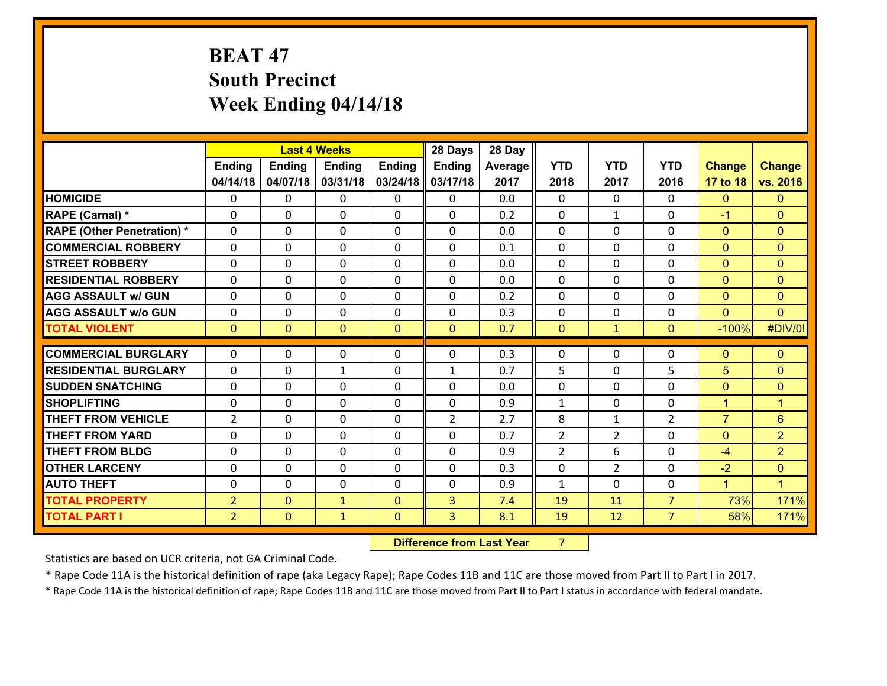# **BEAT 47 South Precinct Week Ending 04/14/18**

|                                   |                |                | <b>Last 4 Weeks</b> |               | 28 Days        | 28 Day  |                |                |                |                      |                |
|-----------------------------------|----------------|----------------|---------------------|---------------|----------------|---------|----------------|----------------|----------------|----------------------|----------------|
|                                   | <b>Ending</b>  | <b>Ending</b>  | <b>Ending</b>       | <b>Ending</b> | Ending         | Average | <b>YTD</b>     | <b>YTD</b>     | <b>YTD</b>     | <b>Change</b>        | <b>Change</b>  |
|                                   | 04/14/18       | 04/07/18       | 03/31/18            | 03/24/18      | 03/17/18       | 2017    | 2018           | 2017           | 2016           | 17 to 18             | vs. 2016       |
| <b>HOMICIDE</b>                   | $\Omega$       | 0              | $\Omega$            | $\mathbf{0}$  | 0              | 0.0     | $\Omega$       | $\Omega$       | $\Omega$       | $\mathbf{0}$         | $\mathbf{0}$   |
| RAPE (Carnal) *                   | $\mathbf{0}$   | 0              | $\mathbf{0}$        | $\mathbf{0}$  | 0              | 0.2     | $\mathbf{0}$   | $\mathbf{1}$   | 0              | $-1$                 | $\overline{0}$ |
| <b>RAPE (Other Penetration) *</b> | $\Omega$       | 0              | $\mathbf{0}$        | $\Omega$      | 0              | 0.0     | $\Omega$       | $\Omega$       | 0              | $\mathbf{0}$         | $\mathbf{0}$   |
| <b>COMMERCIAL ROBBERY</b>         | $\Omega$       | 0              | $\mathbf{0}$        | $\Omega$      | $\Omega$       | 0.1     | $\Omega$       | $\Omega$       | 0              | $\mathbf{0}$         | $\Omega$       |
| <b>STREET ROBBERY</b>             | $\Omega$       | 0              | $\Omega$            | $\Omega$      | $\Omega$       | 0.0     | $\Omega$       | $\Omega$       | 0              | $\mathbf{0}$         | $\mathbf{0}$   |
| <b>RESIDENTIAL ROBBERY</b>        | $\Omega$       | 0              | $\mathbf{0}$        | $\Omega$      | $\Omega$       | 0.0     | $\Omega$       | $\Omega$       | 0              | $\mathbf{0}$         | $\Omega$       |
| <b>AGG ASSAULT w/ GUN</b>         | 0              | 0              | 0                   | 0             | 0              | 0.2     | $\Omega$       | $\Omega$       | 0              | $\mathbf{0}$         | $\overline{0}$ |
| <b>AGG ASSAULT w/o GUN</b>        | 0              | 0              | 0                   | 0             | 0              | 0.3     | $\mathbf{0}$   | $\Omega$       | 0              | $\mathbf{0}$         | $\Omega$       |
| <b>TOTAL VIOLENT</b>              | $\mathbf{0}$   | $\overline{0}$ | $\mathbf{0}$        | $\mathbf{0}$  | $\overline{0}$ | 0.7     | $\mathbf{0}$   | $\mathbf{1}$   | 0              | $-100%$              | #DIV/0!        |
| <b>COMMERCIAL BURGLARY</b>        | $\mathbf 0$    |                |                     |               |                |         |                |                |                |                      | $\mathbf{0}$   |
|                                   |                |                |                     |               |                |         |                |                |                |                      |                |
|                                   |                | 0              | 0                   | 0             | $\Omega$       | 0.3     | $\mathbf{0}$   | 0              | 0              | $\mathbf{0}$         |                |
| <b>RESIDENTIAL BURGLARY</b>       | $\Omega$       | 0              | $\mathbf{1}$        | $\Omega$      | $\mathbf{1}$   | 0.7     | 5              | $\Omega$       | 5              | 5                    | $\Omega$       |
| <b>SUDDEN SNATCHING</b>           | $\mathbf{0}$   | 0              | $\mathbf{0}$        | 0             | $\Omega$       | 0.0     | $\mathbf{0}$   | $\Omega$       | 0              | $\mathbf{0}$         | $\mathbf{0}$   |
| <b>SHOPLIFTING</b>                | $\Omega$       | 0              | $\Omega$            | $\Omega$      | 0              | 0.9     | $\mathbf{1}$   | $\Omega$       | 0              | $\blacktriangleleft$ | $\mathbf{1}$   |
| <b>THEFT FROM VEHICLE</b>         | $\overline{2}$ | 0              | $\mathbf{0}$        | 0             | $\overline{2}$ | 2.7     | 8              | $\mathbf{1}$   | $\overline{2}$ | $\overline{7}$       | 6              |
| <b>THEFT FROM YARD</b>            | 0              | 0              | $\mathbf{0}$        | 0             | 0              | 0.7     | $\overline{2}$ | 2              | 0              | $\mathbf{0}$         | $\overline{2}$ |
| <b>THEFT FROM BLDG</b>            | $\Omega$       | $\Omega$       | $\Omega$            | $\Omega$      | $\Omega$       | 0.9     | $\overline{2}$ | 6              | $\Omega$       | $-4$                 | $\overline{2}$ |
| <b>OTHER LARCENY</b>              | $\mathbf{0}$   | 0              | $\mathbf{0}$        | 0             | $\Omega$       | 0.3     | $\mathbf{0}$   | $\overline{2}$ | 0              | $-2$                 | $\mathbf{0}$   |
| <b>AUTO THEFT</b>                 | 0              | 0              | $\mathbf{0}$        | $\Omega$      | $\Omega$       | 0.9     | $\mathbf{1}$   | 0              | 0              | $\blacktriangleleft$ | $\mathbf{1}$   |
| <b>TOTAL PROPERTY</b>             | $\overline{2}$ | $\Omega$       | $\mathbf{1}$        | $\mathbf{0}$  | 3              | 7.4     | 19             | 11             | $\overline{7}$ | 73%                  | 171%           |
| <b>TOTAL PART I</b>               | $\overline{2}$ | $\mathbf{0}$   | $\mathbf{1}$        | $\mathbf 0$   | 3              | 8.1     | 19             | 12             | $\overline{7}$ | 58%                  | 171%           |

**12. Difference from Last Year 7**  $7 \quad \blacksquare$ 

Statistics are based on UCR criteria, not GA Criminal Code.

\* Rape Code 11A is the historical definition of rape (aka Legacy Rape); Rape Codes 11B and 11C are those moved from Part II to Part I in 2017.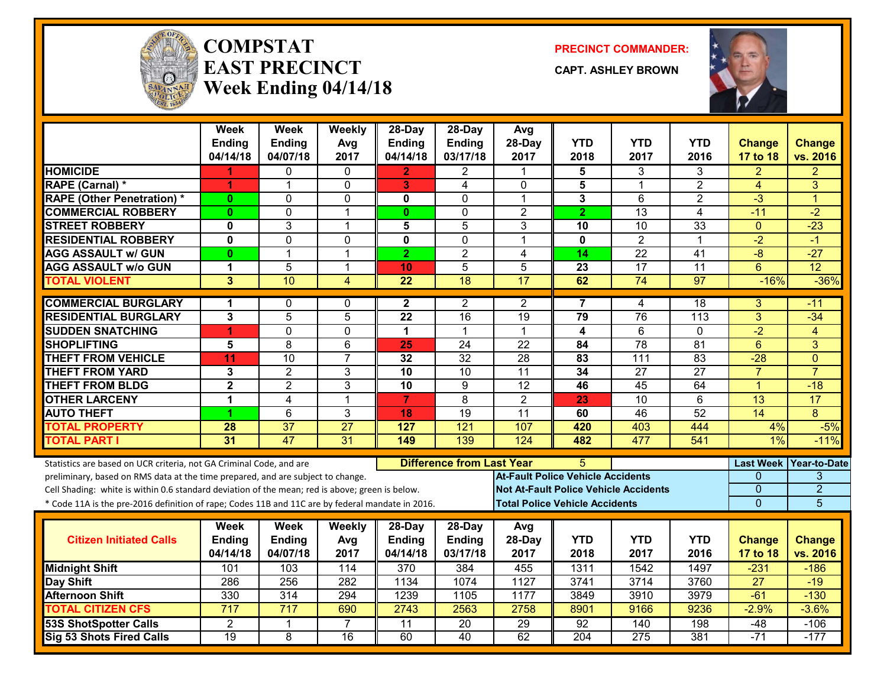

#### **COMPSTATEAST PRECINCTWeek Ending 04/14/18**

**PRECINCT COMMANDER:**

**CAPT. ASHLEY BROWN**



|                                                                                                  | Week<br><b>Ending</b> | <b>Week</b><br><b>Ending</b> | Weekly<br>Avg   | 28-Day<br><b>Ending</b> | $28$ -Day<br><b>Ending</b>       | Avg<br>28-Day                            | YTD                                          | <b>YTD</b>      | YTD             | <b>Change</b>    | <b>Change</b>   |
|--------------------------------------------------------------------------------------------------|-----------------------|------------------------------|-----------------|-------------------------|----------------------------------|------------------------------------------|----------------------------------------------|-----------------|-----------------|------------------|-----------------|
|                                                                                                  | 04/14/18              | 04/07/18                     | 2017            | 04/14/18                | 03/17/18                         | 2017                                     | 2018                                         | 2017            | 2016            | 17 to 18         | vs. 2016        |
| <b>HOMICIDE</b>                                                                                  |                       | 0                            | $\Omega$        | 2.                      | $\overline{2}$                   | 1                                        | 5                                            | 3               | 3               | 2                | 2               |
| <b>RAPE (Carnal) *</b>                                                                           | 1                     | $\mathbf{1}$                 | $\mathbf 0$     | 3                       | 4                                | $\Omega$                                 | 5                                            | $\mathbf 1$     | $\overline{2}$  | 4                | 3               |
| <b>RAPE (Other Penetration)*</b>                                                                 | $\bf{0}$              | 0                            | 0               | 0                       | 0                                | 1                                        | 3                                            | 6               | $\overline{2}$  | $-3$             | 1               |
| <b>COMMERCIAL ROBBERY</b>                                                                        | $\bf{0}$              | 0                            | $\mathbf{1}$    | $\mathbf{0}$            | $\Omega$                         | $\overline{2}$                           | $\overline{2}$                               | $\overline{13}$ | $\overline{4}$  | $-11$            | $-2$            |
| <b>STREET ROBBERY</b>                                                                            | $\mathbf 0$           | 3                            | 1               | 5                       | 5                                | 3                                        | 10                                           | 10              | 33              | $\mathbf{0}$     | $-23$           |
| <b>RESIDENTIAL ROBBERY</b>                                                                       | $\mathbf 0$           | $\overline{0}$               | $\mathbf 0$     | $\overline{\mathbf{0}}$ | $\mathbf 0$                      | $\mathbf 1$                              | $\overline{\mathbf{0}}$                      | $\overline{2}$  | $\mathbf 1$     | $-2$             | $-1$            |
| <b>AGG ASSAULT w/ GUN</b>                                                                        | 0                     | $\mathbf{1}$                 | $\overline{1}$  | $\overline{2}$          | $\overline{2}$                   | 4                                        | 14                                           | $\overline{22}$ | $\overline{41}$ | $-8$             | $-27$           |
| <b>AGG ASSAULT W/o GUN</b>                                                                       | $\mathbf{1}$          | $\overline{5}$               | $\mathbf{1}$    | 10                      | 5                                | 5                                        | 23                                           | 17              | $\overline{11}$ | 6                | 12              |
| <b>TOTAL VIOLENT</b>                                                                             | 3                     | 10                           | 4               | $\overline{22}$         | $\overline{18}$                  | $\overline{17}$                          | 62                                           | 74              | 97              | $-16%$           | $-36%$          |
| <b>COMMERCIAL BURGLARY</b>                                                                       | 1                     | 0                            | 0               | $\mathbf{2}$            | 2                                | 2                                        | 7                                            | 4               | 18              | 3                | -11             |
| <b>RESIDENTIAL BURGLARY</b>                                                                      | $\overline{3}$        | $\overline{5}$               | $\overline{5}$  | $\overline{22}$         | 16                               | 19                                       | 79                                           | 76              | 113             | $\overline{3}$   | $-34$           |
| <b>SUDDEN SNATCHING</b>                                                                          | 4                     | 0                            | $\mathbf 0$     | $\mathbf{1}$            | $\mathbf{1}$                     | $\mathbf 1$                              | $\overline{\mathbf{4}}$                      | 6               | 0               | $\overline{-2}$  | $\overline{4}$  |
| <b>SHOPLIFTING</b>                                                                               | 5                     | 8                            | $6\phantom{1}$  | 25                      | 24                               | 22                                       | 84                                           | $\overline{78}$ | $\overline{81}$ | 6                | 3               |
| <b>THEFT FROM VEHICLE</b>                                                                        | 11                    | 10                           | $\overline{7}$  | $\overline{32}$         | $\overline{32}$                  | 28                                       | $\overline{83}$                              | 111             | 83              | $-28$            | $\Omega$        |
| <b>THEFT FROM YARD</b>                                                                           | 3                     | $\overline{2}$               | 3               | $\overline{10}$         | 10                               | $\overline{11}$                          | $\overline{34}$                              | $\overline{27}$ | $\overline{27}$ | $\overline{7}$   | $\overline{7}$  |
| <b>THEFT FROM BLDG</b>                                                                           | $\mathbf{2}$          | $\overline{2}$               | 3               | 10                      | 9                                | 12                                       | 46                                           | 45              | 64              | $\overline{1}$   | $-18$           |
| <b>OTHER LARCENY</b>                                                                             | $\mathbf 1$           | 4                            | $\overline{1}$  | $\overline{7}$          | $\overline{8}$                   | $\overline{2}$                           | 23                                           | $\overline{10}$ | 6               | 13               | $\overline{17}$ |
| <b>AUTO THEFT</b>                                                                                | 4                     | 6                            | 3               | 18                      | 19                               | 11                                       | 60                                           | 46              | 52              | 14               | 8               |
| <b>TOTAL PROPERTY</b>                                                                            | 28                    | 37                           | 27              | 127                     | 121                              | 107                                      | 420                                          | 403             | 444             | 4%               | $-5%$           |
| <b>TOTAL PART I</b>                                                                              | 31                    | 47                           | $\overline{31}$ | 149                     | 139                              | 124                                      | 482                                          | 477             | 541             | $1\%$            | $-11%$          |
| Statistics are based on UCR criteria, not GA Criminal Code, and are                              |                       |                              |                 |                         | <b>Difference from Last Year</b> |                                          | 5                                            |                 |                 | <b>Last Week</b> | Year-to-Date    |
| preliminary, based on RMS data at the time prepared, and are subject to change.                  |                       |                              |                 |                         |                                  | <b>At-Fault Police Vehicle Accidents</b> |                                              |                 |                 | 0                | 3               |
| Cell Shading: white is within 0.6 standard deviation of the mean; red is above; green is below.  |                       |                              |                 |                         |                                  |                                          | <b>Not At-Fault Police Vehicle Accidents</b> |                 |                 | $\overline{0}$   | $\overline{2}$  |
| * Code 11A is the pre-2016 definition of rape; Codes 11B and 11C are by federal mandate in 2016. |                       |                              |                 |                         |                                  | <b>Total Police Vehicle Accidents</b>    |                                              |                 |                 | $\overline{0}$   | 5               |
|                                                                                                  | Week                  | <b>Week</b>                  | Weekly          | 28-Day                  | 28-Day                           | Avg                                      |                                              |                 |                 |                  |                 |
| <b>Citizen Initiated Calls</b>                                                                   | Ending                | <b>Ending</b>                | Avg             | <b>Ending</b>           | Ending                           | 28-Day                                   | <b>YTD</b>                                   | <b>YTD</b>      | <b>YTD</b>      | <b>Change</b>    | <b>Change</b>   |
|                                                                                                  | 04/14/18              | 04/07/18                     | 2017            | 04/14/18                | 03/17/18                         | 2017                                     | 2018                                         | 2017            | 2016            | 17 to 18         | vs. 2016        |
| <b>Midnight Shift</b>                                                                            | 101                   | 103                          | 114             | 370                     | 384                              | 455                                      | 1311                                         | 1542            | 1497            | $-231$           | $-186$          |
| Day Shift                                                                                        | 286                   | $\overline{256}$             | 282             | 1134                    | 1074                             | 1127                                     | 3741                                         | 3714            | 3760            | 27               | $-19$           |
| <b>Afternoon Shift</b>                                                                           | 330                   | 314                          | 294             | 1239                    | 1105                             | 1177                                     | 3849                                         | 3910            | 3979            | $-61$            | $-130$          |
| <b>TOTAL CITIZEN CFS</b>                                                                         | $\overline{717}$      | 717                          | 690             | 2743                    | 2563                             | 2758                                     | 8901                                         | 9166            | 9236            | $-2.9%$          | $-3.6%$         |
| <b>53S ShotSpotter Calls</b>                                                                     | $\overline{2}$        | $\mathbf{1}$                 | $\overline{7}$  | $\overline{11}$         | $\overline{20}$                  | $\overline{29}$                          | 92                                           | 140             | 198             | -48              | $-106$          |
| Sig 53 Shots Fired Calls                                                                         | $\overline{19}$       | 8                            | $\overline{16}$ | 60                      | 40                               | 62                                       | 204                                          | 275             | 381             | $-71$            | $-177$          |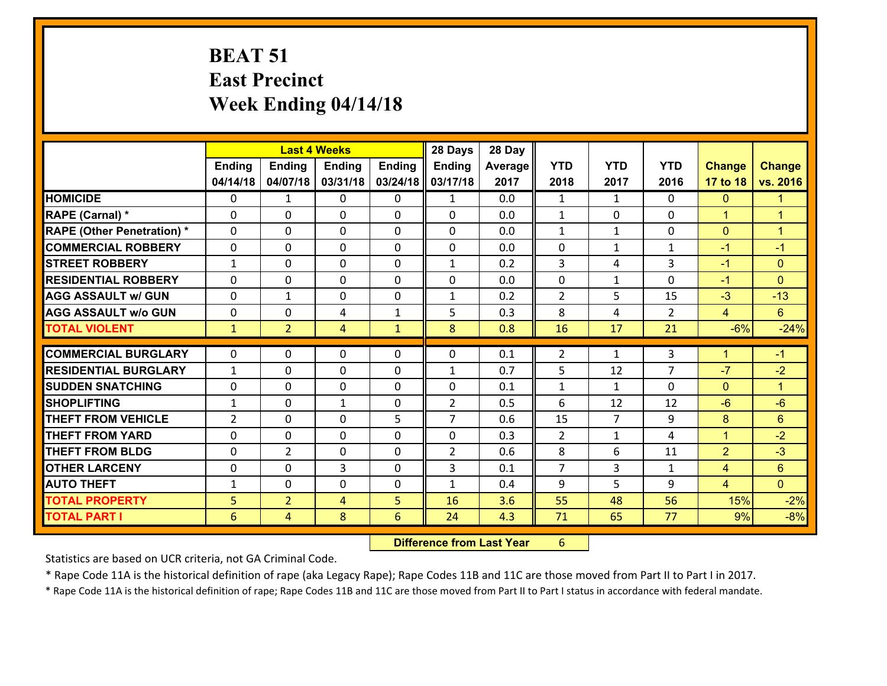## **BEAT 51 East Precinct Week Ending 04/14/18**

|                                   | <b>Last 4 Weeks</b> |                |               |               | 28 Days        | 28 Day  |                |                |                |                |                      |
|-----------------------------------|---------------------|----------------|---------------|---------------|----------------|---------|----------------|----------------|----------------|----------------|----------------------|
|                                   | <b>Ending</b>       | <b>Ending</b>  | <b>Ending</b> | <b>Ending</b> | <b>Ending</b>  | Average | <b>YTD</b>     | <b>YTD</b>     | <b>YTD</b>     | <b>Change</b>  | <b>Change</b>        |
|                                   | 04/14/18            | 04/07/18       | 03/31/18      | 03/24/18      | 03/17/18       | 2017    | 2018           | 2017           | 2016           | 17 to 18       | vs. 2016             |
| <b>HOMICIDE</b>                   | 0                   | 1              | 0             | 0             | $\mathbf{1}$   | 0.0     | 1              | $\mathbf{1}$   | 0              | $\mathbf{0}$   | $\mathbf{1}$         |
| RAPE (Carnal) *                   | 0                   | 0              | $\mathbf{0}$  | 0             | $\Omega$       | 0.0     | $\mathbf{1}$   | 0              | $\Omega$       | $\mathbf{1}$   | $\overline{1}$       |
| <b>RAPE (Other Penetration) *</b> | $\Omega$            | 0              | $\mathbf{0}$  | $\Omega$      | $\Omega$       | 0.0     | $\mathbf{1}$   | $\mathbf{1}$   | $\Omega$       | $\mathbf{0}$   | $\blacktriangleleft$ |
| <b>COMMERCIAL ROBBERY</b>         | 0                   | 0              | $\mathbf{0}$  | $\Omega$      | 0              | 0.0     | 0              | $\mathbf{1}$   | $\mathbf{1}$   | $-1$           | $-1$                 |
| <b>STREET ROBBERY</b>             | $\mathbf{1}$        | 0              | $\mathbf 0$   | 0             | $\mathbf{1}$   | 0.2     | 3              | 4              | 3              | $-1$           | $\mathbf{0}$         |
| <b>RESIDENTIAL ROBBERY</b>        | $\Omega$            | 0              | $\mathbf{0}$  | $\Omega$      | 0              | 0.0     | 0              | $\mathbf{1}$   | $\Omega$       | $-1$           | $\mathbf{0}$         |
| <b>AGG ASSAULT w/ GUN</b>         | $\Omega$            | 1              | $\mathbf 0$   | 0             | $\mathbf{1}$   | 0.2     | $\overline{2}$ | 5              | 15             | $-3$           | $-13$                |
| <b>AGG ASSAULT w/o GUN</b>        | 0                   | 0              | 4             | $\mathbf{1}$  | 5              | 0.3     | 8              | 4              | $\overline{2}$ | $\overline{4}$ | 6 <sup>°</sup>       |
| <b>TOTAL VIOLENT</b>              | $\mathbf{1}$        | $\overline{2}$ | 4             | $\mathbf{1}$  | 8              | 0.8     | 16             | 17             | 21             | $-6%$          | $-24%$               |
| <b>COMMERCIAL BURGLARY</b>        |                     |                |               |               |                |         |                |                |                |                |                      |
|                                   | 0                   | 0              | $\mathbf{0}$  | 0             | 0              | 0.1     | $\overline{2}$ | $\mathbf{1}$   | 3              | 1              | $-1$                 |
| <b>RESIDENTIAL BURGLARY</b>       | $\mathbf{1}$        | 0              | $\mathbf{0}$  | 0             | $\mathbf{1}$   | 0.7     | 5              | 12             | $\overline{7}$ | $-7$           | $-2$                 |
| <b>SUDDEN SNATCHING</b>           | 0                   | 0              | 0             | 0             | $\Omega$       | 0.1     | 1              | $\mathbf{1}$   | $\Omega$       | $\mathbf{0}$   | $\blacksquare$       |
| <b>SHOPLIFTING</b>                | 1                   | 0              | $\mathbf{1}$  | 0             | $\overline{2}$ | 0.5     | 6              | 12             | 12             | $-6$           | $-6$                 |
| <b>THEFT FROM VEHICLE</b>         | $\overline{2}$      | 0              | 0             | 5             | $\overline{7}$ | 0.6     | 15             | $\overline{7}$ | 9              | 8              | 6                    |
| <b>THEFT FROM YARD</b>            | $\mathbf{0}$        | 0              | $\mathbf{0}$  | $\Omega$      | $\Omega$       | 0.3     | 2              | $\mathbf{1}$   | 4              | $\mathbf{1}$   | $-2$                 |
| <b>THEFT FROM BLDG</b>            | 0                   | $\overline{2}$ | $\mathbf{0}$  | 0             | $\overline{2}$ | 0.6     | 8              | 6              | 11             | $\overline{2}$ | $-3$                 |
| <b>OTHER LARCENY</b>              | 0                   | 0              | 3             | $\Omega$      | 3              | 0.1     | $\overline{7}$ | 3              | $\mathbf{1}$   | 4              | $6\phantom{1}$       |
| <b>AUTO THEFT</b>                 | 1                   | 0              | $\mathbf 0$   | 0             | $\mathbf{1}$   | 0.4     | 9              | 5.             | 9              | $\overline{4}$ | $\overline{0}$       |
|                                   |                     |                |               | 5             | 16             | 3.6     | 55             | 48             | 56             | 15%            | $-2%$                |
| <b>TOTAL PROPERTY</b>             | 5                   | $\overline{2}$ | 4             |               |                |         |                |                |                |                |                      |

 **Difference from Last Year**r 6

Statistics are based on UCR criteria, not GA Criminal Code.

\* Rape Code 11A is the historical definition of rape (aka Legacy Rape); Rape Codes 11B and 11C are those moved from Part II to Part I in 2017.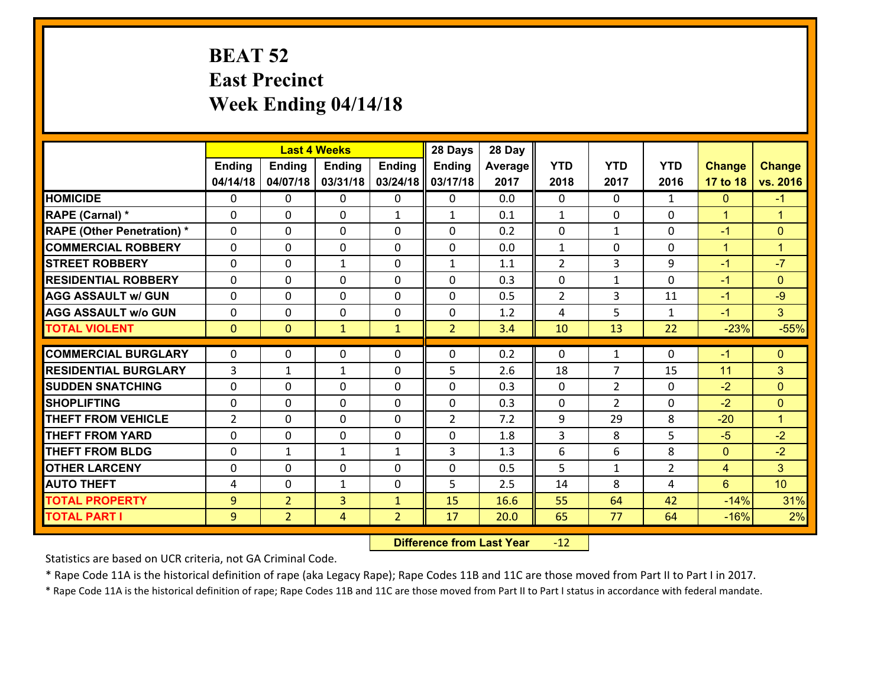## **BEAT 52 East Precinct Week Ending 04/14/18**

|                                   |               |                | <b>Last 4 Weeks</b> |                | 28 Days        | 28 Day  |                |                |                |                |                      |
|-----------------------------------|---------------|----------------|---------------------|----------------|----------------|---------|----------------|----------------|----------------|----------------|----------------------|
|                                   | <b>Ending</b> | <b>Ending</b>  | <b>Ending</b>       | <b>Ending</b>  | Ending         | Average | <b>YTD</b>     | <b>YTD</b>     | <b>YTD</b>     | <b>Change</b>  | <b>Change</b>        |
|                                   | 04/14/18      | 04/07/18       | 03/31/18            | 03/24/18       | 03/17/18       | 2017    | 2018           | 2017           | 2016           | 17 to 18       | vs. 2016             |
| <b>HOMICIDE</b>                   | $\Omega$      | 0              | 0                   | $\Omega$       | 0              | 0.0     | 0              | $\Omega$       | $\mathbf{1}$   | $\mathbf{0}$   | $-1$                 |
| RAPE (Carnal) *                   | $\Omega$      | 0              | $\mathbf{0}$        | $\mathbf{1}$   | $\mathbf{1}$   | 0.1     | $\mathbf{1}$   | $\mathbf{0}$   | 0              | $\mathbf{1}$   | $\blacktriangleleft$ |
| <b>RAPE (Other Penetration) *</b> | 0             | 0              | $\mathbf 0$         | 0              | $\Omega$       | 0.2     | $\mathbf{0}$   | $\mathbf{1}$   | 0              | $-1$           | $\overline{0}$       |
| <b>COMMERCIAL ROBBERY</b>         | 0             | 0              | $\mathbf 0$         | 0              | 0              | 0.0     | $\mathbf{1}$   | $\mathbf{0}$   | 0              | $\mathbf{1}$   | $\mathbf{1}$         |
| <b>STREET ROBBERY</b>             | 0             | 0              | $\mathbf{1}$        | 0              | $\mathbf{1}$   | 1.1     | $\overline{2}$ | $\overline{3}$ | 9              | $-1$           | $-7$                 |
| <b>RESIDENTIAL ROBBERY</b>        | 0             | 0              | $\mathbf 0$         | 0              | 0              | 0.3     | 0              | $\mathbf{1}$   | 0              | $-1$           | $\overline{0}$       |
| <b>AGG ASSAULT w/ GUN</b>         | 0             | 0              | $\mathbf 0$         | 0              | 0              | 0.5     | $\overline{2}$ | 3              | 11             | $-1$           | $-9$                 |
| <b>AGG ASSAULT w/o GUN</b>        | 0             | 0              | $\mathbf 0$         | $\mathbf{0}$   | 0              | 1.2     | 4              | 5              | $\mathbf{1}$   | $-1$           | 3 <sup>1</sup>       |
| <b>TOTAL VIOLENT</b>              | $\mathbf{0}$  | $\overline{0}$ | $\mathbf{1}$        | $\mathbf{1}$   | $\overline{2}$ | 3.4     | 10             | 13             | 22             | $-23%$         | $-55%$               |
| <b>COMMERCIAL BURGLARY</b>        | $\Omega$      | 0              | 0                   | 0              | 0              | 0.2     | $\mathbf{0}$   | $\mathbf{1}$   | 0              | $-1$           | $\mathbf{0}$         |
| <b>RESIDENTIAL BURGLARY</b>       | 3             | 1              | 1                   | 0              | 5              | 2.6     | 18             | $\overline{7}$ | 15             | 11             | 3                    |
| <b>SUDDEN SNATCHING</b>           | $\Omega$      | 0              | $\mathbf 0$         | $\Omega$       | 0              | 0.3     | $\mathbf{0}$   | $\overline{2}$ | 0              | $-2$           | $\Omega$             |
| <b>SHOPLIFTING</b>                | 0             | 0              | $\mathbf 0$         | 0              | 0              | 0.3     | 0              | $\overline{2}$ | 0              | $-2$           | $\overline{0}$       |
| <b>THEFT FROM VEHICLE</b>         | 2             | 0              | $\mathbf 0$         | 0              | $\overline{2}$ | 7.2     | 9              | 29             | 8              | $-20$          | $\blacktriangleleft$ |
| <b>THEFT FROM YARD</b>            | 0             | 0              | $\mathbf 0$         | 0              | 0              | 1.8     | 3              | 8              | 5              | $-5$           | $-2$                 |
| <b>THEFT FROM BLDG</b>            | 0             | $\mathbf{1}$   | 1                   | $\mathbf{1}$   | 3              | 1.3     | 6              | 6              | 8              | $\mathbf{0}$   | $-2$                 |
| <b>OTHER LARCENY</b>              | $\mathbf 0$   | $\Omega$       | $\mathbf 0$         | $\Omega$       | 0              | 0.5     | 5              | $\mathbf{1}$   | $\overline{2}$ | $\overline{4}$ | 3 <sup>1</sup>       |
| <b>AUTO THEFT</b>                 | 4             | 0              | $\mathbf{1}$        | $\mathbf 0$    | 5              | 2.5     | 14             | 8              | 4              | 6              | 10                   |
| <b>TOTAL PROPERTY</b>             | 9             | $\overline{2}$ | 3                   | $\mathbf{1}$   | 15             | 16.6    | 55             | 64             | 42             | $-14%$         | 31%                  |
| <b>TOTAL PART I</b>               | 9             | $\overline{2}$ | 4                   | $\overline{2}$ | 17             | 20.0    | 65             | 77             | 64             | $-16%$         | 2%                   |
|                                   |               |                |                     |                |                |         |                |                |                |                |                      |

 **Difference from Last Year**r -12

Statistics are based on UCR criteria, not GA Criminal Code.

\* Rape Code 11A is the historical definition of rape (aka Legacy Rape); Rape Codes 11B and 11C are those moved from Part II to Part I in 2017.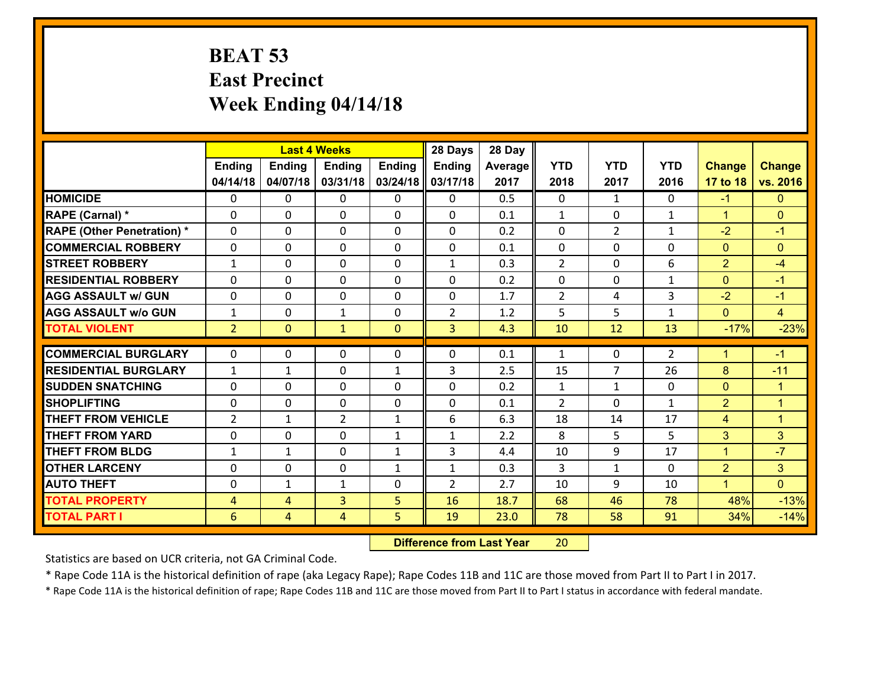## **BEAT 53 East Precinct Week Ending 04/14/18**

|                                              |                                  |                     | <b>Last 4 Weeks</b> |                | 28 Days        | 28 Day       |                |                |                |                |                  |
|----------------------------------------------|----------------------------------|---------------------|---------------------|----------------|----------------|--------------|----------------|----------------|----------------|----------------|------------------|
|                                              | <b>Ending</b>                    | <b>Ending</b>       | <b>Ending</b>       | <b>Ending</b>  | <b>Ending</b>  | Average      | <b>YTD</b>     | <b>YTD</b>     | <b>YTD</b>     | <b>Change</b>  | <b>Change</b>    |
|                                              | 04/14/18                         | 04/07/18            | 03/31/18            | 03/24/18       | 03/17/18       | 2017         | 2018           | 2017           | 2016           | 17 to 18       | vs. 2016         |
| <b>HOMICIDE</b>                              | $\mathbf{0}$                     | 0                   | 0                   | 0              | $\mathbf{0}$   | 0.5          | $\mathbf 0$    | $\mathbf{1}$   | $\Omega$       | $-1$           | $\mathbf{0}$     |
| RAPE (Carnal) *                              | $\Omega$                         | 0                   | $\mathbf{0}$        | 0              | $\Omega$       | 0.1          | 1              | 0              | $\mathbf{1}$   | $\mathbf{1}$   | $\mathbf{0}$     |
| <b>RAPE (Other Penetration) *</b>            | $\Omega$                         | $\Omega$            | $\Omega$            | $\Omega$       | $\Omega$       | 0.2          | $\Omega$       | $\overline{2}$ | $\mathbf{1}$   | $-2$           | $-1$             |
| <b>COMMERCIAL ROBBERY</b>                    | 0                                | $\Omega$            | $\mathbf 0$         | $\Omega$       | 0              | 0.1          | 0              | $\Omega$       | $\Omega$       | $\mathbf{0}$   | $\mathbf{0}$     |
| <b>STREET ROBBERY</b>                        | $\mathbf{1}$                     | 0                   | $\mathbf 0$         | 0              | $\mathbf{1}$   | 0.3          | $\overline{2}$ | $\mathbf 0$    | 6              | $\overline{2}$ | $-4$             |
| <b>RESIDENTIAL ROBBERY</b>                   | $\Omega$                         | 0                   | $\mathbf 0$         | 0              | 0              | 0.2          | 0              | $\mathbf{0}$   | $\mathbf{1}$   | $\mathbf{0}$   | $-1$             |
| <b>AGG ASSAULT w/ GUN</b>                    | 0                                | 0                   | $\mathbf 0$         | 0              | 0              | 1.7          | $\overline{2}$ | 4              | 3              | $-2$           | $-1$             |
| <b>AGG ASSAULT w/o GUN</b>                   | $\mathbf{1}$                     | 0                   | $\mathbf{1}$        | 0              | $\overline{2}$ | 1.2          | 5              | 5              | $\mathbf{1}$   | $\mathbf{0}$   | $\overline{4}$   |
| <b>TOTAL VIOLENT</b>                         | 2 <sup>1</sup>                   | $\overline{0}$      | $\mathbf{1}$        | $\overline{0}$ | $\overline{3}$ | 4.3          | 10             | 12             | 13             | $-17%$         | $-23%$           |
| <b>COMMERCIAL BURGLARY</b>                   | $\Omega$                         | 0                   | 0                   | 0              | 0              | 0.1          | 1              | $\mathbf{0}$   | $\overline{2}$ | $\mathbf 1$    | $-1$             |
|                                              |                                  |                     |                     |                |                |              |                |                |                |                |                  |
|                                              |                                  |                     |                     |                |                |              |                |                |                |                |                  |
| <b>RESIDENTIAL BURGLARY</b>                  | $\mathbf{1}$                     | 1                   | $\mathbf{0}$        | $\mathbf{1}$   | 3              | 2.5          | 15             | 7              | 26             | 8              | $-11$            |
| <b>SUDDEN SNATCHING</b>                      | $\Omega$                         | 0                   | $\mathbf 0$         | $\Omega$       | $\Omega$       | 0.2          | $\mathbf{1}$   | $\mathbf{1}$   | $\Omega$       | $\mathbf{0}$   | $\overline{1}$   |
| <b>SHOPLIFTING</b>                           | 0                                | 0                   | $\mathbf 0$         | $\Omega$       | 0              | 0.1          | $\overline{2}$ | $\Omega$       | $\mathbf{1}$   | $\overline{2}$ | $\mathbf{1}$     |
| <b>THEFT FROM VEHICLE</b>                    | $\overline{2}$                   | 1                   | $\overline{2}$      | $\mathbf{1}$   | 6              | 6.3          | 18             | 14             | 17             | 4              | $\mathbf{1}$     |
| <b>THEFT FROM YARD</b>                       | 0                                | 0                   | $\mathbf 0$         | $\mathbf{1}$   | $\mathbf{1}$   | 2.2          | 8              | 5              | 5              | 3              | 3                |
| <b>THEFT FROM BLDG</b>                       | $\mathbf{1}$                     | $\mathbf{1}$        | $\mathbf 0$         | $\mathbf{1}$   | 3              | 4.4          | 10             | 9              | 17             | $\mathbf{1}$   | $-7$             |
| <b>OTHER LARCENY</b>                         | 0                                | 0                   | $\mathbf 0$         | $\mathbf{1}$   | $\mathbf{1}$   | 0.3          | 3              | $\mathbf{1}$   | 0              | $\overline{2}$ | 3 <sup>1</sup>   |
| <b>AUTO THEFT</b>                            | 0                                | 1                   | 1                   | 0              | $\overline{2}$ | 2.7          | 10             | 9              | 10             | $\mathbf{1}$   | $\overline{0}$   |
| <b>TOTAL PROPERTY</b><br><b>TOTAL PART I</b> | $\overline{4}$<br>$6\phantom{1}$ | 4<br>$\overline{4}$ | 3<br>4              | 5<br>5         | 16<br>19       | 18.7<br>23.0 | 68<br>78       | 46<br>58       | 78<br>91       | 48%<br>34%     | $-13%$<br>$-14%$ |

 **Difference from Last Year**r 20

Statistics are based on UCR criteria, not GA Criminal Code.

\* Rape Code 11A is the historical definition of rape (aka Legacy Rape); Rape Codes 11B and 11C are those moved from Part II to Part I in 2017.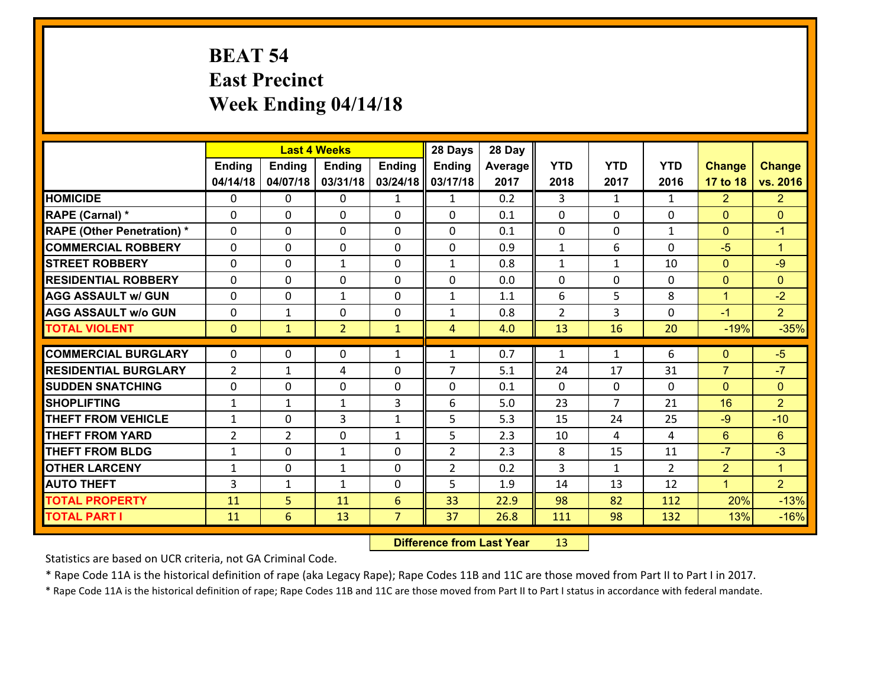## **BEAT 54 East Precinct Week Ending 04/14/18**

|                                   |                |                | <b>Last 4 Weeks</b> |                | 28 Days        | 28 Day  |                |                |               |                      |                      |
|-----------------------------------|----------------|----------------|---------------------|----------------|----------------|---------|----------------|----------------|---------------|----------------------|----------------------|
|                                   | <b>Ending</b>  | <b>Ending</b>  | <b>Ending</b>       | <b>Ending</b>  | Ending         | Average | <b>YTD</b>     | <b>YTD</b>     | <b>YTD</b>    | <b>Change</b>        | <b>Change</b>        |
|                                   | 04/14/18       | 04/07/18       | 03/31/18            | 03/24/18       | 03/17/18       | 2017    | 2018           | 2017           | 2016          | 17 to 18             | vs. 2016             |
| <b>HOMICIDE</b>                   | $\Omega$       | 0              | $\Omega$            | $\mathbf{1}$   | $\mathbf{1}$   | 0.2     | 3              | $\mathbf{1}$   | $\mathbf{1}$  | $\overline{2}$       | $\overline{2}$       |
| RAPE (Carnal) *                   | $\Omega$       | 0              | $\mathbf{0}$        | $\mathbf{0}$   | 0              | 0.1     | $\mathbf 0$    | $\Omega$       | 0             | $\mathbf{0}$         | $\overline{0}$       |
| <b>RAPE (Other Penetration) *</b> | $\Omega$       | 0              | $\mathbf{0}$        | $\Omega$       | 0              | 0.1     | $\Omega$       | $\Omega$       | $\mathbf{1}$  | $\mathbf{0}$         | $-1$                 |
| <b>COMMERCIAL ROBBERY</b>         | $\Omega$       | 0              | $\mathbf{0}$        | $\Omega$       | $\Omega$       | 0.9     | $\mathbf{1}$   | 6              | 0             | $-5$                 | $\blacktriangleleft$ |
| <b>STREET ROBBERY</b>             | $\Omega$       | 0              | $\mathbf{1}$        | $\Omega$       | $\mathbf{1}$   | 0.8     | $\mathbf{1}$   | $\mathbf{1}$   | 10            | $\mathbf{0}$         | $-9$                 |
| <b>RESIDENTIAL ROBBERY</b>        | $\Omega$       | 0              | $\mathbf{0}$        | $\Omega$       | $\Omega$       | 0.0     | $\Omega$       | $\Omega$       | 0             | $\mathbf{0}$         | $\Omega$             |
| <b>AGG ASSAULT w/ GUN</b>         | 0              | 0              | $\mathbf{1}$        | 0              | $\mathbf{1}$   | 1.1     | 6              | 5              | 8             | $\mathbf{1}$         | $-2$                 |
| <b>AGG ASSAULT w/o GUN</b>        | 0              | 1              | 0                   | 0              | 1              | 0.8     | $\overline{2}$ | 3              | 0             | $-1$                 | 2 <sup>1</sup>       |
| <b>TOTAL VIOLENT</b>              | $\mathbf{0}$   | $\mathbf{1}$   | $\overline{2}$      | $\mathbf{1}$   | $\overline{4}$ | 4.0     | 13             | 16             | 20            | $-19%$               | $-35%$               |
|                                   |                |                |                     |                |                |         |                |                |               |                      |                      |
|                                   |                |                |                     |                |                |         |                |                |               |                      |                      |
| <b>COMMERCIAL BURGLARY</b>        | $\mathbf 0$    | 0              | 0                   | $\mathbf{1}$   | 1              | 0.7     | 1              | $\mathbf{1}$   | 6             | $\mathbf{0}$         | $-5$                 |
| <b>RESIDENTIAL BURGLARY</b>       | $\overline{2}$ | $\mathbf{1}$   | 4                   | 0              | $\overline{7}$ | 5.1     | 24             | 17             | 31            | $\overline{7}$       | $-7$                 |
| <b>SUDDEN SNATCHING</b>           | $\mathbf{0}$   | 0              | $\mathbf{0}$        | 0              | $\Omega$       | 0.1     | $\mathbf{0}$   | $\Omega$       | 0             | $\mathbf{0}$         | $\mathbf{0}$         |
| <b>SHOPLIFTING</b>                | 1              | $\mathbf{1}$   | $\mathbf{1}$        | 3              | 6              | 5.0     | 23             | $\overline{7}$ | 21            | 16                   | $\overline{2}$       |
| <b>THEFT FROM VEHICLE</b>         | $\mathbf{1}$   | 0              | 3                   | $\mathbf{1}$   | 5              | 5.3     | 15             | 24             | 25            | $-9$                 | $-10$                |
| <b>THEFT FROM YARD</b>            | $\overline{2}$ | $\overline{2}$ | $\mathbf{0}$        | $\mathbf{1}$   | 5              | 2.3     | 10             | 4              | 4             | 6                    | 6                    |
| <b>THEFT FROM BLDG</b>            | $\mathbf{1}$   | $\Omega$       | $\mathbf{1}$        | $\Omega$       | $\overline{2}$ | 2.3     | 8              | 15             | 11            | $-7$                 | $-3$                 |
| <b>OTHER LARCENY</b>              | $\mathbf{1}$   | 0              | $\mathbf{1}$        | 0              | $\overline{2}$ | 0.2     | 3              | $\mathbf{1}$   | $\mathcal{P}$ | $\overline{2}$       | $\mathbf{1}$         |
| <b>AUTO THEFT</b>                 | 3              | $\mathbf{1}$   | $\mathbf{1}$        | $\Omega$       | 5              | 1.9     | 14             | 13             | 12            | $\blacktriangleleft$ | $\overline{2}$       |
| <b>TOTAL PROPERTY</b>             | 11             | 5              | 11                  | 6              | 33             | 22.9    | 98             | 82             | 112           | 20%                  | $-13%$               |
| <b>TOTAL PART I</b>               | 11             | 6              | 13                  | $\overline{7}$ | 37             | 26.8    | 111            | 98             | 132           | 13%                  | $-16%$               |

 **Difference from Last Year**r 13

Statistics are based on UCR criteria, not GA Criminal Code.

\* Rape Code 11A is the historical definition of rape (aka Legacy Rape); Rape Codes 11B and 11C are those moved from Part II to Part I in 2017.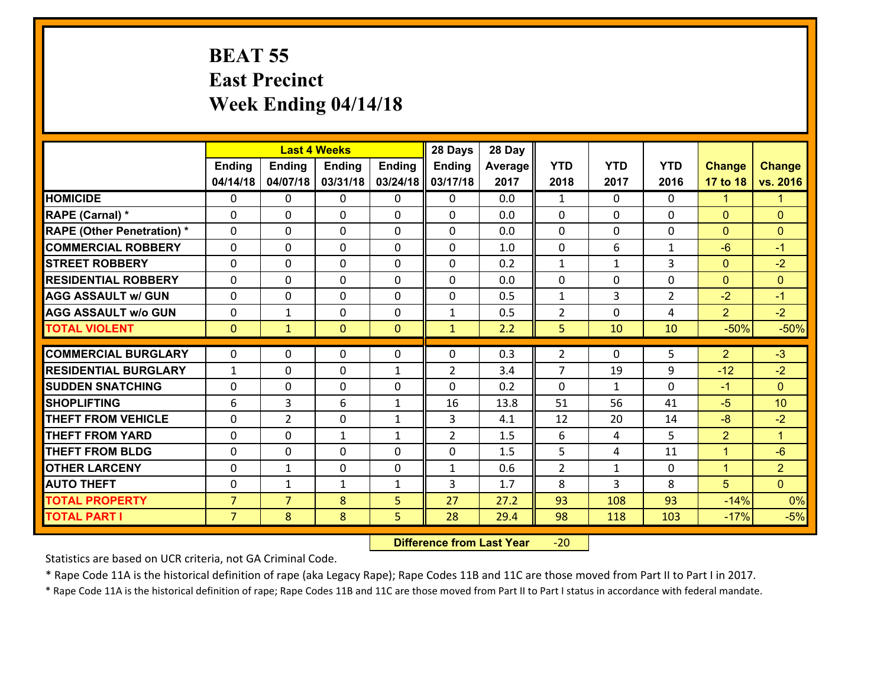## **BEAT 55 East Precinct Week Ending 04/14/18**

|                                   | <b>Last 4 Weeks</b> |                |               |               | 28 Days        | 28 Day  |                |              |                |                      |                |
|-----------------------------------|---------------------|----------------|---------------|---------------|----------------|---------|----------------|--------------|----------------|----------------------|----------------|
|                                   | <b>Ending</b>       | <b>Ending</b>  | <b>Endina</b> | <b>Ending</b> | <b>Ending</b>  | Average | <b>YTD</b>     | <b>YTD</b>   | <b>YTD</b>     | <b>Change</b>        | <b>Change</b>  |
|                                   | 04/14/18            | 04/07/18       | 03/31/18      | 03/24/18      | 03/17/18       | 2017    | 2018           | 2017         | 2016           | 17 to 18             | vs. 2016       |
| <b>HOMICIDE</b>                   | $\Omega$            | 0              | 0             | 0             | 0              | 0.0     | 1              | $\Omega$     | $\Omega$       | $\blacktriangleleft$ | $\mathbf{1}$   |
| <b>RAPE (Carnal) *</b>            | $\Omega$            | $\Omega$       | $\mathbf 0$   | $\Omega$      | $\Omega$       | 0.0     | $\Omega$       | $\Omega$     | $\Omega$       | $\Omega$             | $\Omega$       |
| <b>RAPE (Other Penetration) *</b> | 0                   | 0              | $\mathbf 0$   | 0             | 0              | 0.0     | $\mathbf 0$    | 0            | 0              | $\mathbf{0}$         | $\mathbf{0}$   |
| <b>COMMERCIAL ROBBERY</b>         | 0                   | 0              | $\mathbf 0$   | 0             | 0              | 1.0     | $\mathbf 0$    | 6            | $\mathbf{1}$   | $-6$                 | $-1$           |
| <b>STREET ROBBERY</b>             | 0                   | 0              | $\mathbf 0$   | 0             | 0              | 0.2     | $\mathbf 1$    | $\mathbf{1}$ | 3              | $\overline{0}$       | $-2$           |
| <b>RESIDENTIAL ROBBERY</b>        | 0                   | 0              | $\mathbf 0$   | 0             | 0              | 0.0     | $\mathbf 0$    | $\mathbf 0$  | 0              | $\mathbf{0}$         | $\mathbf{0}$   |
| <b>AGG ASSAULT w/ GUN</b>         | 0                   | 0              | $\mathbf 0$   | 0             | 0              | 0.5     | $\mathbf{1}$   | 3            | $\overline{2}$ | $-2$                 | $-1$           |
| <b>AGG ASSAULT w/o GUN</b>        | 0                   | $\mathbf{1}$   | $\mathbf 0$   | 0             | $\mathbf{1}$   | 0.5     | $\overline{2}$ | $\Omega$     | 4              | $\overline{2}$       | $-2$           |
| <b>TOTAL VIOLENT</b>              | $\mathbf{0}$        | $\mathbf{1}$   | $\mathbf{0}$  | $\mathbf{0}$  | $\mathbf{1}$   | 2.2     | 5              | 10           | 10             | $-50%$               | $-50%$         |
| <b>COMMERCIAL BURGLARY</b>        | $\Omega$            | 0              | $\mathbf{0}$  | 0             | 0              | 0.3     | $\overline{2}$ | $\Omega$     | 5              | $\overline{2}$       | $-3$           |
|                                   |                     |                |               |               |                |         |                |              |                |                      |                |
| <b>RESIDENTIAL BURGLARY</b>       | $\mathbf{1}$        | 0              | $\mathbf 0$   | $\mathbf{1}$  | $\overline{2}$ | 3.4     | $\overline{7}$ | 19           | 9              | $-12$                | $-2$           |
| <b>SUDDEN SNATCHING</b>           | 0                   | $\Omega$       | $\mathbf 0$   | $\Omega$      | 0              | 0.2     | $\Omega$       | $\mathbf{1}$ | $\Omega$       | $-1$                 | $\Omega$       |
| <b>SHOPLIFTING</b>                | 6                   | 3              | 6             | $\mathbf{1}$  | 16             | 13.8    | 51             | 56           | 41             | $-5$                 | 10             |
| <b>THEFT FROM VEHICLE</b>         | 0                   | $\overline{2}$ | $\mathbf 0$   | $\mathbf{1}$  | 3              | 4.1     | 12             | 20           | 14             | $-8$                 | $-2$           |
| <b>THEFT FROM YARD</b>            | $\mathbf 0$         | 0              | 1             | $\mathbf{1}$  | $\overline{2}$ | 1.5     | 6              | 4            | 5              | $\overline{2}$       | $\overline{1}$ |
| <b>THEFT FROM BLDG</b>            | 0                   | 0              | $\mathbf 0$   | $\Omega$      | 0              | 1.5     | 5              | 4            | 11             | $\mathbf{1}$         | $-6$           |
| <b>OTHER LARCENY</b>              | $\mathbf 0$         | $\mathbf 1$    | $\mathbf 0$   | $\mathbf 0$   | $\mathbf{1}$   | 0.6     | $\overline{2}$ | $\mathbf{1}$ | 0              | $\overline{1}$       | $\overline{2}$ |
| <b>AUTO THEFT</b>                 | $\Omega$            | $\mathbf{1}$   | $\mathbf{1}$  | $\mathbf{1}$  | 3              | 1.7     | 8              | 3            | 8              | 5                    | $\Omega$       |
| <b>TOTAL PROPERTY</b>             | $\overline{7}$      | $\overline{7}$ | 8             | 5             | 27             | 27.2    | 93             | 108          | 93             | $-14%$               | 0%             |
| <b>TOTAL PART I</b>               | $\overline{7}$      | 8              | 8             | 5             | 28             | 29.4    | 98             | 118          | 103            | $-17%$               | $-5%$          |

 **Difference from Last Year**‐20

Statistics are based on UCR criteria, not GA Criminal Code.

\* Rape Code 11A is the historical definition of rape (aka Legacy Rape); Rape Codes 11B and 11C are those moved from Part II to Part I in 2017.